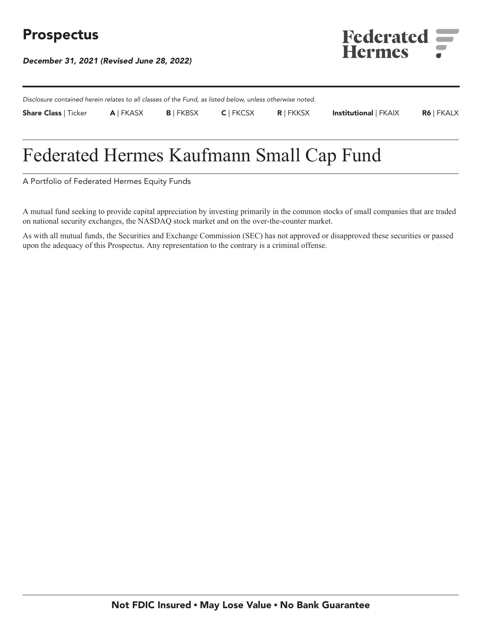# **Prospectus**

**December 31, 2021 (Revised June 28, 2022)**



**Disclosure contained herein relates to all classes of the Fund, as listed below, unless otherwise noted. Share Class | Ticker A | FKASX B | FKBSX C | FKCSX R | FKKSX Institutional | FKAIX R6 | FKALX**

# **Federated Hermes Kaufmann Small Cap Fund**

**A Portfolio of Federated Hermes Equity Funds**

**A mutual fund seeking to provide capital appreciation by investing primarily in the common stocks of small companies that are traded on national security exchanges, the NASDAQ stock market and on the over-the-counter market.**

**As with all mutual funds, the Securities and Exchange Commission (SEC) has not approved or disapproved these securities or passed upon the adequacy of this Prospectus. Any representation to the contrary is a criminal offense.**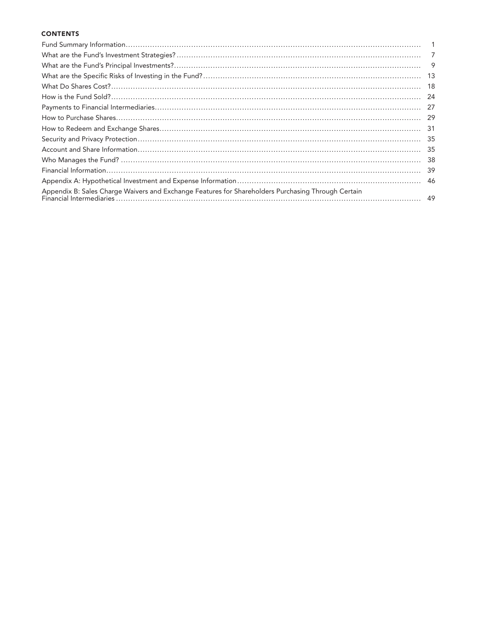# **CONTENTS**

|                                                                                                    | 7   |
|----------------------------------------------------------------------------------------------------|-----|
|                                                                                                    | 9   |
|                                                                                                    | -13 |
|                                                                                                    | 18  |
|                                                                                                    | -24 |
|                                                                                                    | 27  |
|                                                                                                    | 29  |
|                                                                                                    | -31 |
|                                                                                                    | 35  |
|                                                                                                    | -35 |
|                                                                                                    | 38  |
|                                                                                                    | 39  |
|                                                                                                    | 46  |
| Appendix B: Sales Charge Waivers and Exchange Features for Shareholders Purchasing Through Certain |     |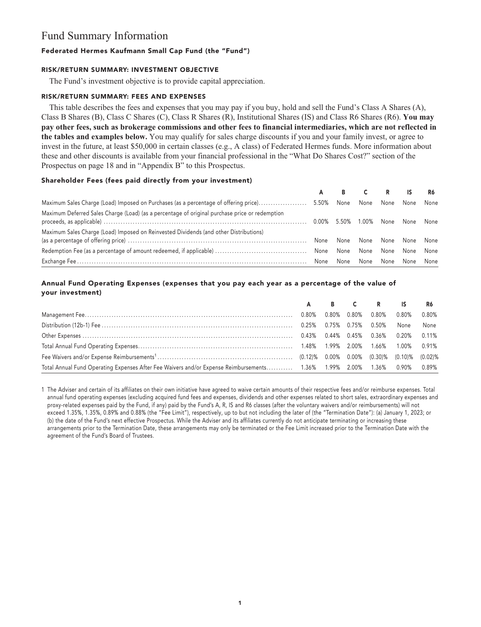# **Fund Summary Information**

# **Federated Hermes Kaufmann Small Cap Fund (the "Fund")**

# **RISK/RETURN SUMMARY: INVESTMENT OBJECTIVE**

**The Fund's investment objective is to provide capital appreciation.**

# **RISK/RETURN SUMMARY: FEES AND EXPENSES**

**This table describes the fees and expenses that you may pay if you buy, hold and sell the Fund's Class A Shares (A), Class B Shares (B), Class C Shares (C), Class R Shares (R), Institutional Shares (IS) and Class R6 Shares (R6). You may pay other fees, such as brokerage commissions and other fees to financial intermediaries, which are not reflected in the tables and examples below. You may qualify for sales charge discounts if you and your family invest, or agree to invest in the future, at least \$50,000 in certain classes (e.g., A class) of Federated Hermes funds. More information about these and other discounts is available from your financial professional in the "What Do Shares Cost?" section of the Prospectus on page 18 and in "Appendix B" to this Prospectus.**

# **Shareholder Fees (fees paid directly from your investment)**

|                                                                                                |      | B     |       | $\mathbb{R}$ |           | R6   |
|------------------------------------------------------------------------------------------------|------|-------|-------|--------------|-----------|------|
|                                                                                                |      | None  | None  | None         | None None |      |
| Maximum Deferred Sales Charge (Load) (as a percentage of original purchase price or redemption |      | 5.50% | 1.00% | None         | None None |      |
| Maximum Sales Charge (Load) Imposed on Reinvested Dividends (and other Distributions)          |      | None  | None  | None         | None      | None |
|                                                                                                |      |       | None  | None         | None      | None |
|                                                                                                | None | None  | None  | None         | None      | None |

# **Annual Fund Operating Expenses (expenses that you pay each year as a percentage of the value of your investment)**

|                                                                                                                          |       |  | A B C R IS                          |      | R6       |
|--------------------------------------------------------------------------------------------------------------------------|-------|--|-------------------------------------|------|----------|
|                                                                                                                          | 0.80% |  | $0.80\%$ $0.80\%$ $0.80\%$ $0.80\%$ |      | $0.80\%$ |
|                                                                                                                          |       |  |                                     | None | None     |
|                                                                                                                          |       |  |                                     |      |          |
|                                                                                                                          |       |  |                                     |      |          |
|                                                                                                                          |       |  |                                     |      |          |
| Total Annual Fund Operating Expenses After Fee Waivers and/or Expense Reimbursements 1.36% 1.99% 2.00% 1.36% 0.90% 0.89% |       |  |                                     |      |          |

**1 The Adviser and certain of its affiliates on their own initiative have agreed to waive certain amounts of their respective fees and/or reimburse expenses. Total annual fund operating expenses (excluding acquired fund fees and expenses, dividends and other expenses related to short sales, extraordinary expenses and proxy-related expenses paid by the Fund, if any) paid by the Fund's A, R, IS and R6 classes (after the voluntary waivers and/or reimbursements) will not exceed 1.35%, 1.35%, 0.89% and 0.88% (the "Fee Limit"), respectively, up to but not including the later of (the "Termination Date"): (a) January 1, 2023; or (b) the date of the Fund's next effective Prospectus. While the Adviser and its affiliates currently do not anticipate terminating or increasing these arrangements prior to the Termination Date, these arrangements may only be terminated or the Fee Limit increased prior to the Termination Date with the agreement of the Fund's Board of Trustees.**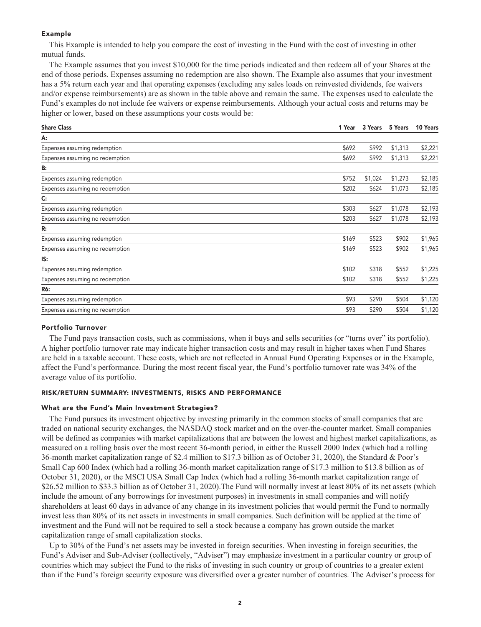# **Example**

**This Example is intended to help you compare the cost of investing in the Fund with the cost of investing in other mutual funds.**

**The Example assumes that you invest \$10,000 for the time periods indicated and then redeem all of your Shares at the end of those periods. Expenses assuming no redemption are also shown. The Example also assumes that your investment has a 5% return each year and that operating expenses (excluding any sales loads on reinvested dividends, fee waivers and/or expense reimbursements) are as shown in the table above and remain the same. The expenses used to calculate the Fund's examples do not include fee waivers or expense reimbursements. Although your actual costs and returns may be higher or lower, based on these assumptions your costs would be:**

| <b>Share Class</b>              | 1 Year | 3 Years | 5 Years | 10 Years |
|---------------------------------|--------|---------|---------|----------|
| А:                              |        |         |         |          |
| Expenses assuming redemption    | \$692  | \$992   | \$1,313 | \$2,221  |
| Expenses assuming no redemption | \$692  | \$992   | \$1,313 | \$2,221  |
| B:                              |        |         |         |          |
| Expenses assuming redemption    | \$752  | \$1,024 | \$1,273 | \$2,185  |
| Expenses assuming no redemption | \$202  | \$624   | \$1,073 | \$2,185  |
| $\mathsf{C}$                    |        |         |         |          |
| Expenses assuming redemption    | \$303  | \$627   | \$1,078 | \$2,193  |
| Expenses assuming no redemption | \$203  | \$627   | \$1,078 | \$2,193  |
| R:                              |        |         |         |          |
| Expenses assuming redemption    | \$169  | \$523   | \$902   | \$1,965  |
| Expenses assuming no redemption | \$169  | \$523   | \$902   | \$1,965  |
| IS:                             |        |         |         |          |
| Expenses assuming redemption    | \$102  | \$318   | \$552   | \$1,225  |
| Expenses assuming no redemption | \$102  | \$318   | \$552   | \$1,225  |
| R6:                             |        |         |         |          |
| Expenses assuming redemption    | \$93   | \$290   | \$504   | \$1,120  |
| Expenses assuming no redemption | \$93   | \$290   | \$504   | \$1,120  |

#### **Portfolio Turnover**

**The Fund pays transaction costs, such as commissions, when it buys and sells securities (or "turns over" its portfolio). A higher portfolio turnover rate may indicate higher transaction costs and may result in higher taxes when Fund Shares are held in a taxable account. These costs, which are not reflected in Annual Fund Operating Expenses or in the Example, affect the Fund's performance. During the most recent fiscal year, the Fund's portfolio turnover rate was 34% of the average value of its portfolio.**

#### **RISK/RETURN SUMMARY: INVESTMENTS, RISKS AND PERFORMANCE**

#### **What are the Fund's Main Investment Strategies?**

**The Fund pursues its investment objective by investing primarily in the common stocks of small companies that are traded on national security exchanges, the NASDAQ stock market and on the over-the-counter market. Small companies will be defined as companies with market capitalizations that are between the lowest and highest market capitalizations, as measured on a rolling basis over the most recent 36-month period, in either the Russell 2000 Index (which had a rolling 36-month market capitalization range of \$2.4 million to \$17.3 billion as of October 31, 2020), the Standard & Poor's Small Cap 600 Index (which had a rolling 36-month market capitalization range of \$17.3 million to \$13.8 billion as of October 31, 2020), or the MSCI USA Small Cap Index (which had a rolling 36-month market capitalization range of \$26.52 million to \$33.3 billion as of October 31, 2020).The Fund will normally invest at least 80% of its net assets (which include the amount of any borrowings for investment purposes) in investments in small companies and will notify shareholders at least 60 days in advance of any change in its investment policies that would permit the Fund to normally invest less than 80% of its net assets in investments in small companies. Such definition will be applied at the time of investment and the Fund will not be required to sell a stock because a company has grown outside the market capitalization range of small capitalization stocks.**

**Up to 30% of the Fund's net assets may be invested in foreign securities. When investing in foreign securities, the Fund's Adviser and Sub-Adviser (collectively, "Adviser") may emphasize investment in a particular country or group of countries which may subject the Fund to the risks of investing in such country or group of countries to a greater extent than if the Fund's foreign security exposure was diversified over a greater number of countries. The Adviser's process for**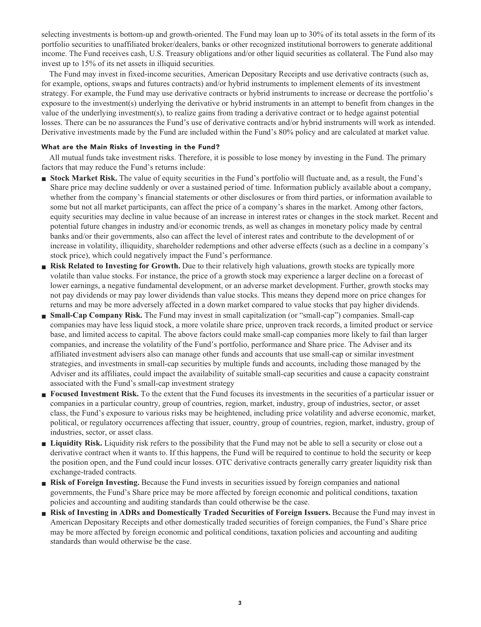**selecting investments is bottom-up and growth-oriented. The Fund may loan up to 30% of its total assets in the form of its portfolio securities to unaffiliated broker/dealers, banks or other recognized institutional borrowers to generate additional income. The Fund receives cash, U.S. Treasury obligations and/or other liquid securities as collateral. The Fund also may invest up to 15% of its net assets in illiquid securities.**

**The Fund may invest in fixed-income securities, American Depositary Receipts and use derivative contracts (such as, for example, options, swaps and futures contracts) and/or hybrid instruments to implement elements of its investment strategy. For example, the Fund may use derivative contracts or hybrid instruments to increase or decrease the portfolio's exposure to the investment(s) underlying the derivative or hybrid instruments in an attempt to benefit from changes in the value of the underlying investment(s), to realize gains from trading a derivative contract or to hedge against potential losses. There can be no assurances the Fund's use of derivative contracts and/or hybrid instruments will work as intended. Derivative investments made by the Fund are included within the Fund's 80% policy and are calculated at market value.**

# **What are the Main Risks of Investing in the Fund?**

**All mutual funds take investment risks. Therefore, it is possible to lose money by investing in the Fund. The primary factors that may reduce the Fund's returns include:**

- **■ Stock Market Risk. The value of equity securities in the Fund's portfolio will fluctuate and, as a result, the Fund's Share price may decline suddenly or over a sustained period of time. Information publicly available about a company, whether from the company's financial statements or other disclosures or from third parties, or information available to some but not all market participants, can affect the price of a company's shares in the market. Among other factors, equity securities may decline in value because of an increase in interest rates or changes in the stock market. Recent and potential future changes in industry and/or economic trends, as well as changes in monetary policy made by central banks and/or their governments, also can affect the level of interest rates and contribute to the development of or increase in volatility, illiquidity, shareholder redemptions and other adverse effects (such as a decline in a company's stock price), which could negatively impact the Fund's performance.**
- Risk Related to Investing for Growth. Due to their relatively high valuations, growth stocks are typically more **volatile than value stocks. For instance, the price of a growth stock may experience a larger decline on a forecast of lower earnings, a negative fundamental development, or an adverse market development. Further, growth stocks may not pay dividends or may pay lower dividends than value stocks. This means they depend more on price changes for returns and may be more adversely affected in a down market compared to value stocks that pay higher dividends.**
- **■ Small-Cap Company Risk. The Fund may invest in small capitalization (or "small-cap") companies. Small-cap companies may have less liquid stock, a more volatile share price, unproven track records, a limited product or service base, and limited access to capital. The above factors could make small-cap companies more likely to fail than larger companies, and increase the volatility of the Fund's portfolio, performance and Share price. The Adviser and its affiliated investment advisers also can manage other funds and accounts that use small-cap or similar investment strategies, and investments in small-cap securities by multiple funds and accounts, including those managed by the Adviser and its affiliates, could impact the availability of suitable small-cap securities and cause a capacity constraint associated with the Fund's small-cap investment strategy**
- **■ Focused Investment Risk. To the extent that the Fund focuses its investments in the securities of a particular issuer or companies in a particular country, group of countries, region, market, industry, group of industries, sector, or asset class, the Fund's exposure to various risks may be heightened, including price volatility and adverse economic, market, political, or regulatory occurrences affecting that issuer, country, group of countries, region, market, industry, group of industries, sector, or asset class.**
- **■ Liquidity Risk. Liquidity risk refers to the possibility that the Fund may not be able to sell a security or close out a derivative contract when it wants to. If this happens, the Fund will be required to continue to hold the security or keep the position open, and the Fund could incur losses. OTC derivative contracts generally carry greater liquidity risk than exchange-traded contracts.**
- **Risk of Foreign Investing.** Because the Fund invests in securities issued by foreign companies and national **governments, the Fund's Share price may be more affected by foreign economic and political conditions, taxation policies and accounting and auditing standards than could otherwise be the case.**
- **■ Risk of Investing in ADRs and Domestically Traded Securities of Foreign Issuers. Because the Fund may invest in American Depositary Receipts and other domestically traded securities of foreign companies, the Fund's Share price may be more affected by foreign economic and political conditions, taxation policies and accounting and auditing standards than would otherwise be the case.**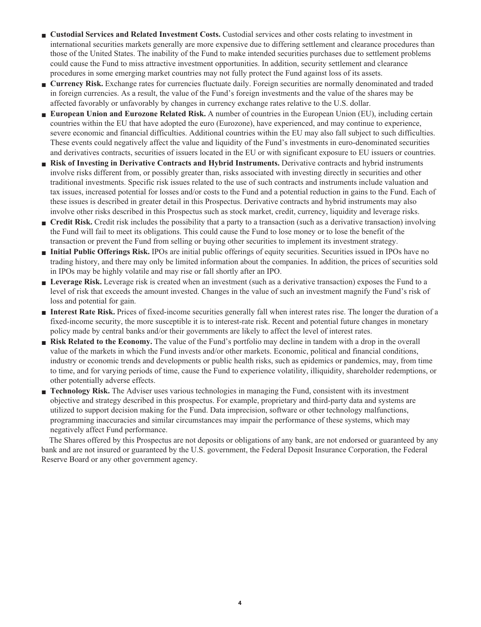- **■ Custodial Services and Related Investment Costs. Custodial services and other costs relating to investment in international securities markets generally are more expensive due to differing settlement and clearance procedures than those of the United States. The inability of the Fund to make intended securities purchases due to settlement problems could cause the Fund to miss attractive investment opportunities. In addition, security settlement and clearance procedures in some emerging market countries may not fully protect the Fund against loss of its assets.**
- **■ Currency Risk. Exchange rates for currencies fluctuate daily. Foreign securities are normally denominated and traded in foreign currencies. As a result, the value of the Fund's foreign investments and the value of the shares may be affected favorably or unfavorably by changes in currency exchange rates relative to the U.S. dollar.**
- **■ European Union and Eurozone Related Risk. A number of countries in the European Union (EU), including certain countries within the EU that have adopted the euro (Eurozone), have experienced, and may continue to experience, severe economic and financial difficulties. Additional countries within the EU may also fall subject to such difficulties. These events could negatively affect the value and liquidity of the Fund's investments in euro-denominated securities and derivatives contracts, securities of issuers located in the EU or with significant exposure to EU issuers or countries.**
- **■ Risk of Investing in Derivative Contracts and Hybrid Instruments. Derivative contracts and hybrid instruments involve risks different from, or possibly greater than, risks associated with investing directly in securities and other traditional investments. Specific risk issues related to the use of such contracts and instruments include valuation and tax issues, increased potential for losses and/or costs to the Fund and a potential reduction in gains to the Fund. Each of these issues is described in greater detail in this Prospectus. Derivative contracts and hybrid instruments may also involve other risks described in this Prospectus such as stock market, credit, currency, liquidity and leverage risks.**
- **Credit Risk.** Credit risk includes the possibility that a party to a transaction (such as a derivative transaction) involving **the Fund will fail to meet its obligations. This could cause the Fund to lose money or to lose the benefit of the transaction or prevent the Fund from selling or buying other securities to implement its investment strategy.**
- **■ Initial Public Offerings Risk. IPOs are initial public offerings of equity securities. Securities issued in IPOs have no trading history, and there may only be limited information about the companies. In addition, the prices of securities sold in IPOs may be highly volatile and may rise or fall shortly after an IPO.**
- **■ Leverage Risk. Leverage risk is created when an investment (such as a derivative transaction) exposes the Fund to a level of risk that exceeds the amount invested. Changes in the value of such an investment magnify the Fund's risk of loss and potential for gain.**
- **■ Interest Rate Risk. Prices of fixed-income securities generally fall when interest rates rise. The longer the duration of a fixed-income security, the more susceptible it is to interest-rate risk. Recent and potential future changes in monetary policy made by central banks and/or their governments are likely to affect the level of interest rates.**
- **■ Risk Related to the Economy. The value of the Fund's portfolio may decline in tandem with a drop in the overall value of the markets in which the Fund invests and/or other markets. Economic, political and financial conditions, industry or economic trends and developments or public health risks, such as epidemics or pandemics, may, from time to time, and for varying periods of time, cause the Fund to experience volatility, illiquidity, shareholder redemptions, or other potentially adverse effects.**
- **■ Technology Risk. The Adviser uses various technologies in managing the Fund, consistent with its investment objective and strategy described in this prospectus. For example, proprietary and third-party data and systems are utilized to support decision making for the Fund. Data imprecision, software or other technology malfunctions, programming inaccuracies and similar circumstances may impair the performance of these systems, which may negatively affect Fund performance.**

**The Shares offered by this Prospectus are not deposits or obligations of any bank, are not endorsed or guaranteed by any bank and are not insured or guaranteed by the U.S. government, the Federal Deposit Insurance Corporation, the Federal Reserve Board or any other government agency.**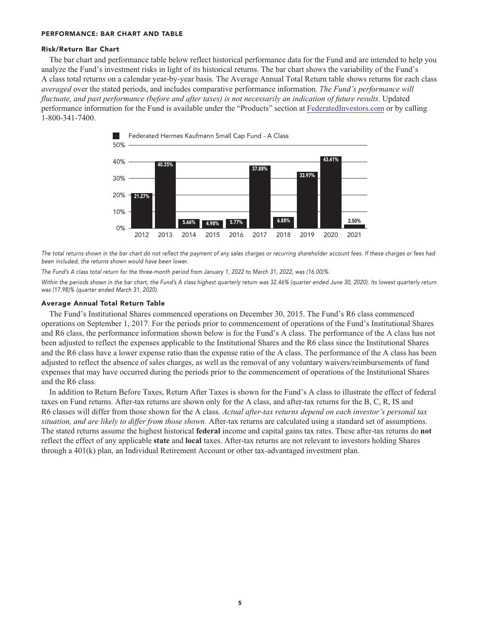### **PERFORMANCE: BAR CHART AND TABLE**

#### **Risk/Return Bar Chart**

**The bar chart and performance table below reflect historical performance data for the Fund and are intended to help you analyze the Fund's investment risks in light of its historical returns. The bar chart shows the variability of the Fund's A class total returns on a calendar year-by-year basis. The Average Annual Total Return table shows returns for each class** *averaged* **over the stated periods, and includes comparative performance information.** *The Fund's performance will fluctuate, and past performance (before and after taxes) is not necessarily an indication of future results.* **Updated performance information for the Fund is available under the "Products" section at [FederatedInvestors.com](https://www.federatedinvestors.com/home.do) or by calling 1-800-341-7400.**



**The total returns shown in the bar chart do not reflect the payment of any sales charges or recurring shareholder account fees. If these charges or fees had been included, the returns shown would have been lower.**

**The Fund's A class total return for the three-month period from January 1, 2022 to March 31, 2022, was (16.00)%.**

Within the periods shown in the bar chart, the Fund's A class highest quarterly return was 32.46% (quarter ended June 30, 2020). Its lowest quarterly return **was (17.98)% (quarter ended March 31, 2020).**

#### **Average Annual Total Return Table**

**The Fund's Institutional Shares commenced operations on December 30, 2015. The Fund's R6 class commenced operations on September 1, 2017. For the periods prior to commencement of operations of the Fund's Institutional Shares and R6 class, the performance information shown below is for the Fund's A class. The performance of the A class has not been adjusted to reflect the expenses applicable to the Institutional Shares and the R6 class since the Institutional Shares and the R6 class have a lower expense ratio than the expense ratio of the A class. The performance of the A class has been adjusted to reflect the absence of sales charges, as well as the removal of any voluntary waivers/reimbursements of fund expenses that may have occurred during the periods prior to the commencement of operations of the Institutional Shares and the R6 class.**

**In addition to Return Before Taxes, Return After Taxes is shown for the Fund's A class to illustrate the effect of federal taxes on Fund returns. After-tax returns are shown only for the A class, and after-tax returns for the B, C, R, IS and R6 classes will differ from those shown for the A class.** *Actual after-tax returns depend on each investor's personal tax situation, and are likely to differ from those shown.* **After-tax returns are calculated using a standard set of assumptions. The stated returns assume the highest historical federal income and capital gains tax rates. These after-tax returns do not reflect the effect of any applicable state and local taxes. After-tax returns are not relevant to investors holding Shares through a 401(k) plan, an Individual Retirement Account or other tax-advantaged investment plan.**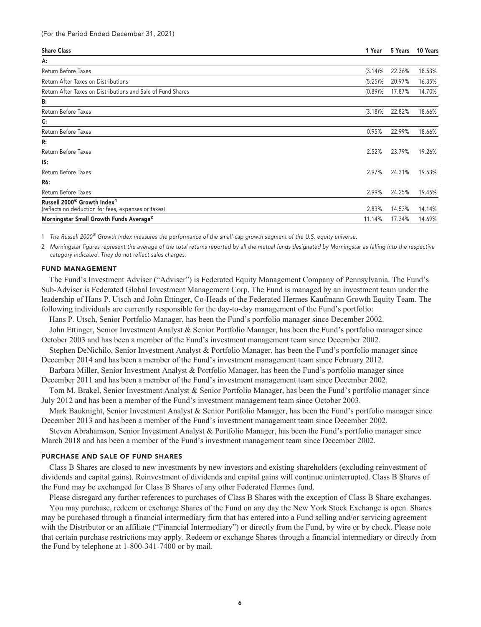| <b>Share Class</b>                                                                                         | 1 Year     | 5 Years | 10 Years |
|------------------------------------------------------------------------------------------------------------|------------|---------|----------|
| А:                                                                                                         |            |         |          |
| Return Before Taxes                                                                                        | (3.14)%    | 22.36%  | 18.53%   |
| Return After Taxes on Distributions                                                                        | $(5.25)\%$ | 20.97%  | 16.35%   |
| Return After Taxes on Distributions and Sale of Fund Shares                                                | (0.89)%    | 17.87%  | 14.70%   |
| B:                                                                                                         |            |         |          |
| Return Before Taxes                                                                                        | $(3.18)\%$ | 22.82%  | 18.66%   |
| $\mathsf{C}$ :                                                                                             |            |         |          |
| Return Before Taxes                                                                                        | 0.95%      | 22.99%  | 18.66%   |
| R:                                                                                                         |            |         |          |
| Return Before Taxes                                                                                        | 2.52%      | 23.79%  | 19.26%   |
| IS:                                                                                                        |            |         |          |
| Return Before Taxes                                                                                        | 2.97%      | 24.31%  | 19.53%   |
| R6:                                                                                                        |            |         |          |
| Return Before Taxes                                                                                        | 2.99%      | 24.25%  | 19.45%   |
| Russell 2000 <sup>®</sup> Growth Index <sup>1</sup><br>(reflects no deduction for fees, expenses or taxes) | 2.83%      | 14.53%  | 14.14%   |
| Morningstar Small Growth Funds Average <sup>2</sup>                                                        | 11.14%     | 17.34%  | 14.69%   |

**1 The Russell 2000® Growth Index measures the performance of the small-cap growth segment of the U.S. equity universe.**

**2 Morningstar figures represent the average of the total returns reported by all the mutual funds designated by Morningstar as falling into the respective category indicated. They do not reflect sales charges.**

#### **FUND MANAGEMENT**

**The Fund's Investment Adviser ("Adviser") is Federated Equity Management Company of Pennsylvania. The Fund's Sub-Adviser is Federated Global Investment Management Corp. The Fund is managed by an investment team under the leadership of Hans P. Utsch and John Ettinger, Co-Heads of the Federated Hermes Kaufmann Growth Equity Team. The following individuals are currently responsible for the day-to-day management of the Fund's portfolio:**

**Hans P. Utsch, Senior Portfolio Manager, has been the Fund's portfolio manager since December 2002.**

**John Ettinger, Senior Investment Analyst & Senior Portfolio Manager, has been the Fund's portfolio manager since October 2003 and has been a member of the Fund's investment management team since December 2002.**

**Stephen DeNichilo, Senior Investment Analyst & Portfolio Manager, has been the Fund's portfolio manager since December 2014 and has been a member of the Fund's investment management team since February 2012.**

**Barbara Miller, Senior Investment Analyst & Portfolio Manager, has been the Fund's portfolio manager since December 2011 and has been a member of the Fund's investment management team since December 2002.**

**Tom M. Brakel, Senior Investment Analyst & Senior Portfolio Manager, has been the Fund's portfolio manager since July 2012 and has been a member of the Fund's investment management team since October 2003.**

**Mark Bauknight, Senior Investment Analyst & Senior Portfolio Manager, has been the Fund's portfolio manager since December 2013 and has been a member of the Fund's investment management team since December 2002.**

**Steven Abrahamson, Senior Investment Analyst & Portfolio Manager, has been the Fund's portfolio manager since March 2018 and has been a member of the Fund's investment management team since December 2002.**

#### **PURCHASE AND SALE OF FUND SHARES**

**Class B Shares are closed to new investments by new investors and existing shareholders (excluding reinvestment of dividends and capital gains). Reinvestment of dividends and capital gains will continue uninterrupted. Class B Shares of the Fund may be exchanged for Class B Shares of any other Federated Hermes fund.**

**Please disregard any further references to purchases of Class B Shares with the exception of Class B Share exchanges.**

**You may purchase, redeem or exchange Shares of the Fund on any day the New York Stock Exchange is open. Shares may be purchased through a financial intermediary firm that has entered into a Fund selling and/or servicing agreement with the Distributor or an affiliate ("Financial Intermediary") or directly from the Fund, by wire or by check. Please note that certain purchase restrictions may apply. Redeem or exchange Shares through a financial intermediary or directly from the Fund by telephone at 1-800-341-7400 or by mail.**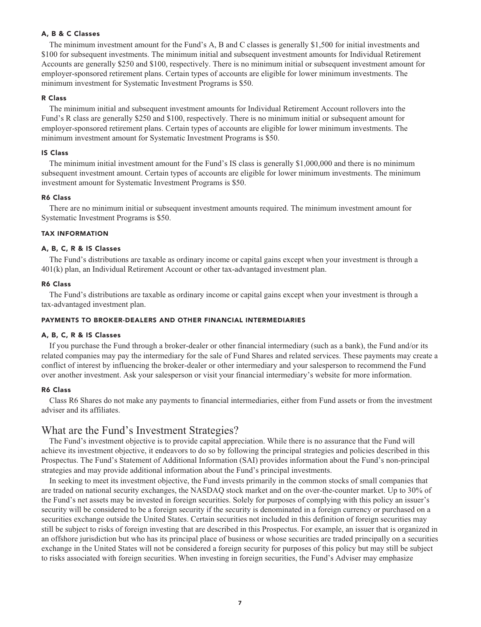# **A, B & C Classes**

**The minimum investment amount for the Fund's A, B and C classes is generally \$1,500 for initial investments and \$100 for subsequent investments. The minimum initial and subsequent investment amounts for Individual Retirement Accounts are generally \$250 and \$100, respectively. There is no minimum initial or subsequent investment amount for employer-sponsored retirement plans. Certain types of accounts are eligible for lower minimum investments. The minimum investment for Systematic Investment Programs is \$50.**

# **R Class**

**The minimum initial and subsequent investment amounts for Individual Retirement Account rollovers into the Fund's R class are generally \$250 and \$100, respectively. There is no minimum initial or subsequent amount for employer-sponsored retirement plans. Certain types of accounts are eligible for lower minimum investments. The minimum investment amount for Systematic Investment Programs is \$50.**

# **IS Class**

**The minimum initial investment amount for the Fund's IS class is generally \$1,000,000 and there is no minimum subsequent investment amount. Certain types of accounts are eligible for lower minimum investments. The minimum investment amount for Systematic Investment Programs is \$50.**

#### **R6 Class**

**There are no minimum initial or subsequent investment amounts required. The minimum investment amount for Systematic Investment Programs is \$50.**

#### **TAX INFORMATION**

# **A, B, C, R & IS Classes**

**The Fund's distributions are taxable as ordinary income or capital gains except when your investment is through a 401(k) plan, an Individual Retirement Account or other tax-advantaged investment plan.**

#### **R6 Class**

**The Fund's distributions are taxable as ordinary income or capital gains except when your investment is through a tax-advantaged investment plan.**

# **PAYMENTS TO BROKER-DEALERS AND OTHER FINANCIAL INTERMEDIARIES**

# **A, B, C, R & IS Classes**

**If you purchase the Fund through a broker-dealer or other financial intermediary (such as a bank), the Fund and/or its related companies may pay the intermediary for the sale of Fund Shares and related services. These payments may create a conflict of interest by influencing the broker-dealer or other intermediary and your salesperson to recommend the Fund over another investment. Ask your salesperson or visit your financial intermediary's website for more information.**

#### **R6 Class**

**Class R6 Shares do not make any payments to financial intermediaries, either from Fund assets or from the investment adviser and its affiliates.**

# **What are the Fund's Investment Strategies?**

**The Fund's investment objective is to provide capital appreciation. While there is no assurance that the Fund will achieve its investment objective, it endeavors to do so by following the principal strategies and policies described in this Prospectus. The Fund's Statement of Additional Information (SAI) provides information about the Fund's non-principal strategies and may provide additional information about the Fund's principal investments.**

**In seeking to meet its investment objective, the Fund invests primarily in the common stocks of small companies that are traded on national security exchanges, the NASDAQ stock market and on the over-the-counter market. Up to 30% of the Fund's net assets may be invested in foreign securities. Solely for purposes of complying with this policy an issuer's security will be considered to be a foreign security if the security is denominated in a foreign currency or purchased on a securities exchange outside the United States. Certain securities not included in this definition of foreign securities may still be subject to risks of foreign investing that are described in this Prospectus. For example, an issuer that is organized in an offshore jurisdiction but who has its principal place of business or whose securities are traded principally on a securities exchange in the United States will not be considered a foreign security for purposes of this policy but may still be subject to risks associated with foreign securities. When investing in foreign securities, the Fund's Adviser may emphasize**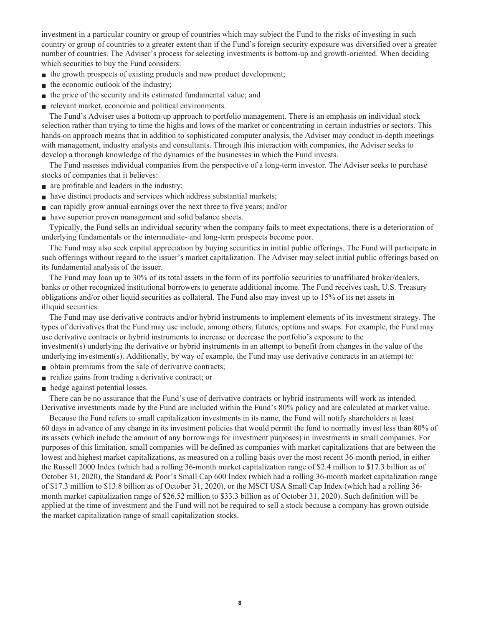**investment in a particular country or group of countries which may subject the Fund to the risks of investing in such country or group of countries to a greater extent than if the Fund's foreign security exposure was diversified over a greater number of countries. The Adviser's process for selecting investments is bottom-up and growth-oriented. When deciding which securities to buy the Fund considers:**

- **the growth prospects of existing products and new product development;**
- **the economic outlook of the industry;**
- **■ the price of the security and its estimated fundamental value; and**
- **■ relevant market, economic and political environments.**

**The Fund's Adviser uses a bottom-up approach to portfolio management. There is an emphasis on individual stock selection rather than trying to time the highs and lows of the market or concentrating in certain industries or sectors. This hands-on approach means that in addition to sophisticated computer analysis, the Adviser may conduct in-depth meetings with management, industry analysts and consultants. Through this interaction with companies, the Adviser seeks to develop a thorough knowledge of the dynamics of the businesses in which the Fund invests.**

**The Fund assesses individual companies from the perspective of a long-term investor. The Adviser seeks to purchase stocks of companies that it believes:**

- **■ are profitable and leaders in the industry;**
- have distinct products and services which address substantial markets;
- **can rapidly grow annual earnings over the next three to five years; and/or**
- have superior proven management and solid balance sheets.

**Typically, the Fund sells an individual security when the company fails to meet expectations, there is a deterioration of underlying fundamentals or the intermediate- and long-term prospects become poor.**

**The Fund may also seek capital appreciation by buying securities in initial public offerings. The Fund will participate in such offerings without regard to the issuer's market capitalization. The Adviser may select initial public offerings based on its fundamental analysis of the issuer.**

**The Fund may loan up to 30% of its total assets in the form of its portfolio securities to unaffiliated broker/dealers, banks or other recognized institutional borrowers to generate additional income. The Fund receives cash, U.S. Treasury obligations and/or other liquid securities as collateral. The Fund also may invest up to 15% of its net assets in illiquid securities.**

**The Fund may use derivative contracts and/or hybrid instruments to implement elements of its investment strategy. The types of derivatives that the Fund may use include, among others, futures, options and swaps. For example, the Fund may use derivative contracts or hybrid instruments to increase or decrease the portfolio's exposure to the investment(s) underlying the derivative or hybrid instruments in an attempt to benefit from changes in the value of the underlying investment(s). Additionally, by way of example, the Fund may use derivative contracts in an attempt to:**

- **■ obtain premiums from the sale of derivative contracts;**
- **realize gains from trading a derivative contract; or**
- **hedge against potential losses.**

**There can be no assurance that the Fund's use of derivative contracts or hybrid instruments will work as intended. Derivative investments made by the Fund are included within the Fund's 80% policy and are calculated at market value.**

**Because the Fund refers to small capitalization investments in its name, the Fund will notify shareholders at least 60 days in advance of any change in its investment policies that would permit the fund to normally invest less than 80% of its assets (which include the amount of any borrowings for investment purposes) in investments in small companies. For purposes of this limitation, small companies will be defined as companies with market capitalizations that are between the lowest and highest market capitalizations, as measured on a rolling basis over the most recent 36-month period, in either the Russell 2000 Index (which had a rolling 36-month market capitalization range of \$2.4 million to \$17.3 billion as of October 31, 2020), the Standard & Poor's Small Cap 600 Index (which had a rolling 36-month market capitalization range of \$17.3 million to \$13.8 billion as of October 31, 2020), or the MSCI USA Small Cap Index (which had a rolling 36 month market capitalization range of \$26.52 million to \$33.3 billion as of October 31, 2020). Such definition will be applied at the time of investment and the Fund will not be required to sell a stock because a company has grown outside the market capitalization range of small capitalization stocks.**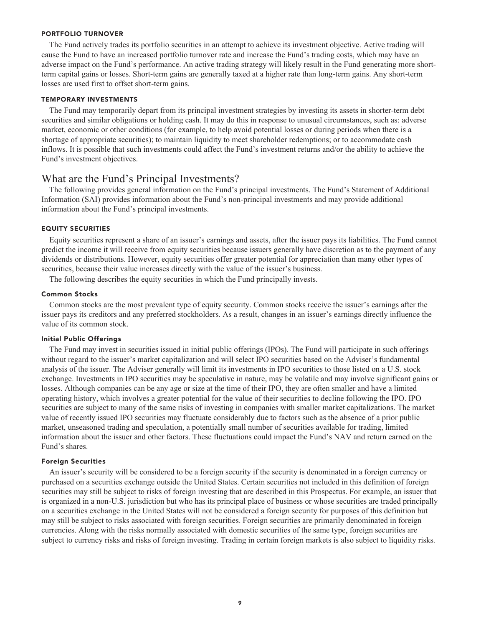#### **PORTFOLIO TURNOVER**

**The Fund actively trades its portfolio securities in an attempt to achieve its investment objective. Active trading will cause the Fund to have an increased portfolio turnover rate and increase the Fund's trading costs, which may have an adverse impact on the Fund's performance. An active trading strategy will likely result in the Fund generating more shortterm capital gains or losses. Short-term gains are generally taxed at a higher rate than long-term gains. Any short-term losses are used first to offset short-term gains.**

#### **TEMPORARY INVESTMENTS**

**The Fund may temporarily depart from its principal investment strategies by investing its assets in shorter-term debt securities and similar obligations or holding cash. It may do this in response to unusual circumstances, such as: adverse market, economic or other conditions (for example, to help avoid potential losses or during periods when there is a shortage of appropriate securities); to maintain liquidity to meet shareholder redemptions; or to accommodate cash inflows. It is possible that such investments could affect the Fund's investment returns and/or the ability to achieve the Fund's investment objectives.**

# **What are the Fund's Principal Investments?**

**The following provides general information on the Fund's principal investments. The Fund's Statement of Additional Information (SAI) provides information about the Fund's non-principal investments and may provide additional information about the Fund's principal investments.**

# **EQUITY SECURITIES**

**Equity securities represent a share of an issuer's earnings and assets, after the issuer pays its liabilities. The Fund cannot predict the income it will receive from equity securities because issuers generally have discretion as to the payment of any dividends or distributions. However, equity securities offer greater potential for appreciation than many other types of securities, because their value increases directly with the value of the issuer's business.**

**The following describes the equity securities in which the Fund principally invests.**

#### **Common Stocks**

**Common stocks are the most prevalent type of equity security. Common stocks receive the issuer's earnings after the issuer pays its creditors and any preferred stockholders. As a result, changes in an issuer's earnings directly influence the value of its common stock.**

#### **Initial Public Offerings**

**The Fund may invest in securities issued in initial public offerings (IPOs). The Fund will participate in such offerings without regard to the issuer's market capitalization and will select IPO securities based on the Adviser's fundamental analysis of the issuer. The Adviser generally will limit its investments in IPO securities to those listed on a U.S. stock exchange. Investments in IPO securities may be speculative in nature, may be volatile and may involve significant gains or losses. Although companies can be any age or size at the time of their IPO, they are often smaller and have a limited operating history, which involves a greater potential for the value of their securities to decline following the IPO. IPO securities are subject to many of the same risks of investing in companies with smaller market capitalizations. The market value of recently issued IPO securities may fluctuate considerably due to factors such as the absence of a prior public market, unseasoned trading and speculation, a potentially small number of securities available for trading, limited information about the issuer and other factors. These fluctuations could impact the Fund's NAV and return earned on the Fund's shares.**

#### **Foreign Securities**

**An issuer's security will be considered to be a foreign security if the security is denominated in a foreign currency or purchased on a securities exchange outside the United States. Certain securities not included in this definition of foreign securities may still be subject to risks of foreign investing that are described in this Prospectus. For example, an issuer that is organized in a non-U.S. jurisdiction but who has its principal place of business or whose securities are traded principally on a securities exchange in the United States will not be considered a foreign security for purposes of this definition but may still be subject to risks associated with foreign securities. Foreign securities are primarily denominated in foreign currencies. Along with the risks normally associated with domestic securities of the same type, foreign securities are subject to currency risks and risks of foreign investing. Trading in certain foreign markets is also subject to liquidity risks.**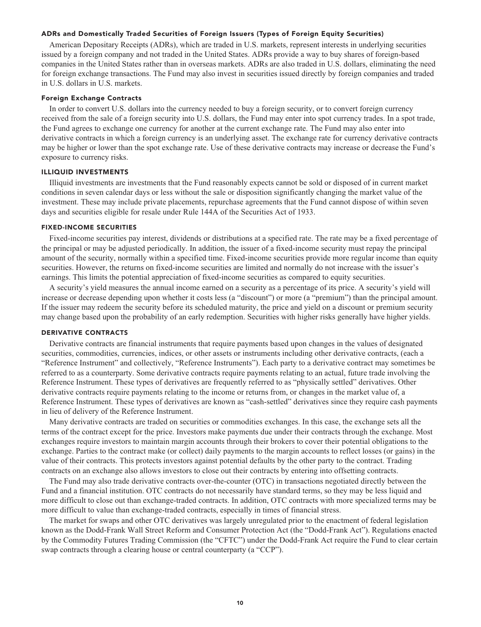# **ADRs and Domestically Traded Securities of Foreign Issuers (Types of Foreign Equity Securities)**

**American Depositary Receipts (ADRs), which are traded in U.S. markets, represent interests in underlying securities issued by a foreign company and not traded in the United States. ADRs provide a way to buy shares of foreign-based companies in the United States rather than in overseas markets. ADRs are also traded in U.S. dollars, eliminating the need for foreign exchange transactions. The Fund may also invest in securities issued directly by foreign companies and traded in U.S. dollars in U.S. markets.**

#### **Foreign Exchange Contracts**

**In order to convert U.S. dollars into the currency needed to buy a foreign security, or to convert foreign currency received from the sale of a foreign security into U.S. dollars, the Fund may enter into spot currency trades. In a spot trade, the Fund agrees to exchange one currency for another at the current exchange rate. The Fund may also enter into derivative contracts in which a foreign currency is an underlying asset. The exchange rate for currency derivative contracts may be higher or lower than the spot exchange rate. Use of these derivative contracts may increase or decrease the Fund's exposure to currency risks.**

# **ILLIQUID INVESTMENTS**

**Illiquid investments are investments that the Fund reasonably expects cannot be sold or disposed of in current market conditions in seven calendar days or less without the sale or disposition significantly changing the market value of the investment. These may include private placements, repurchase agreements that the Fund cannot dispose of within seven days and securities eligible for resale under Rule 144A of the Securities Act of 1933.**

#### **FIXED-INCOME SECURITIES**

**Fixed-income securities pay interest, dividends or distributions at a specified rate. The rate may be a fixed percentage of the principal or may be adjusted periodically. In addition, the issuer of a fixed-income security must repay the principal amount of the security, normally within a specified time. Fixed-income securities provide more regular income than equity securities. However, the returns on fixed-income securities are limited and normally do not increase with the issuer's earnings. This limits the potential appreciation of fixed-income securities as compared to equity securities.**

**A security's yield measures the annual income earned on a security as a percentage of its price. A security's yield will increase or decrease depending upon whether it costs less (a "discount") or more (a "premium") than the principal amount. If the issuer may redeem the security before its scheduled maturity, the price and yield on a discount or premium security may change based upon the probability of an early redemption. Securities with higher risks generally have higher yields.**

#### **DERIVATIVE CONTRACTS**

**Derivative contracts are financial instruments that require payments based upon changes in the values of designated securities, commodities, currencies, indices, or other assets or instruments including other derivative contracts, (each a "Reference Instrument" and collectively, "Reference Instruments"). Each party to a derivative contract may sometimes be referred to as a counterparty. Some derivative contracts require payments relating to an actual, future trade involving the Reference Instrument. These types of derivatives are frequently referred to as "physically settled" derivatives. Other derivative contracts require payments relating to the income or returns from, or changes in the market value of, a Reference Instrument. These types of derivatives are known as "cash-settled" derivatives since they require cash payments in lieu of delivery of the Reference Instrument.**

**Many derivative contracts are traded on securities or commodities exchanges. In this case, the exchange sets all the terms of the contract except for the price. Investors make payments due under their contracts through the exchange. Most exchanges require investors to maintain margin accounts through their brokers to cover their potential obligations to the exchange. Parties to the contract make (or collect) daily payments to the margin accounts to reflect losses (or gains) in the value of their contracts. This protects investors against potential defaults by the other party to the contract. Trading contracts on an exchange also allows investors to close out their contracts by entering into offsetting contracts.**

**The Fund may also trade derivative contracts over-the-counter (OTC) in transactions negotiated directly between the Fund and a financial institution. OTC contracts do not necessarily have standard terms, so they may be less liquid and more difficult to close out than exchange-traded contracts. In addition, OTC contracts with more specialized terms may be more difficult to value than exchange-traded contracts, especially in times of financial stress.**

**The market for swaps and other OTC derivatives was largely unregulated prior to the enactment of federal legislation known as the Dodd-Frank Wall Street Reform and Consumer Protection Act (the "Dodd-Frank Act"). Regulations enacted by the Commodity Futures Trading Commission (the "CFTC") under the Dodd-Frank Act require the Fund to clear certain swap contracts through a clearing house or central counterparty (a "CCP").**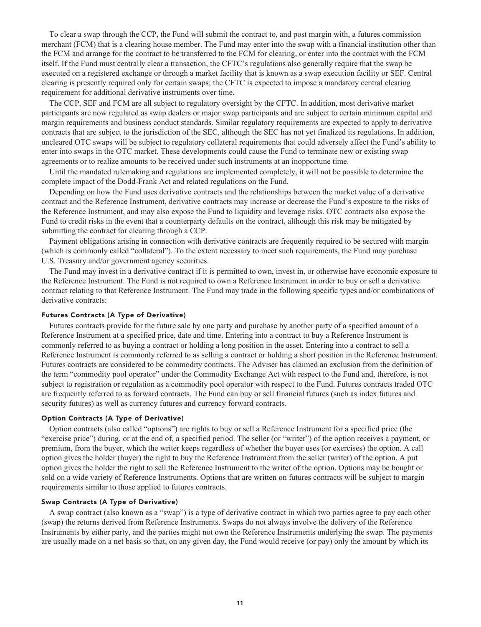**To clear a swap through the CCP, the Fund will submit the contract to, and post margin with, a futures commission merchant (FCM) that is a clearing house member. The Fund may enter into the swap with a financial institution other than the FCM and arrange for the contract to be transferred to the FCM for clearing, or enter into the contract with the FCM itself. If the Fund must centrally clear a transaction, the CFTC's regulations also generally require that the swap be executed on a registered exchange or through a market facility that is known as a swap execution facility or SEF. Central clearing is presently required only for certain swaps; the CFTC is expected to impose a mandatory central clearing requirement for additional derivative instruments over time.**

**The CCP, SEF and FCM are all subject to regulatory oversight by the CFTC. In addition, most derivative market participants are now regulated as swap dealers or major swap participants and are subject to certain minimum capital and margin requirements and business conduct standards. Similar regulatory requirements are expected to apply to derivative contracts that are subject to the jurisdiction of the SEC, although the SEC has not yet finalized its regulations. In addition, uncleared OTC swaps will be subject to regulatory collateral requirements that could adversely affect the Fund's ability to enter into swaps in the OTC market. These developments could cause the Fund to terminate new or existing swap agreements or to realize amounts to be received under such instruments at an inopportune time.**

**Until the mandated rulemaking and regulations are implemented completely, it will not be possible to determine the complete impact of the Dodd-Frank Act and related regulations on the Fund.**

**Depending on how the Fund uses derivative contracts and the relationships between the market value of a derivative contract and the Reference Instrument, derivative contracts may increase or decrease the Fund's exposure to the risks of the Reference Instrument, and may also expose the Fund to liquidity and leverage risks. OTC contracts also expose the Fund to credit risks in the event that a counterparty defaults on the contract, although this risk may be mitigated by submitting the contract for clearing through a CCP.**

**Payment obligations arising in connection with derivative contracts are frequently required to be secured with margin (which is commonly called "collateral"). To the extent necessary to meet such requirements, the Fund may purchase U.S. Treasury and/or government agency securities.**

**The Fund may invest in a derivative contract if it is permitted to own, invest in, or otherwise have economic exposure to the Reference Instrument. The Fund is not required to own a Reference Instrument in order to buy or sell a derivative contract relating to that Reference Instrument. The Fund may trade in the following specific types and/or combinations of derivative contracts:**

#### **Futures Contracts (A Type of Derivative)**

**Futures contracts provide for the future sale by one party and purchase by another party of a specified amount of a Reference Instrument at a specified price, date and time. Entering into a contract to buy a Reference Instrument is commonly referred to as buying a contract or holding a long position in the asset. Entering into a contract to sell a Reference Instrument is commonly referred to as selling a contract or holding a short position in the Reference Instrument. Futures contracts are considered to be commodity contracts. The Adviser has claimed an exclusion from the definition of the term "commodity pool operator" under the Commodity Exchange Act with respect to the Fund and, therefore, is not subject to registration or regulation as a commodity pool operator with respect to the Fund. Futures contracts traded OTC are frequently referred to as forward contracts. The Fund can buy or sell financial futures (such as index futures and security futures) as well as currency futures and currency forward contracts.**

# **Option Contracts (A Type of Derivative)**

**Option contracts (also called "options") are rights to buy or sell a Reference Instrument for a specified price (the "exercise price") during, or at the end of, a specified period. The seller (or "writer") of the option receives a payment, or premium, from the buyer, which the writer keeps regardless of whether the buyer uses (or exercises) the option. A call option gives the holder (buyer) the right to buy the Reference Instrument from the seller (writer) of the option. A put option gives the holder the right to sell the Reference Instrument to the writer of the option. Options may be bought or sold on a wide variety of Reference Instruments. Options that are written on futures contracts will be subject to margin requirements similar to those applied to futures contracts.**

### **Swap Contracts (A Type of Derivative)**

**A swap contract (also known as a "swap") is a type of derivative contract in which two parties agree to pay each other (swap) the returns derived from Reference Instruments. Swaps do not always involve the delivery of the Reference Instruments by either party, and the parties might not own the Reference Instruments underlying the swap. The payments are usually made on a net basis so that, on any given day, the Fund would receive (or pay) only the amount by which its**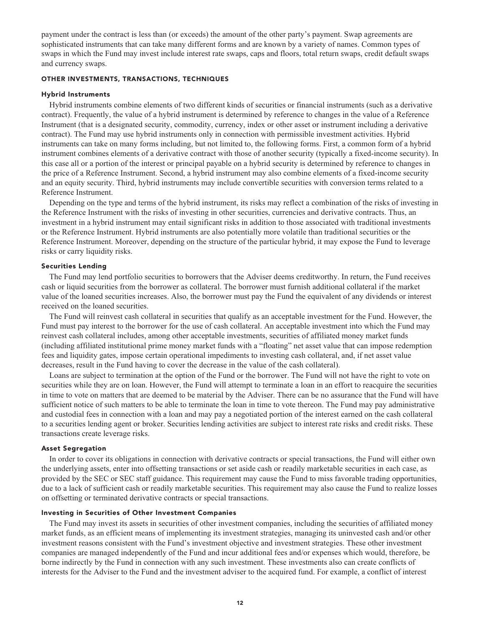**payment under the contract is less than (or exceeds) the amount of the other party's payment. Swap agreements are sophisticated instruments that can take many different forms and are known by a variety of names. Common types of swaps in which the Fund may invest include interest rate swaps, caps and floors, total return swaps, credit default swaps and currency swaps.**

#### **OTHER INVESTMENTS, TRANSACTIONS, TECHNIQUES**

#### **Hybrid Instruments**

**Hybrid instruments combine elements of two different kinds of securities or financial instruments (such as a derivative contract). Frequently, the value of a hybrid instrument is determined by reference to changes in the value of a Reference Instrument (that is a designated security, commodity, currency, index or other asset or instrument including a derivative contract). The Fund may use hybrid instruments only in connection with permissible investment activities. Hybrid instruments can take on many forms including, but not limited to, the following forms. First, a common form of a hybrid instrument combines elements of a derivative contract with those of another security (typically a fixed-income security). In this case all or a portion of the interest or principal payable on a hybrid security is determined by reference to changes in the price of a Reference Instrument. Second, a hybrid instrument may also combine elements of a fixed-income security and an equity security. Third, hybrid instruments may include convertible securities with conversion terms related to a Reference Instrument.**

**Depending on the type and terms of the hybrid instrument, its risks may reflect a combination of the risks of investing in the Reference Instrument with the risks of investing in other securities, currencies and derivative contracts. Thus, an investment in a hybrid instrument may entail significant risks in addition to those associated with traditional investments or the Reference Instrument. Hybrid instruments are also potentially more volatile than traditional securities or the Reference Instrument. Moreover, depending on the structure of the particular hybrid, it may expose the Fund to leverage risks or carry liquidity risks.**

#### **Securities Lending**

**The Fund may lend portfolio securities to borrowers that the Adviser deems creditworthy. In return, the Fund receives cash or liquid securities from the borrower as collateral. The borrower must furnish additional collateral if the market value of the loaned securities increases. Also, the borrower must pay the Fund the equivalent of any dividends or interest received on the loaned securities.**

**The Fund will reinvest cash collateral in securities that qualify as an acceptable investment for the Fund. However, the Fund must pay interest to the borrower for the use of cash collateral. An acceptable investment into which the Fund may reinvest cash collateral includes, among other acceptable investments, securities of affiliated money market funds (including affiliated institutional prime money market funds with a "floating" net asset value that can impose redemption fees and liquidity gates, impose certain operational impediments to investing cash collateral, and, if net asset value decreases, result in the Fund having to cover the decrease in the value of the cash collateral).**

**Loans are subject to termination at the option of the Fund or the borrower. The Fund will not have the right to vote on securities while they are on loan. However, the Fund will attempt to terminate a loan in an effort to reacquire the securities in time to vote on matters that are deemed to be material by the Adviser. There can be no assurance that the Fund will have sufficient notice of such matters to be able to terminate the loan in time to vote thereon. The Fund may pay administrative and custodial fees in connection with a loan and may pay a negotiated portion of the interest earned on the cash collateral to a securities lending agent or broker. Securities lending activities are subject to interest rate risks and credit risks. These transactions create leverage risks.**

#### **Asset Segregation**

**In order to cover its obligations in connection with derivative contracts or special transactions, the Fund will either own the underlying assets, enter into offsetting transactions or set aside cash or readily marketable securities in each case, as provided by the SEC or SEC staff guidance. This requirement may cause the Fund to miss favorable trading opportunities, due to a lack of sufficient cash or readily marketable securities. This requirement may also cause the Fund to realize losses on offsetting or terminated derivative contracts or special transactions.**

# **Investing in Securities of Other Investment Companies**

**The Fund may invest its assets in securities of other investment companies, including the securities of affiliated money market funds, as an efficient means of implementing its investment strategies, managing its uninvested cash and/or other investment reasons consistent with the Fund's investment objective and investment strategies. These other investment companies are managed independently of the Fund and incur additional fees and/or expenses which would, therefore, be borne indirectly by the Fund in connection with any such investment. These investments also can create conflicts of interests for the Adviser to the Fund and the investment adviser to the acquired fund. For example, a conflict of interest**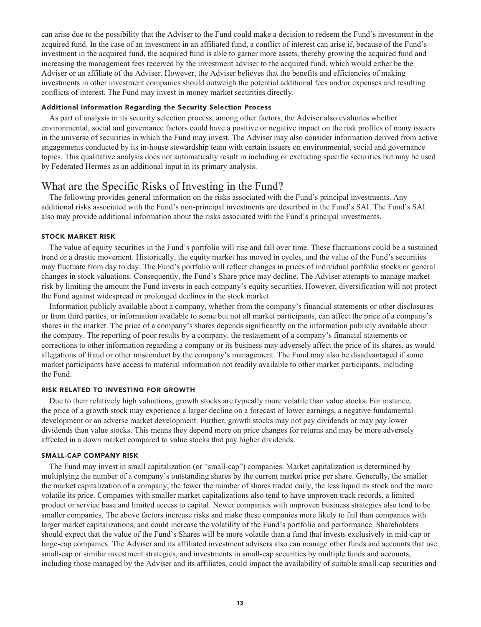**can arise due to the possibility that the Adviser to the Fund could make a decision to redeem the Fund's investment in the acquired fund. In the case of an investment in an affiliated fund, a conflict of interest can arise if, because of the Fund's investment in the acquired fund, the acquired fund is able to garner more assets, thereby growing the acquired fund and increasing the management fees received by the investment adviser to the acquired fund, which would either be the Adviser or an affiliate of the Adviser. However, the Adviser believes that the benefits and efficiencies of making investments in other investment companies should outweigh the potential additional fees and/or expenses and resulting conflicts of interest. The Fund may invest in money market securities directly.**

#### **Additional Information Regarding the Security Selection Process**

**As part of analysis in its security selection process, among other factors, the Adviser also evaluates whether environmental, social and governance factors could have a positive or negative impact on the risk profiles of many issuers in the universe of securities in which the Fund may invest. The Adviser may also consider information derived from active engagements conducted by its in-house stewardship team with certain issuers on environmental, social and governance topics. This qualitative analysis does not automatically result in including or excluding specific securities but may be used by Federated Hermes as an additional input in its primary analysis.**

# **What are the Specific Risks of Investing in the Fund?**

**The following provides general information on the risks associated with the Fund's principal investments. Any additional risks associated with the Fund's non-principal investments are described in the Fund's SAI. The Fund's SAI also may provide additional information about the risks associated with the Fund's principal investments.**

# **STOCK MARKET RISK**

**The value of equity securities in the Fund's portfolio will rise and fall over time. These fluctuations could be a sustained trend or a drastic movement. Historically, the equity market has moved in cycles, and the value of the Fund's securities may fluctuate from day to day. The Fund's portfolio will reflect changes in prices of individual portfolio stocks or general changes in stock valuations. Consequently, the Fund's Share price may decline. The Adviser attempts to manage market risk by limiting the amount the Fund invests in each company's equity securities. However, diversification will not protect the Fund against widespread or prolonged declines in the stock market.**

**Information publicly available about a company, whether from the company's financial statements or other disclosures or from third parties, or information available to some but not all market participants, can affect the price of a company's shares in the market. The price of a company's shares depends significantly on the information publicly available about the company. The reporting of poor results by a company, the restatement of a company's financial statements or corrections to other information regarding a company or its business may adversely affect the price of its shares, as would allegations of fraud or other misconduct by the company's management. The Fund may also be disadvantaged if some market participants have access to material information not readily available to other market participants, including the Fund.**

# **RISK RELATED TO INVESTING FOR GROWTH**

**Due to their relatively high valuations, growth stocks are typically more volatile than value stocks. For instance, the price of a growth stock may experience a larger decline on a forecast of lower earnings, a negative fundamental development or an adverse market development. Further, growth stocks may not pay dividends or may pay lower dividends than value stocks. This means they depend more on price changes for returns and may be more adversely affected in a down market compared to value stocks that pay higher dividends.**

#### **SMALL-CAP COMPANY RISK**

**The Fund may invest in small capitalization (or "small-cap") companies. Market capitalization is determined by multiplying the number of a company's outstanding shares by the current market price per share. Generally, the smaller the market capitalization of a company, the fewer the number of shares traded daily, the less liquid its stock and the more volatile its price. Companies with smaller market capitalizations also tend to have unproven track records, a limited product or service base and limited access to capital. Newer companies with unproven business strategies also tend to be smaller companies. The above factors increase risks and make these companies more likely to fail than companies with larger market capitalizations, and could increase the volatility of the Fund's portfolio and performance. Shareholders should expect that the value of the Fund's Shares will be more volatile than a fund that invests exclusively in mid-cap or large-cap companies. The Adviser and its affiliated investment advisers also can manage other funds and accounts that use small-cap or similar investment strategies, and investments in small-cap securities by multiple funds and accounts, including those managed by the Adviser and its affiliates, could impact the availability of suitable small-cap securities and**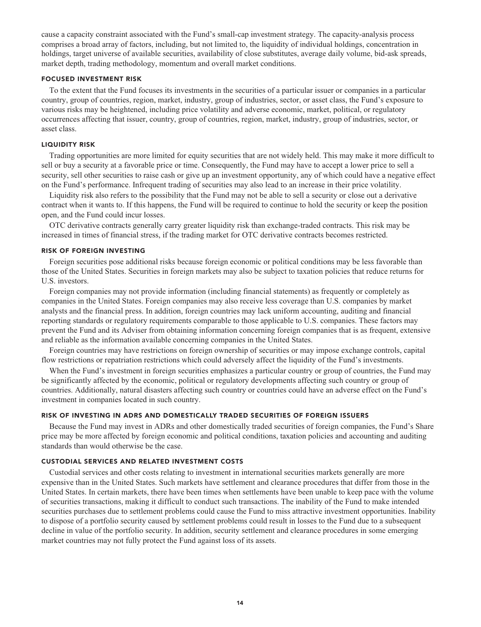**cause a capacity constraint associated with the Fund's small-cap investment strategy. The capacity-analysis process comprises a broad array of factors, including, but not limited to, the liquidity of individual holdings, concentration in holdings, target universe of available securities, availability of close substitutes, average daily volume, bid-ask spreads, market depth, trading methodology, momentum and overall market conditions.**

### **FOCUSED INVESTMENT RISK**

**To the extent that the Fund focuses its investments in the securities of a particular issuer or companies in a particular country, group of countries, region, market, industry, group of industries, sector, or asset class, the Fund's exposure to various risks may be heightened, including price volatility and adverse economic, market, political, or regulatory occurrences affecting that issuer, country, group of countries, region, market, industry, group of industries, sector, or asset class.**

#### **LIQUIDITY RISK**

**Trading opportunities are more limited for equity securities that are not widely held. This may make it more difficult to sell or buy a security at a favorable price or time. Consequently, the Fund may have to accept a lower price to sell a security, sell other securities to raise cash or give up an investment opportunity, any of which could have a negative effect on the Fund's performance. Infrequent trading of securities may also lead to an increase in their price volatility.**

**Liquidity risk also refers to the possibility that the Fund may not be able to sell a security or close out a derivative contract when it wants to. If this happens, the Fund will be required to continue to hold the security or keep the position open, and the Fund could incur losses.**

**OTC derivative contracts generally carry greater liquidity risk than exchange-traded contracts. This risk may be increased in times of financial stress, if the trading market for OTC derivative contracts becomes restricted.**

# **RISK OF FOREIGN INVESTING**

**Foreign securities pose additional risks because foreign economic or political conditions may be less favorable than those of the United States. Securities in foreign markets may also be subject to taxation policies that reduce returns for U.S. investors.**

**Foreign companies may not provide information (including financial statements) as frequently or completely as companies in the United States. Foreign companies may also receive less coverage than U.S. companies by market analysts and the financial press. In addition, foreign countries may lack uniform accounting, auditing and financial reporting standards or regulatory requirements comparable to those applicable to U.S. companies. These factors may prevent the Fund and its Adviser from obtaining information concerning foreign companies that is as frequent, extensive and reliable as the information available concerning companies in the United States.**

**Foreign countries may have restrictions on foreign ownership of securities or may impose exchange controls, capital flow restrictions or repatriation restrictions which could adversely affect the liquidity of the Fund's investments.**

**When the Fund's investment in foreign securities emphasizes a particular country or group of countries, the Fund may be significantly affected by the economic, political or regulatory developments affecting such country or group of countries. Additionally, natural disasters affecting such country or countries could have an adverse effect on the Fund's investment in companies located in such country.**

# **RISK OF INVESTING IN ADRS AND DOMESTICALLY TRADED SECURITIES OF FOREIGN ISSUERS**

**Because the Fund may invest in ADRs and other domestically traded securities of foreign companies, the Fund's Share price may be more affected by foreign economic and political conditions, taxation policies and accounting and auditing standards than would otherwise be the case.**

# **CUSTODIAL SERVICES AND RELATED INVESTMENT COSTS**

**Custodial services and other costs relating to investment in international securities markets generally are more expensive than in the United States. Such markets have settlement and clearance procedures that differ from those in the United States. In certain markets, there have been times when settlements have been unable to keep pace with the volume of securities transactions, making it difficult to conduct such transactions. The inability of the Fund to make intended securities purchases due to settlement problems could cause the Fund to miss attractive investment opportunities. Inability to dispose of a portfolio security caused by settlement problems could result in losses to the Fund due to a subsequent decline in value of the portfolio security. In addition, security settlement and clearance procedures in some emerging market countries may not fully protect the Fund against loss of its assets.**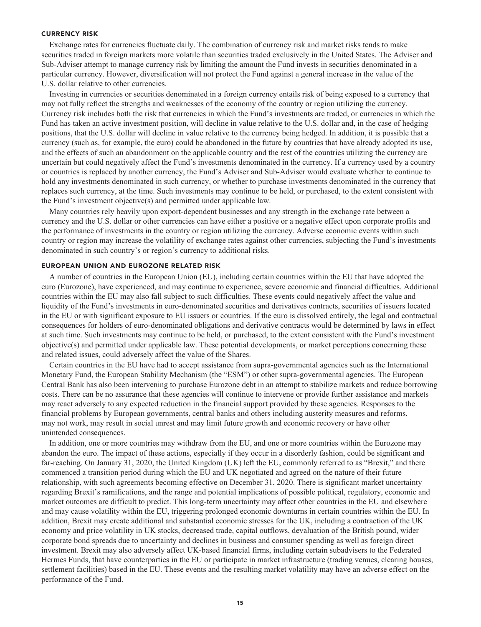#### **CURRENCY RISK**

**Exchange rates for currencies fluctuate daily. The combination of currency risk and market risks tends to make securities traded in foreign markets more volatile than securities traded exclusively in the United States. The Adviser and Sub-Adviser attempt to manage currency risk by limiting the amount the Fund invests in securities denominated in a particular currency. However, diversification will not protect the Fund against a general increase in the value of the U.S. dollar relative to other currencies.**

**Investing in currencies or securities denominated in a foreign currency entails risk of being exposed to a currency that may not fully reflect the strengths and weaknesses of the economy of the country or region utilizing the currency. Currency risk includes both the risk that currencies in which the Fund's investments are traded, or currencies in which the Fund has taken an active investment position, will decline in value relative to the U.S. dollar and, in the case of hedging positions, that the U.S. dollar will decline in value relative to the currency being hedged. In addition, it is possible that a currency (such as, for example, the euro) could be abandoned in the future by countries that have already adopted its use, and the effects of such an abandonment on the applicable country and the rest of the countries utilizing the currency are uncertain but could negatively affect the Fund's investments denominated in the currency. If a currency used by a country or countries is replaced by another currency, the Fund's Adviser and Sub-Adviser would evaluate whether to continue to hold any investments denominated in such currency, or whether to purchase investments denominated in the currency that replaces such currency, at the time. Such investments may continue to be held, or purchased, to the extent consistent with the Fund's investment objective(s) and permitted under applicable law.**

**Many countries rely heavily upon export-dependent businesses and any strength in the exchange rate between a currency and the U.S. dollar or other currencies can have either a positive or a negative effect upon corporate profits and the performance of investments in the country or region utilizing the currency. Adverse economic events within such country or region may increase the volatility of exchange rates against other currencies, subjecting the Fund's investments denominated in such country's or region's currency to additional risks.**

# **EUROPEAN UNION AND EUROZONE RELATED RISK**

**A number of countries in the European Union (EU), including certain countries within the EU that have adopted the euro (Eurozone), have experienced, and may continue to experience, severe economic and financial difficulties. Additional countries within the EU may also fall subject to such difficulties. These events could negatively affect the value and liquidity of the Fund's investments in euro-denominated securities and derivatives contracts, securities of issuers located in the EU or with significant exposure to EU issuers or countries. If the euro is dissolved entirely, the legal and contractual consequences for holders of euro-denominated obligations and derivative contracts would be determined by laws in effect at such time. Such investments may continue to be held, or purchased, to the extent consistent with the Fund's investment objective(s) and permitted under applicable law. These potential developments, or market perceptions concerning these and related issues, could adversely affect the value of the Shares.**

**Certain countries in the EU have had to accept assistance from supra-governmental agencies such as the International Monetary Fund, the European Stability Mechanism (the "ESM") or other supra-governmental agencies. The European Central Bank has also been intervening to purchase Eurozone debt in an attempt to stabilize markets and reduce borrowing costs. There can be no assurance that these agencies will continue to intervene or provide further assistance and markets may react adversely to any expected reduction in the financial support provided by these agencies. Responses to the financial problems by European governments, central banks and others including austerity measures and reforms, may not work, may result in social unrest and may limit future growth and economic recovery or have other unintended consequences.**

**In addition, one or more countries may withdraw from the EU, and one or more countries within the Eurozone may abandon the euro. The impact of these actions, especially if they occur in a disorderly fashion, could be significant and far-reaching. On January 31, 2020, the United Kingdom (UK) left the EU, commonly referred to as "Brexit," and there commenced a transition period during which the EU and UK negotiated and agreed on the nature of their future relationship, with such agreements becoming effective on December 31, 2020. There is significant market uncertainty regarding Brexit's ramifications, and the range and potential implications of possible political, regulatory, economic and market outcomes are difficult to predict. This long-term uncertainty may affect other countries in the EU and elsewhere and may cause volatility within the EU, triggering prolonged economic downturns in certain countries within the EU. In addition, Brexit may create additional and substantial economic stresses for the UK, including a contraction of the UK economy and price volatility in UK stocks, decreased trade, capital outflows, devaluation of the British pound, wider corporate bond spreads due to uncertainty and declines in business and consumer spending as well as foreign direct investment. Brexit may also adversely affect UK-based financial firms, including certain subadvisers to the Federated Hermes Funds, that have counterparties in the EU or participate in market infrastructure (trading venues, clearing houses, settlement facilities) based in the EU. These events and the resulting market volatility may have an adverse effect on the performance of the Fund.**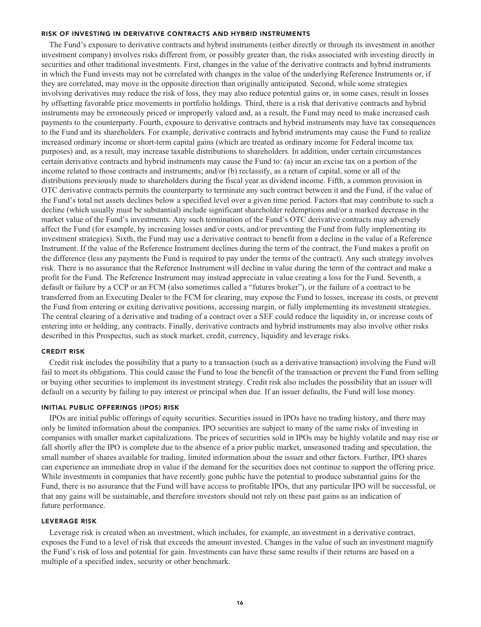#### **RISK OF INVESTING IN DERIVATIVE CONTRACTS AND HYBRID INSTRUMENTS**

**The Fund's exposure to derivative contracts and hybrid instruments (either directly or through its investment in another investment company) involves risks different from, or possibly greater than, the risks associated with investing directly in securities and other traditional investments. First, changes in the value of the derivative contracts and hybrid instruments in which the Fund invests may not be correlated with changes in the value of the underlying Reference Instruments or, if they are correlated, may move in the opposite direction than originally anticipated. Second, while some strategies involving derivatives may reduce the risk of loss, they may also reduce potential gains or, in some cases, result in losses by offsetting favorable price movements in portfolio holdings. Third, there is a risk that derivative contracts and hybrid instruments may be erroneously priced or improperly valued and, as a result, the Fund may need to make increased cash payments to the counterparty. Fourth, exposure to derivative contracts and hybrid instruments may have tax consequences to the Fund and its shareholders. For example, derivative contracts and hybrid instruments may cause the Fund to realize increased ordinary income or short-term capital gains (which are treated as ordinary income for Federal income tax purposes) and, as a result, may increase taxable distributions to shareholders. In addition, under certain circumstances certain derivative contracts and hybrid instruments may cause the Fund to: (a) incur an excise tax on a portion of the income related to those contracts and instruments; and/or (b) reclassify, as a return of capital, some or all of the distributions previously made to shareholders during the fiscal year as dividend income. Fifth, a common provision in OTC derivative contracts permits the counterparty to terminate any such contract between it and the Fund, if the value of the Fund's total net assets declines below a specified level over a given time period. Factors that may contribute to such a decline (which usually must be substantial) include significant shareholder redemptions and/or a marked decrease in the market value of the Fund's investments. Any such termination of the Fund's OTC derivative contracts may adversely affect the Fund (for example, by increasing losses and/or costs, and/or preventing the Fund from fully implementing its investment strategies). Sixth, the Fund may use a derivative contract to benefit from a decline in the value of a Reference Instrument. If the value of the Reference Instrument declines during the term of the contract, the Fund makes a profit on the difference (less any payments the Fund is required to pay under the terms of the contract). Any such strategy involves risk. There is no assurance that the Reference Instrument will decline in value during the term of the contract and make a profit for the Fund. The Reference Instrument may instead appreciate in value creating a loss for the Fund. Seventh, a default or failure by a CCP or an FCM (also sometimes called a "futures broker"), or the failure of a contract to be transferred from an Executing Dealer to the FCM for clearing, may expose the Fund to losses, increase its costs, or prevent the Fund from entering or exiting derivative positions, accessing margin, or fully implementing its investment strategies. The central clearing of a derivative and trading of a contract over a SEF could reduce the liquidity in, or increase costs of entering into or holding, any contracts. Finally, derivative contracts and hybrid instruments may also involve other risks described in this Prospectus, such as stock market, credit, currency, liquidity and leverage risks.**

#### **CREDIT RISK**

**Credit risk includes the possibility that a party to a transaction (such as a derivative transaction) involving the Fund will fail to meet its obligations. This could cause the Fund to lose the benefit of the transaction or prevent the Fund from selling or buying other securities to implement its investment strategy. Credit risk also includes the possibility that an issuer will default on a security by failing to pay interest or principal when due. If an issuer defaults, the Fund will lose money.**

# **INITIAL PUBLIC OFFERINGS (IPOS) RISK**

**IPOs are initial public offerings of equity securities. Securities issued in IPOs have no trading history, and there may only be limited information about the companies. IPO securities are subject to many of the same risks of investing in companies with smaller market capitalizations. The prices of securities sold in IPOs may be highly volatile and may rise or fall shortly after the IPO is complete due to the absence of a prior public market, unseasoned trading and speculation, the small number of shares available for trading, limited information about the issuer and other factors. Further, IPO shares can experience an immediate drop in value if the demand for the securities does not continue to support the offering price. While investments in companies that have recently gone public have the potential to produce substantial gains for the Fund, there is no assurance that the Fund will have access to profitable IPOs, that any particular IPO will be successful, or that any gains will be sustainable, and therefore investors should not rely on these past gains as an indication of future performance.**

# **LEVERAGE RISK**

**Leverage risk is created when an investment, which includes, for example, an investment in a derivative contract, exposes the Fund to a level of risk that exceeds the amount invested. Changes in the value of such an investment magnify the Fund's risk of loss and potential for gain. Investments can have these same results if their returns are based on a multiple of a specified index, security or other benchmark.**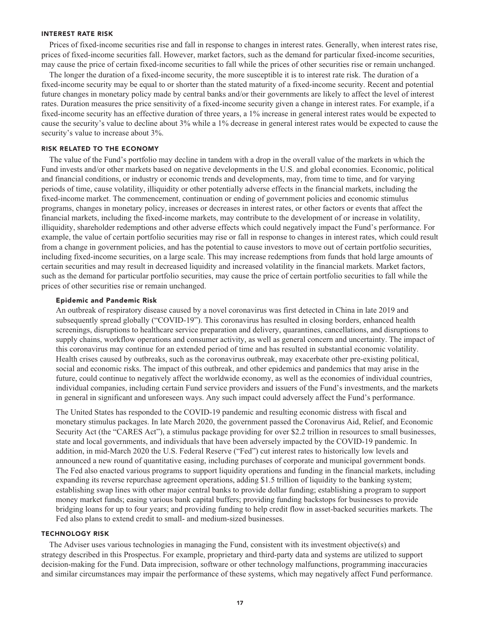#### **INTEREST RATE RISK**

**Prices of fixed-income securities rise and fall in response to changes in interest rates. Generally, when interest rates rise, prices of fixed-income securities fall. However, market factors, such as the demand for particular fixed-income securities, may cause the price of certain fixed-income securities to fall while the prices of other securities rise or remain unchanged.**

**The longer the duration of a fixed-income security, the more susceptible it is to interest rate risk. The duration of a fixed-income security may be equal to or shorter than the stated maturity of a fixed-income security. Recent and potential future changes in monetary policy made by central banks and/or their governments are likely to affect the level of interest rates. Duration measures the price sensitivity of a fixed-income security given a change in interest rates. For example, if a fixed-income security has an effective duration of three years, a 1% increase in general interest rates would be expected to cause the security's value to decline about 3% while a 1% decrease in general interest rates would be expected to cause the security's value to increase about 3%.**

#### **RISK RELATED TO THE ECONOMY**

**The value of the Fund's portfolio may decline in tandem with a drop in the overall value of the markets in which the Fund invests and/or other markets based on negative developments in the U.S. and global economies. Economic, political and financial conditions, or industry or economic trends and developments, may, from time to time, and for varying periods of time, cause volatility, illiquidity or other potentially adverse effects in the financial markets, including the fixed-income market. The commencement, continuation or ending of government policies and economic stimulus programs, changes in monetary policy, increases or decreases in interest rates, or other factors or events that affect the financial markets, including the fixed-income markets, may contribute to the development of or increase in volatility, illiquidity, shareholder redemptions and other adverse effects which could negatively impact the Fund's performance. For example, the value of certain portfolio securities may rise or fall in response to changes in interest rates, which could result from a change in government policies, and has the potential to cause investors to move out of certain portfolio securities, including fixed-income securities, on a large scale. This may increase redemptions from funds that hold large amounts of certain securities and may result in decreased liquidity and increased volatility in the financial markets. Market factors, such as the demand for particular portfolio securities, may cause the price of certain portfolio securities to fall while the prices of other securities rise or remain unchanged.**

#### **Epidemic and Pandemic Risk**

**An outbreak of respiratory disease caused by a novel coronavirus was first detected in China in late 2019 and subsequently spread globally ("COVID-19"). This coronavirus has resulted in closing borders, enhanced health screenings, disruptions to healthcare service preparation and delivery, quarantines, cancellations, and disruptions to supply chains, workflow operations and consumer activity, as well as general concern and uncertainty. The impact of this coronavirus may continue for an extended period of time and has resulted in substantial economic volatility. Health crises caused by outbreaks, such as the coronavirus outbreak, may exacerbate other pre-existing political, social and economic risks. The impact of this outbreak, and other epidemics and pandemics that may arise in the future, could continue to negatively affect the worldwide economy, as well as the economies of individual countries, individual companies, including certain Fund service providers and issuers of the Fund's investments, and the markets in general in significant and unforeseen ways. Any such impact could adversely affect the Fund's performance.**

**The United States has responded to the COVID-19 pandemic and resulting economic distress with fiscal and monetary stimulus packages. In late March 2020, the government passed the Coronavirus Aid, Relief, and Economic Security Act (the "CARES Act"), a stimulus package providing for over \$2.2 trillion in resources to small businesses, state and local governments, and individuals that have been adversely impacted by the COVID-19 pandemic. In addition, in mid-March 2020 the U.S. Federal Reserve ("Fed") cut interest rates to historically low levels and announced a new round of quantitative easing, including purchases of corporate and municipal government bonds. The Fed also enacted various programs to support liquidity operations and funding in the financial markets, including expanding its reverse repurchase agreement operations, adding \$1.5 trillion of liquidity to the banking system; establishing swap lines with other major central banks to provide dollar funding; establishing a program to support money market funds; easing various bank capital buffers; providing funding backstops for businesses to provide bridging loans for up to four years; and providing funding to help credit flow in asset-backed securities markets. The Fed also plans to extend credit to small- and medium-sized businesses.**

#### **TECHNOLOGY RISK**

**The Adviser uses various technologies in managing the Fund, consistent with its investment objective(s) and strategy described in this Prospectus. For example, proprietary and third-party data and systems are utilized to support decision-making for the Fund. Data imprecision, software or other technology malfunctions, programming inaccuracies and similar circumstances may impair the performance of these systems, which may negatively affect Fund performance.**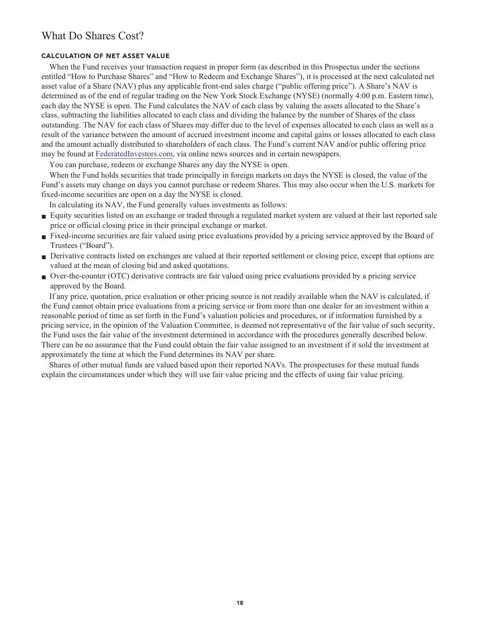# **What Do Shares Cost?**

# **CALCULATION OF NET ASSET VALUE**

**When the Fund receives your transaction request in proper form (as described in this Prospectus under the sections entitled "How to Purchase Shares" and "How to Redeem and Exchange Shares"), it is processed at the next calculated net asset value of a Share (NAV) plus any applicable front-end sales charge ("public offering price"). A Share's NAV is determined as of the end of regular trading on the New York Stock Exchange (NYSE) (normally 4:00 p.m. Eastern time), each day the NYSE is open. The Fund calculates the NAV of each class by valuing the assets allocated to the Share's class, subtracting the liabilities allocated to each class and dividing the balance by the number of Shares of the class outstanding. The NAV for each class of Shares may differ due to the level of expenses allocated to each class as well as a result of the variance between the amount of accrued investment income and capital gains or losses allocated to each class and the amount actually distributed to shareholders of each class. The Fund's current NAV and/or public offering price may be found at [FederatedInvestors.com,](https://www.federatedinvestors.com/home.do) via online news sources and in certain newspapers.**

**You can purchase, redeem or exchange Shares any day the NYSE is open.**

**When the Fund holds securities that trade principally in foreign markets on days the NYSE is closed, the value of the Fund's assets may change on days you cannot purchase or redeem Shares. This may also occur when the U.S. markets for fixed-income securities are open on a day the NYSE is closed.**

**In calculating its NAV, the Fund generally values investments as follows:**

- **■ Equity securities listed on an exchange or traded through a regulated market system are valued at their last reported sale price or official closing price in their principal exchange or market.**
- **■ Fixed-income securities are fair valued using price evaluations provided by a pricing service approved by the Board of Trustees ("Board").**
- **■ Derivative contracts listed on exchanges are valued at their reported settlement or closing price, except that options are valued at the mean of closing bid and asked quotations.**
- **■ Over-the-counter (OTC) derivative contracts are fair valued using price evaluations provided by a pricing service approved by the Board.**

**If any price, quotation, price evaluation or other pricing source is not readily available when the NAV is calculated, if the Fund cannot obtain price evaluations from a pricing service or from more than one dealer for an investment within a reasonable period of time as set forth in the Fund's valuation policies and procedures, or if information furnished by a pricing service, in the opinion of the Valuation Committee, is deemed not representative of the fair value of such security, the Fund uses the fair value of the investment determined in accordance with the procedures generally described below. There can be no assurance that the Fund could obtain the fair value assigned to an investment if it sold the investment at approximately the time at which the Fund determines its NAV per share.**

**Shares of other mutual funds are valued based upon their reported NAVs. The prospectuses for these mutual funds explain the circumstances under which they will use fair value pricing and the effects of using fair value pricing.**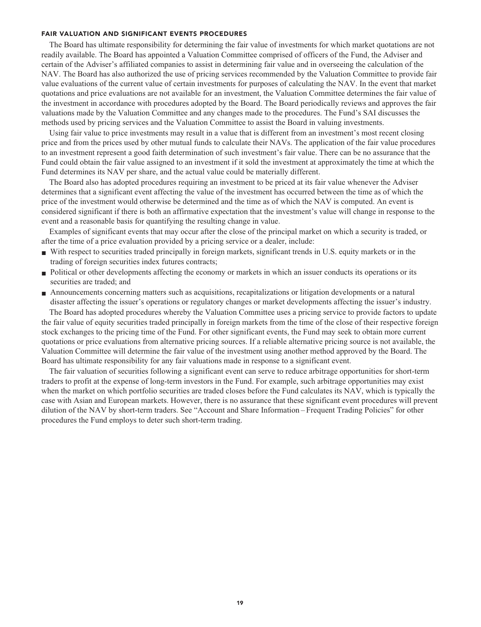#### **FAIR VALUATION AND SIGNIFICANT EVENTS PROCEDURES**

**The Board has ultimate responsibility for determining the fair value of investments for which market quotations are not readily available. The Board has appointed a Valuation Committee comprised of officers of the Fund, the Adviser and certain of the Adviser's affiliated companies to assist in determining fair value and in overseeing the calculation of the NAV. The Board has also authorized the use of pricing services recommended by the Valuation Committee to provide fair value evaluations of the current value of certain investments for purposes of calculating the NAV. In the event that market quotations and price evaluations are not available for an investment, the Valuation Committee determines the fair value of the investment in accordance with procedures adopted by the Board. The Board periodically reviews and approves the fair valuations made by the Valuation Committee and any changes made to the procedures. The Fund's SAI discusses the methods used by pricing services and the Valuation Committee to assist the Board in valuing investments.**

**Using fair value to price investments may result in a value that is different from an investment's most recent closing price and from the prices used by other mutual funds to calculate their NAVs. The application of the fair value procedures to an investment represent a good faith determination of such investment's fair value. There can be no assurance that the Fund could obtain the fair value assigned to an investment if it sold the investment at approximately the time at which the Fund determines its NAV per share, and the actual value could be materially different.**

**The Board also has adopted procedures requiring an investment to be priced at its fair value whenever the Adviser determines that a significant event affecting the value of the investment has occurred between the time as of which the price of the investment would otherwise be determined and the time as of which the NAV is computed. An event is considered significant if there is both an affirmative expectation that the investment's value will change in response to the event and a reasonable basis for quantifying the resulting change in value.**

**Examples of significant events that may occur after the close of the principal market on which a security is traded, or after the time of a price evaluation provided by a pricing service or a dealer, include:**

- **■ With respect to securities traded principally in foreign markets, significant trends in U.S. equity markets or in the trading of foreign securities index futures contracts;**
- **Political or other developments affecting the economy or markets in which an issuer conducts its operations or its securities are traded; and**
- **■ Announcements concerning matters such as acquisitions, recapitalizations or litigation developments or a natural disaster affecting the issuer's operations or regulatory changes or market developments affecting the issuer's industry.**

**The Board has adopted procedures whereby the Valuation Committee uses a pricing service to provide factors to update the fair value of equity securities traded principally in foreign markets from the time of the close of their respective foreign stock exchanges to the pricing time of the Fund. For other significant events, the Fund may seek to obtain more current quotations or price evaluations from alternative pricing sources. If a reliable alternative pricing source is not available, the Valuation Committee will determine the fair value of the investment using another method approved by the Board. The Board has ultimate responsibility for any fair valuations made in response to a significant event.**

**The fair valuation of securities following a significant event can serve to reduce arbitrage opportunities for short-term traders to profit at the expense of long-term investors in the Fund. For example, such arbitrage opportunities may exist when the market on which portfolio securities are traded closes before the Fund calculates its NAV, which is typically the case with Asian and European markets. However, there is no assurance that these significant event procedures will prevent dilution of the NAV by short-term traders. See "Account and Share Information – Frequent Trading Policies" for other procedures the Fund employs to deter such short-term trading.**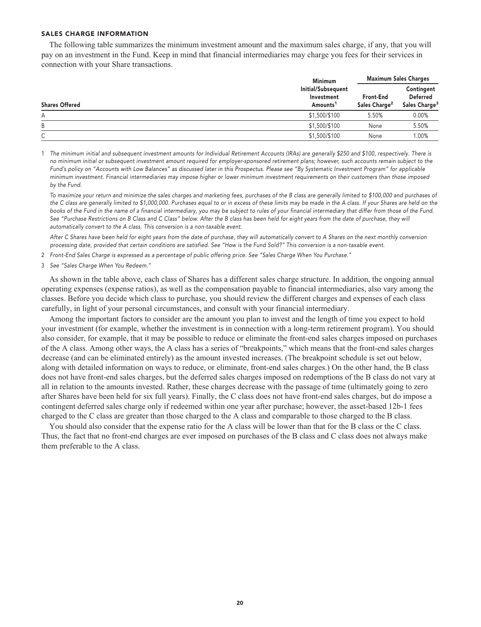#### **SALES CHARGE INFORMATION**

**The following table summarizes the minimum investment amount and the maximum sales charge, if any, that you will pay on an investment in the Fund. Keep in mind that financial intermediaries may charge you fees for their services in connection with your Share transactions.**

|                       | <b>Minimum</b>                                           |       | <b>Maximum Sales Charges</b>                               |
|-----------------------|----------------------------------------------------------|-------|------------------------------------------------------------|
| <b>Shares Offered</b> | Initial/Subsequent<br>Investment<br>Amounts <sup>1</sup> |       | Contingent<br><b>Deferred</b><br>Sales Charge <sup>3</sup> |
| А                     | \$1,500/\$100                                            | 5.50% | 0.00%                                                      |
| B                     | \$1,500/\$100                                            | None  | 5.50%                                                      |
| $\Gamma$<br>◡         | \$1,500/\$100                                            | None  | 1.00%                                                      |

**1 The minimum initial and subsequent investment amounts for Individual Retirement Accounts (IRAs) are generally \$250 and \$100, respectively. There is no minimum initial or subsequent investment amount required for employer-sponsored retirement plans; however, such accounts remain subject to the Fund's policy on "Accounts with Low Balances" as discussed later in this Prospectus. Please see "By Systematic Investment Program" for applicable minimum investment. Financial intermediaries may impose higher or lower minimum investment requirements on their customers than those imposed by the Fund.**

 **To maximize your return and minimize the sales charges and marketing fees, purchases of the B class are generally limited to \$100,000 and purchases of the C class are generally limited to \$1,000,000. Purchases equal to or in excess of these limits may be made in the A class. If your Shares are held on the books of the Fund in the name of a financial intermediary, you may be subject to rules of your financial intermediary that differ from those of the Fund. See "Purchase Restrictions on B Class and C Class" below. After the B class has been held for eight years from the date of purchase, they will automatically convert to the A class. This conversion is a non-taxable event.**

 **After C Shares have been held for eight years from the date of purchase, they will automatically convert to A Shares on the next monthly conversion processing date, provided that certain conditions are satisfied. See "How is the Fund Sold?" This conversion is a non-taxable event.**

- **2 Front-End Sales Charge is expressed as a percentage of public offering price. See "Sales Charge When You Purchase."**
- **3 See "Sales Charge When You Redeem."**

**As shown in the table above, each class of Shares has a different sales charge structure. In addition, the ongoing annual operating expenses (expense ratios), as well as the compensation payable to financial intermediaries, also vary among the classes. Before you decide which class to purchase, you should review the different charges and expenses of each class carefully, in light of your personal circumstances, and consult with your financial intermediary.**

**Among the important factors to consider are the amount you plan to invest and the length of time you expect to hold your investment (for example, whether the investment is in connection with a long-term retirement program). You should also consider, for example, that it may be possible to reduce or eliminate the front-end sales charges imposed on purchases of the A class. Among other ways, the A class has a series of "breakpoints," which means that the front-end sales charges decrease (and can be eliminated entirely) as the amount invested increases. (The breakpoint schedule is set out below, along with detailed information on ways to reduce, or eliminate, front-end sales charges.) On the other hand, the B class does not have front-end sales charges, but the deferred sales charges imposed on redemptions of the B class do not vary at all in relation to the amounts invested. Rather, these charges decrease with the passage of time (ultimately going to zero after Shares have been held for six full years). Finally, the C class does not have front-end sales charges, but do impose a contingent deferred sales charge only if redeemed within one year after purchase; however, the asset-based 12b-1 fees charged to the C class are greater than those charged to the A class and comparable to those charged to the B class.**

**You should also consider that the expense ratio for the A class will be lower than that for the B class or the C class. Thus, the fact that no front-end charges are ever imposed on purchases of the B class and C class does not always make them preferable to the A class.**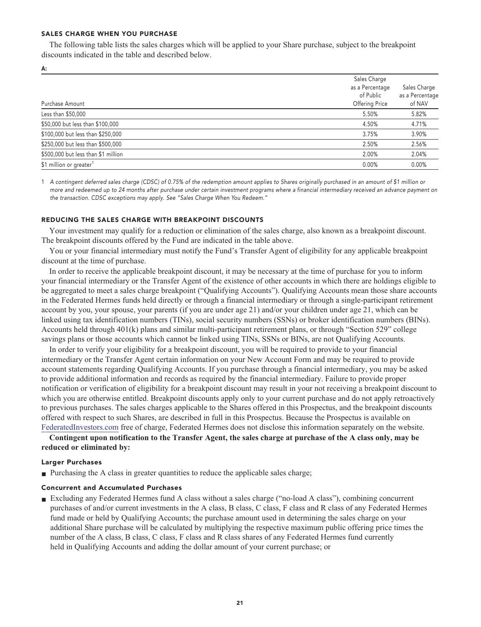# **SALES CHARGE WHEN YOU PURCHASE**

**The following table lists the sales charges which will be applied to your Share purchase, subject to the breakpoint discounts indicated in the table and described below.**

| ٠ |  |
|---|--|

|                                     | Sales Charge    |                 |
|-------------------------------------|-----------------|-----------------|
|                                     | as a Percentage | Sales Charge    |
|                                     | of Public       | as a Percentage |
| Purchase Amount                     | Offering Price  | of NAV          |
| Less than \$50,000                  | 5.50%           | 5.82%           |
| \$50,000 but less than \$100,000    | 4.50%           | 4.71%           |
| \$100,000 but less than \$250,000   | 3.75%           | 3.90%           |
| \$250,000 but less than \$500,000   | 2.50%           | 2.56%           |
| \$500,000 but less than \$1 million | 2.00%           | 2.04%           |
| \$1 million or greater <sup>1</sup> | 0.00%           | 0.00%           |

**1 A contingent deferred sales charge (CDSC) of 0.75% of the redemption amount applies to Shares originally purchased in an amount of \$1 million or more and redeemed up to 24 months after purchase under certain investment programs where a financial intermediary received an advance payment on the transaction. CDSC exceptions may apply. See "Sales Charge When You Redeem."**

# **REDUCING THE SALES CHARGE WITH BREAKPOINT DISCOUNTS**

**Your investment may qualify for a reduction or elimination of the sales charge, also known as a breakpoint discount. The breakpoint discounts offered by the Fund are indicated in the table above.**

**You or your financial intermediary must notify the Fund's Transfer Agent of eligibility for any applicable breakpoint discount at the time of purchase.**

**In order to receive the applicable breakpoint discount, it may be necessary at the time of purchase for you to inform your financial intermediary or the Transfer Agent of the existence of other accounts in which there are holdings eligible to be aggregated to meet a sales charge breakpoint ("Qualifying Accounts"). Qualifying Accounts mean those share accounts in the Federated Hermes funds held directly or through a financial intermediary or through a single-participant retirement account by you, your spouse, your parents (if you are under age 21) and/or your children under age 21, which can be linked using tax identification numbers (TINs), social security numbers (SSNs) or broker identification numbers (BINs). Accounts held through 401(k) plans and similar multi-participant retirement plans, or through "Section 529" college savings plans or those accounts which cannot be linked using TINs, SSNs or BINs, are not Qualifying Accounts.**

**In order to verify your eligibility for a breakpoint discount, you will be required to provide to your financial intermediary or the Transfer Agent certain information on your New Account Form and may be required to provide account statements regarding Qualifying Accounts. If you purchase through a financial intermediary, you may be asked to provide additional information and records as required by the financial intermediary. Failure to provide proper notification or verification of eligibility for a breakpoint discount may result in your not receiving a breakpoint discount to which you are otherwise entitled. Breakpoint discounts apply only to your current purchase and do not apply retroactively to previous purchases. The sales charges applicable to the Shares offered in this Prospectus, and the breakpoint discounts offered with respect to such Shares, are described in full in this Prospectus. Because the Prospectus is available on [FederatedInvestors.com](https://www.federatedinvestors.com/home.do) free of charge, Federated Hermes does not disclose this information separately on the website.**

**Contingent upon notification to the Transfer Agent, the sales charge at purchase of the A class only, may be reduced or eliminated by:**

# **Larger Purchases**

■ **Purchasing the A class in greater quantities to reduce the applicable sales charge;** 

# **Concurrent and Accumulated Purchases**

**■ Excluding any Federated Hermes fund A class without a sales charge ("no-load A class"), combining concurrent purchases of and/or current investments in the A class, B class, C class, F class and R class of any Federated Hermes fund made or held by Qualifying Accounts; the purchase amount used in determining the sales charge on your additional Share purchase will be calculated by multiplying the respective maximum public offering price times the number of the A class, B class, C class, F class and R class shares of any Federated Hermes fund currently held in Qualifying Accounts and adding the dollar amount of your current purchase; or**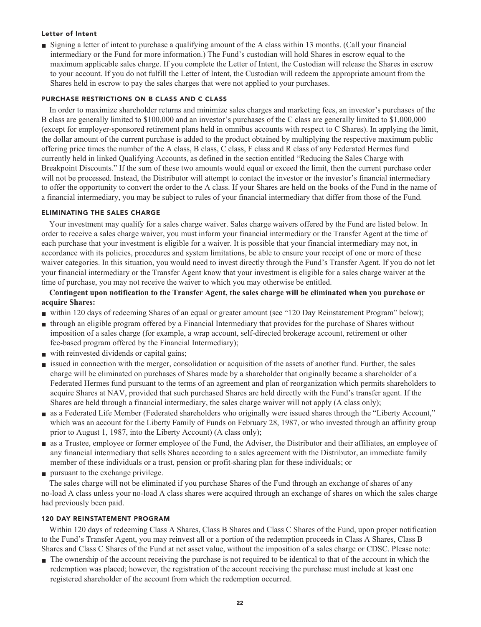# **Letter of Intent**

**■ Signing a letter of intent to purchase a qualifying amount of the A class within 13 months. (Call your financial intermediary or the Fund for more information.) The Fund's custodian will hold Shares in escrow equal to the maximum applicable sales charge. If you complete the Letter of Intent, the Custodian will release the Shares in escrow to your account. If you do not fulfill the Letter of Intent, the Custodian will redeem the appropriate amount from the Shares held in escrow to pay the sales charges that were not applied to your purchases.**

#### **PURCHASE RESTRICTIONS ON B CLASS AND C CLASS**

**In order to maximize shareholder returns and minimize sales charges and marketing fees, an investor's purchases of the B class are generally limited to \$100,000 and an investor's purchases of the C class are generally limited to \$1,000,000 (except for employer-sponsored retirement plans held in omnibus accounts with respect to C Shares). In applying the limit, the dollar amount of the current purchase is added to the product obtained by multiplying the respective maximum public offering price times the number of the A class, B class, C class, F class and R class of any Federated Hermes fund currently held in linked Qualifying Accounts, as defined in the section entitled "Reducing the Sales Charge with Breakpoint Discounts." If the sum of these two amounts would equal or exceed the limit, then the current purchase order will not be processed. Instead, the Distributor will attempt to contact the investor or the investor's financial intermediary to offer the opportunity to convert the order to the A class. If your Shares are held on the books of the Fund in the name of a financial intermediary, you may be subject to rules of your financial intermediary that differ from those of the Fund.**

#### **ELIMINATING THE SALES CHARGE**

**Your investment may qualify for a sales charge waiver. Sales charge waivers offered by the Fund are listed below. In order to receive a sales charge waiver, you must inform your financial intermediary or the Transfer Agent at the time of each purchase that your investment is eligible for a waiver. It is possible that your financial intermediary may not, in accordance with its policies, procedures and system limitations, be able to ensure your receipt of one or more of these waiver categories. In this situation, you would need to invest directly through the Fund's Transfer Agent. If you do not let your financial intermediary or the Transfer Agent know that your investment is eligible for a sales charge waiver at the time of purchase, you may not receive the waiver to which you may otherwise be entitled.**

# **Contingent upon notification to the Transfer Agent, the sales charge will be eliminated when you purchase or acquire Shares:**

- **within 120 days of redeeming Shares of an equal or greater amount (see "120 Day Reinstatement Program" below);**
- **■ through an eligible program offered by a Financial Intermediary that provides for the purchase of Shares without imposition of a sales charge (for example, a wrap account, self-directed brokerage account, retirement or other fee-based program offered by the Financial Intermediary);**
- **■ with reinvested dividends or capital gains;**
- **■ issued in connection with the merger, consolidation or acquisition of the assets of another fund. Further, the sales charge will be eliminated on purchases of Shares made by a shareholder that originally became a shareholder of a Federated Hermes fund pursuant to the terms of an agreement and plan of reorganization which permits shareholders to acquire Shares at NAV, provided that such purchased Shares are held directly with the Fund's transfer agent. If the Shares are held through a financial intermediary, the sales charge waiver will not apply (A class only);**
- **■ as a Federated Life Member (Federated shareholders who originally were issued shares through the "Liberty Account," which was an account for the Liberty Family of Funds on February 28, 1987, or who invested through an affinity group prior to August 1, 1987, into the Liberty Account) (A class only);**
- **■ as a Trustee, employee or former employee of the Fund, the Adviser, the Distributor and their affiliates, an employee of any financial intermediary that sells Shares according to a sales agreement with the Distributor, an immediate family member of these individuals or a trust, pension or profit-sharing plan for these individuals; or**
- **■ pursuant to the exchange privilege.**

**The sales charge will not be eliminated if you purchase Shares of the Fund through an exchange of shares of any no-load A class unless your no-load A class shares were acquired through an exchange of shares on which the sales charge had previously been paid.**

# **120 DAY REINSTATEMENT PROGRAM**

**Within 120 days of redeeming Class A Shares, Class B Shares and Class C Shares of the Fund, upon proper notification to the Fund's Transfer Agent, you may reinvest all or a portion of the redemption proceeds in Class A Shares, Class B Shares and Class C Shares of the Fund at net asset value, without the imposition of a sales charge or CDSC. Please note:**

**■ The ownership of the account receiving the purchase is not required to be identical to that of the account in which the redemption was placed; however, the registration of the account receiving the purchase must include at least one registered shareholder of the account from which the redemption occurred.**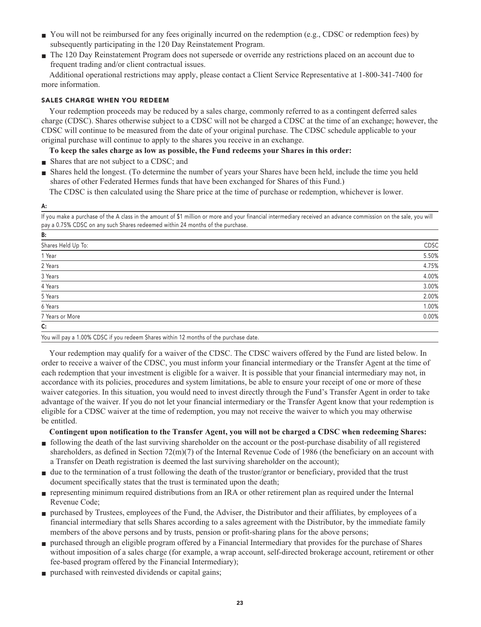- You will not be reimbursed for any fees originally incurred on the redemption (e.g., CDSC or redemption fees) by **subsequently participating in the 120 Day Reinstatement Program.**
- **■ The 120 Day Reinstatement Program does not supersede or override any restrictions placed on an account due to frequent trading and/or client contractual issues.**

**Additional operational restrictions may apply, please contact a Client Service Representative at 1-800-341-7400 for more information.**

# **SALES CHARGE WHEN YOU REDEEM**

**Your redemption proceeds may be reduced by a sales charge, commonly referred to as a contingent deferred sales charge (CDSC). Shares otherwise subject to a CDSC will not be charged a CDSC at the time of an exchange; however, the CDSC will continue to be measured from the date of your original purchase. The CDSC schedule applicable to your original purchase will continue to apply to the shares you receive in an exchange.**

# **To keep the sales charge as low as possible, the Fund redeems your Shares in this order:**

- **■ Shares that are not subject to a CDSC; and**
- **■ Shares held the longest. (To determine the number of years your Shares have been held, include the time you held shares of other Federated Hermes funds that have been exchanged for Shares of this Fund.)**

**The CDSC is then calculated using the Share price at the time of purchase or redemption, whichever is lower.**

# **A:**

**If you make a purchase of the A class in the amount of \$1 million or more and your financial intermediary received an advance commission on the sale, you will pay a 0.75% CDSC on any such Shares redeemed within 24 months of the purchase.**

| В:                 |       |
|--------------------|-------|
| Shares Held Up To: | CDSC  |
| 1 Year             | 5.50% |
| 2 Years            | 4.75% |
| 3 Years            | 4.00% |
| 4 Years            | 3.00% |
| 5 Years            | 2.00% |
| 6 Years            | 1.00% |
| 7 Years or More    | 0.00% |
| $\mathsf{C}$ :     |       |
|                    |       |

**You will pay a 1.00% CDSC if you redeem Shares within 12 months of the purchase date.**

**Your redemption may qualify for a waiver of the CDSC. The CDSC waivers offered by the Fund are listed below. In order to receive a waiver of the CDSC, you must inform your financial intermediary or the Transfer Agent at the time of each redemption that your investment is eligible for a waiver. It is possible that your financial intermediary may not, in accordance with its policies, procedures and system limitations, be able to ensure your receipt of one or more of these waiver categories. In this situation, you would need to invest directly through the Fund's Transfer Agent in order to take advantage of the waiver. If you do not let your financial intermediary or the Transfer Agent know that your redemption is eligible for a CDSC waiver at the time of redemption, you may not receive the waiver to which you may otherwise be entitled.**

**Contingent upon notification to the Transfer Agent, you will not be charged a CDSC when redeeming Shares:**

- **■ following the death of the last surviving shareholder on the account or the post-purchase disability of all registered shareholders, as defined in Section 72(m)(7) of the Internal Revenue Code of 1986 (the beneficiary on an account with a Transfer on Death registration is deemed the last surviving shareholder on the account);**
- **■ due to the termination of a trust following the death of the trustor/grantor or beneficiary, provided that the trust document specifically states that the trust is terminated upon the death;**
- **■ representing minimum required distributions from an IRA or other retirement plan as required under the Internal Revenue Code;**
- purchased by Trustees, employees of the Fund, the Adviser, the Distributor and their affiliates, by employees of a **financial intermediary that sells Shares according to a sales agreement with the Distributor, by the immediate family members of the above persons and by trusts, pension or profit-sharing plans for the above persons;**
- **■ purchased through an eligible program offered by a Financial Intermediary that provides for the purchase of Shares without imposition of a sales charge (for example, a wrap account, self-directed brokerage account, retirement or other fee-based program offered by the Financial Intermediary);**
- **■ purchased with reinvested dividends or capital gains;**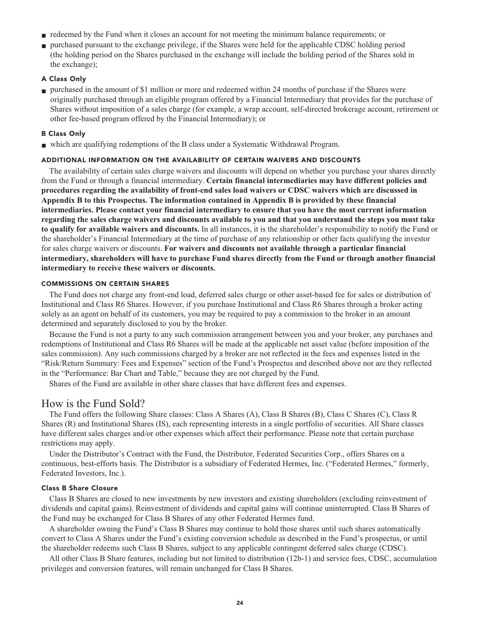- **■ redeemed by the Fund when it closes an account for not meeting the minimum balance requirements; or**
- **■ purchased pursuant to the exchange privilege, if the Shares were held for the applicable CDSC holding period (the holding period on the Shares purchased in the exchange will include the holding period of the Shares sold in the exchange);**

# **A Class Only**

**■ purchased in the amount of \$1 million or more and redeemed within 24 months of purchase if the Shares were originally purchased through an eligible program offered by a Financial Intermediary that provides for the purchase of Shares without imposition of a sales charge (for example, a wrap account, self-directed brokerage account, retirement or other fee-based program offered by the Financial Intermediary); or**

#### **B Class Only**

**■ which are qualifying redemptions of the B class under a Systematic Withdrawal Program.**

# **ADDITIONAL INFORMATION ON THE AVAILABILITY OF CERTAIN WAIVERS AND DISCOUNTS**

**The availability of certain sales charge waivers and discounts will depend on whether you purchase your shares directly from the Fund or through a financial intermediary. Certain financial intermediaries may have different policies and procedures regarding the availability of front-end sales load waivers or CDSC waivers which are discussed in Appendix B to this Prospectus. The information contained in Appendix B is provided by these financial intermediaries. Please contact your financial intermediary to ensure that you have the most current information regarding the sales charge waivers and discounts available to you and that you understand the steps you must take to qualify for available waivers and discounts. In all instances, it is the shareholder's responsibility to notify the Fund or the shareholder's Financial Intermediary at the time of purchase of any relationship or other facts qualifying the investor for sales charge waivers or discounts. For waivers and discounts not available through a particular financial intermediary, shareholders will have to purchase Fund shares directly from the Fund or through another financial intermediary to receive these waivers or discounts.**

### **COMMISSIONS ON CERTAIN SHARES**

**The Fund does not charge any front-end load, deferred sales charge or other asset-based fee for sales or distribution of Institutional and Class R6 Shares. However, if you purchase Institutional and Class R6 Shares through a broker acting solely as an agent on behalf of its customers, you may be required to pay a commission to the broker in an amount determined and separately disclosed to you by the broker.**

**Because the Fund is not a party to any such commission arrangement between you and your broker, any purchases and redemptions of Institutional and Class R6 Shares will be made at the applicable net asset value (before imposition of the sales commission). Any such commissions charged by a broker are not reflected in the fees and expenses listed in the "Risk/Return Summary: Fees and Expenses" section of the Fund's Prospectus and described above nor are they reflected in the "Performance: Bar Chart and Table," because they are not charged by the Fund.**

**Shares of the Fund are available in other share classes that have different fees and expenses.**

# **How is the Fund Sold?**

**The Fund offers the following Share classes: Class A Shares (A), Class B Shares (B), Class C Shares (C), Class R Shares (R) and Institutional Shares (IS), each representing interests in a single portfolio of securities. All Share classes have different sales charges and/or other expenses which affect their performance. Please note that certain purchase restrictions may apply.**

**Under the Distributor's Contract with the Fund, the Distributor, Federated Securities Corp., offers Shares on a continuous, best-efforts basis. The Distributor is a subsidiary of Federated Hermes, Inc. ("Federated Hermes," formerly, Federated Investors, Inc.).**

# **Class B Share Closure**

**Class B Shares are closed to new investments by new investors and existing shareholders (excluding reinvestment of dividends and capital gains). Reinvestment of dividends and capital gains will continue uninterrupted. Class B Shares of the Fund may be exchanged for Class B Shares of any other Federated Hermes fund.**

**A shareholder owning the Fund's Class B Shares may continue to hold those shares until such shares automatically convert to Class A Shares under the Fund's existing conversion schedule as described in the Fund's prospectus, or until the shareholder redeems such Class B Shares, subject to any applicable contingent deferred sales charge (CDSC).**

**All other Class B Share features, including but not limited to distribution (12b-1) and service fees, CDSC, accumulation privileges and conversion features, will remain unchanged for Class B Shares.**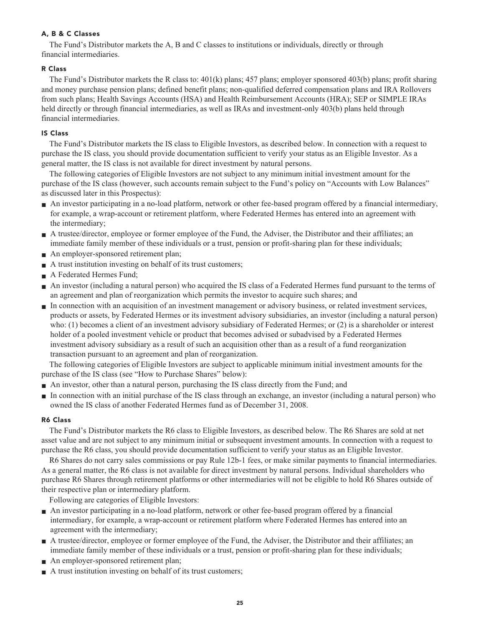# **A, B & C Classes**

**The Fund's Distributor markets the A, B and C classes to institutions or individuals, directly or through financial intermediaries.**

# **R Class**

**The Fund's Distributor markets the R class to: 401(k) plans; 457 plans; employer sponsored 403(b) plans; profit sharing and money purchase pension plans; defined benefit plans; non-qualified deferred compensation plans and IRA Rollovers from such plans; Health Savings Accounts (HSA) and Health Reimbursement Accounts (HRA); SEP or SIMPLE IRAs held directly or through financial intermediaries, as well as IRAs and investment-only 403(b) plans held through financial intermediaries.**

# **IS Class**

**The Fund's Distributor markets the IS class to Eligible Investors, as described below. In connection with a request to purchase the IS class, you should provide documentation sufficient to verify your status as an Eligible Investor. As a general matter, the IS class is not available for direct investment by natural persons.**

**The following categories of Eligible Investors are not subject to any minimum initial investment amount for the purchase of the IS class (however, such accounts remain subject to the Fund's policy on "Accounts with Low Balances" as discussed later in this Prospectus):**

- **■ An investor participating in a no-load platform, network or other fee-based program offered by a financial intermediary, for example, a wrap-account or retirement platform, where Federated Hermes has entered into an agreement with the intermediary;**
- **■ A trustee/director, employee or former employee of the Fund, the Adviser, the Distributor and their affiliates; an immediate family member of these individuals or a trust, pension or profit-sharing plan for these individuals;**
- **■ An employer-sponsored retirement plan;**
- **■ A trust institution investing on behalf of its trust customers;**
- **■ A Federated Hermes Fund;**
- **■ An investor (including a natural person) who acquired the IS class of a Federated Hermes fund pursuant to the terms of an agreement and plan of reorganization which permits the investor to acquire such shares; and**
- **■ In connection with an acquisition of an investment management or advisory business, or related investment services, products or assets, by Federated Hermes or its investment advisory subsidiaries, an investor (including a natural person) who: (1) becomes a client of an investment advisory subsidiary of Federated Hermes; or (2) is a shareholder or interest holder of a pooled investment vehicle or product that becomes advised or subadvised by a Federated Hermes investment advisory subsidiary as a result of such an acquisition other than as a result of a fund reorganization transaction pursuant to an agreement and plan of reorganization.**

**The following categories of Eligible Investors are subject to applicable minimum initial investment amounts for the purchase of the IS class (see "How to Purchase Shares" below):**

- **■ An investor, other than a natural person, purchasing the IS class directly from the Fund; and**
- **■ In connection with an initial purchase of the IS class through an exchange, an investor (including a natural person) who owned the IS class of another Federated Hermes fund as of December 31, 2008.**

# **R6 Class**

**The Fund's Distributor markets the R6 class to Eligible Investors, as described below. The R6 Shares are sold at net asset value and are not subject to any minimum initial or subsequent investment amounts. In connection with a request to purchase the R6 class, you should provide documentation sufficient to verify your status as an Eligible Investor.**

**R6 Shares do not carry sales commissions or pay Rule 12b-1 fees, or make similar payments to financial intermediaries. As a general matter, the R6 class is not available for direct investment by natural persons. Individual shareholders who purchase R6 Shares through retirement platforms or other intermediaries will not be eligible to hold R6 Shares outside of their respective plan or intermediary platform.**

**Following are categories of Eligible Investors:**

- **■ An investor participating in a no-load platform, network or other fee-based program offered by a financial intermediary, for example, a wrap-account or retirement platform where Federated Hermes has entered into an agreement with the intermediary;**
- **■ A trustee/director, employee or former employee of the Fund, the Adviser, the Distributor and their affiliates; an immediate family member of these individuals or a trust, pension or profit-sharing plan for these individuals;**
- **■ An employer-sponsored retirement plan;**
- **■ A trust institution investing on behalf of its trust customers;**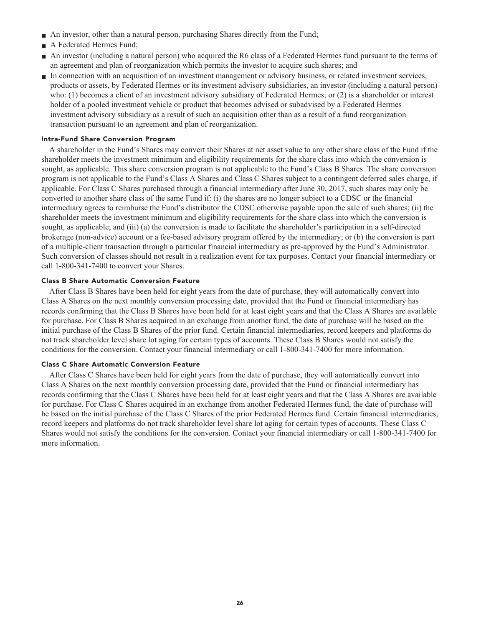- **■ An investor, other than a natural person, purchasing Shares directly from the Fund;**
- **■ A Federated Hermes Fund;**
- **■ An investor (including a natural person) who acquired the R6 class of a Federated Hermes fund pursuant to the terms of an agreement and plan of reorganization which permits the investor to acquire such shares; and**
- **■ In connection with an acquisition of an investment management or advisory business, or related investment services, products or assets, by Federated Hermes or its investment advisory subsidiaries, an investor (including a natural person) who: (1) becomes a client of an investment advisory subsidiary of Federated Hermes; or (2) is a shareholder or interest holder of a pooled investment vehicle or product that becomes advised or subadvised by a Federated Hermes investment advisory subsidiary as a result of such an acquisition other than as a result of a fund reorganization transaction pursuant to an agreement and plan of reorganization.**

# **Intra-Fund Share Conversion Program**

**A shareholder in the Fund's Shares may convert their Shares at net asset value to any other share class of the Fund if the shareholder meets the investment minimum and eligibility requirements for the share class into which the conversion is sought, as applicable. This share conversion program is not applicable to the Fund's Class B Shares. The share conversion program is not applicable to the Fund's Class A Shares and Class C Shares subject to a contingent deferred sales charge, if applicable. For Class C Shares purchased through a financial intermediary after June 30, 2017, such shares may only be converted to another share class of the same Fund if: (i) the shares are no longer subject to a CDSC or the financial intermediary agrees to reimburse the Fund's distributor the CDSC otherwise payable upon the sale of such shares; (ii) the shareholder meets the investment minimum and eligibility requirements for the share class into which the conversion is sought, as applicable; and (iii) (a) the conversion is made to facilitate the shareholder's participation in a self-directed brokerage (non-advice) account or a fee-based advisory program offered by the intermediary; or (b) the conversion is part of a multiple-client transaction through a particular financial intermediary as pre-approved by the Fund's Administrator. Such conversion of classes should not result in a realization event for tax purposes. Contact your financial intermediary or call 1-800-341-7400 to convert your Shares.**

# **Class B Share Automatic Conversion Feature**

**After Class B Shares have been held for eight years from the date of purchase, they will automatically convert into Class A Shares on the next monthly conversion processing date, provided that the Fund or financial intermediary has records confirming that the Class B Shares have been held for at least eight years and that the Class A Shares are available for purchase. For Class B Shares acquired in an exchange from another fund, the date of purchase will be based on the initial purchase of the Class B Shares of the prior fund. Certain financial intermediaries, record keepers and platforms do not track shareholder level share lot aging for certain types of accounts. These Class B Shares would not satisfy the conditions for the conversion. Contact your financial intermediary or call 1-800-341-7400 for more information.**

# **Class C Share Automatic Conversion Feature**

**After Class C Shares have been held for eight years from the date of purchase, they will automatically convert into Class A Shares on the next monthly conversion processing date, provided that the Fund or financial intermediary has records confirming that the Class C Shares have been held for at least eight years and that the Class A Shares are available for purchase. For Class C Shares acquired in an exchange from another Federated Hermes fund, the date of purchase will be based on the initial purchase of the Class C Shares of the prior Federated Hermes fund. Certain financial intermediaries, record keepers and platforms do not track shareholder level share lot aging for certain types of accounts. These Class C Shares would not satisfy the conditions for the conversion. Contact your financial intermediary or call 1-800-341-7400 for more information.**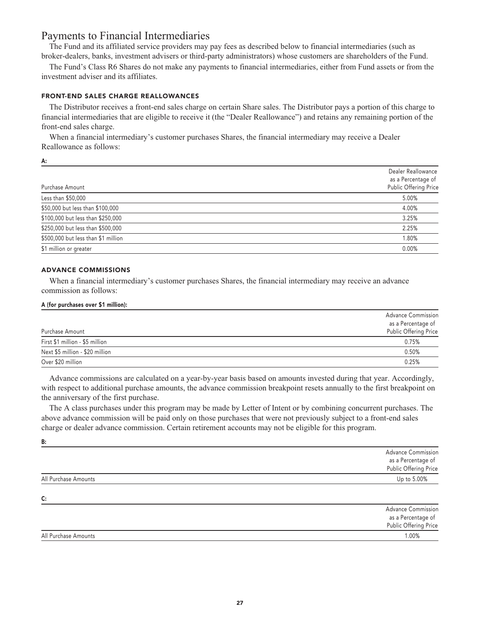# **Payments to Financial Intermediaries**

**The Fund and its affiliated service providers may pay fees as described below to financial intermediaries (such as broker-dealers, banks, investment advisers or third-party administrators) whose customers are shareholders of the Fund.**

**The Fund's Class R6 Shares do not make any payments to financial intermediaries, either from Fund assets or from the investment adviser and its affiliates.**

# **FRONT-END SALES CHARGE REALLOWANCES**

**The Distributor receives a front-end sales charge on certain Share sales. The Distributor pays a portion of this charge to financial intermediaries that are eligible to receive it (the "Dealer Reallowance") and retains any remaining portion of the front-end sales charge.**

**When a financial intermediary's customer purchases Shares, the financial intermediary may receive a Dealer Reallowance as follows:**

**A:**

**B:**

|                                     | Dealer Reallowance                          |
|-------------------------------------|---------------------------------------------|
| Purchase Amount                     | as a Percentage of<br>Public Offering Price |
|                                     |                                             |
| Less than \$50,000                  | 5.00%                                       |
| \$50,000 but less than \$100,000    | 4.00%                                       |
| \$100,000 but less than \$250,000   | 3.25%                                       |
| \$250,000 but less than \$500,000   | 2.25%                                       |
| \$500,000 but less than \$1 million | 1.80%                                       |
| \$1 million or greater              | 0.00%                                       |

# **ADVANCE COMMISSIONS**

**When a financial intermediary's customer purchases Shares, the financial intermediary may receive an advance commission as follows:**

#### **A (for purchases over \$1 million):**

| Purchase Amount                 | <b>Advance Commission</b><br>as a Percentage of<br>Public Offering Price |
|---------------------------------|--------------------------------------------------------------------------|
| First \$1 million - \$5 million | 0.75%                                                                    |
| Next \$5 million - \$20 million | 0.50%                                                                    |
| Over \$20 million               | 0.25%                                                                    |

**Advance commissions are calculated on a year-by-year basis based on amounts invested during that year. Accordingly, with respect to additional purchase amounts, the advance commission breakpoint resets annually to the first breakpoint on the anniversary of the first purchase.**

**The A class purchases under this program may be made by Letter of Intent or by combining concurrent purchases. The above advance commission will be paid only on those purchases that were not previously subject to a front-end sales charge or dealer advance commission. Certain retirement accounts may not be eligible for this program.**

|                      | <b>Advance Commission</b><br>as a Percentage of<br>Public Offering Price |
|----------------------|--------------------------------------------------------------------------|
| All Purchase Amounts | Up to 5.00%                                                              |
| C:                   |                                                                          |
|                      | <b>Advance Commission</b><br>as a Percentage of                          |

**Public Offering Price**

**All Purchase Amounts 1.00%**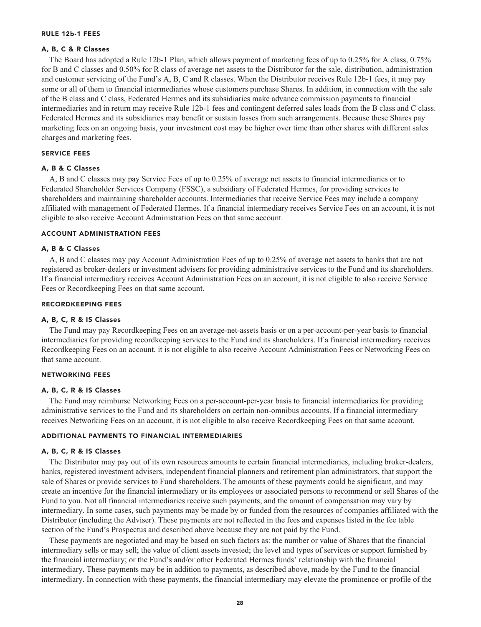#### **RULE 12b-1 FEES**

### **A, B, C & R Classes**

**The Board has adopted a Rule 12b-1 Plan, which allows payment of marketing fees of up to 0.25% for A class, 0.75% for B and C classes and 0.50% for R class of average net assets to the Distributor for the sale, distribution, administration and customer servicing of the Fund's A, B, C and R classes. When the Distributor receives Rule 12b-1 fees, it may pay some or all of them to financial intermediaries whose customers purchase Shares. In addition, in connection with the sale of the B class and C class, Federated Hermes and its subsidiaries make advance commission payments to financial intermediaries and in return may receive Rule 12b-1 fees and contingent deferred sales loads from the B class and C class. Federated Hermes and its subsidiaries may benefit or sustain losses from such arrangements. Because these Shares pay marketing fees on an ongoing basis, your investment cost may be higher over time than other shares with different sales charges and marketing fees.**

# **SERVICE FEES**

# **A, B & C Classes**

**A, B and C classes may pay Service Fees of up to 0.25% of average net assets to financial intermediaries or to Federated Shareholder Services Company (FSSC), a subsidiary of Federated Hermes, for providing services to shareholders and maintaining shareholder accounts. Intermediaries that receive Service Fees may include a company affiliated with management of Federated Hermes. If a financial intermediary receives Service Fees on an account, it is not eligible to also receive Account Administration Fees on that same account.**

#### **ACCOUNT ADMINISTRATION FEES**

#### **A, B & C Classes**

**A, B and C classes may pay Account Administration Fees of up to 0.25% of average net assets to banks that are not registered as broker-dealers or investment advisers for providing administrative services to the Fund and its shareholders. If a financial intermediary receives Account Administration Fees on an account, it is not eligible to also receive Service Fees or Recordkeeping Fees on that same account.**

# **RECORDKEEPING FEES**

# **A, B, C, R & IS Classes**

**The Fund may pay Recordkeeping Fees on an average-net-assets basis or on a per-account-per-year basis to financial intermediaries for providing recordkeeping services to the Fund and its shareholders. If a financial intermediary receives Recordkeeping Fees on an account, it is not eligible to also receive Account Administration Fees or Networking Fees on that same account.**

#### **NETWORKING FEES**

#### **A, B, C, R & IS Classes**

**The Fund may reimburse Networking Fees on a per-account-per-year basis to financial intermediaries for providing administrative services to the Fund and its shareholders on certain non-omnibus accounts. If a financial intermediary receives Networking Fees on an account, it is not eligible to also receive Recordkeeping Fees on that same account.**

# **ADDITIONAL PAYMENTS TO FINANCIAL INTERMEDIARIES**

#### **A, B, C, R & IS Classes**

**The Distributor may pay out of its own resources amounts to certain financial intermediaries, including broker-dealers, banks, registered investment advisers, independent financial planners and retirement plan administrators, that support the sale of Shares or provide services to Fund shareholders. The amounts of these payments could be significant, and may create an incentive for the financial intermediary or its employees or associated persons to recommend or sell Shares of the Fund to you. Not all financial intermediaries receive such payments, and the amount of compensation may vary by intermediary. In some cases, such payments may be made by or funded from the resources of companies affiliated with the Distributor (including the Adviser). These payments are not reflected in the fees and expenses listed in the fee table section of the Fund's Prospectus and described above because they are not paid by the Fund.**

**These payments are negotiated and may be based on such factors as: the number or value of Shares that the financial intermediary sells or may sell; the value of client assets invested; the level and types of services or support furnished by the financial intermediary; or the Fund's and/or other Federated Hermes funds' relationship with the financial intermediary. These payments may be in addition to payments, as described above, made by the Fund to the financial intermediary. In connection with these payments, the financial intermediary may elevate the prominence or profile of the**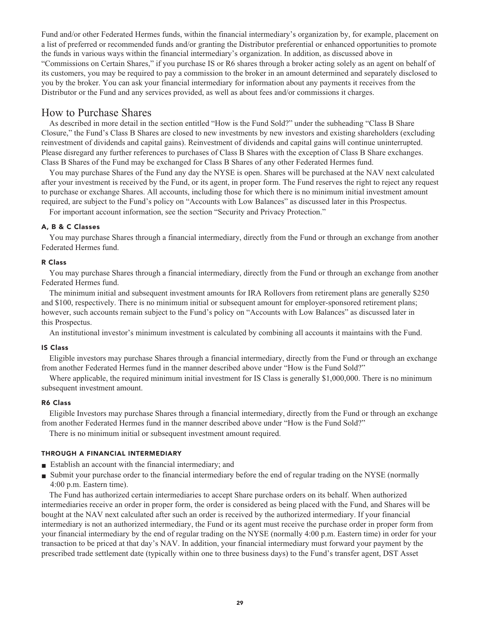**Fund and/or other Federated Hermes funds, within the financial intermediary's organization by, for example, placement on a list of preferred or recommended funds and/or granting the Distributor preferential or enhanced opportunities to promote the funds in various ways within the financial intermediary's organization. In addition, as discussed above in "Commissions on Certain Shares," if you purchase IS or R6 shares through a broker acting solely as an agent on behalf of its customers, you may be required to pay a commission to the broker in an amount determined and separately disclosed to you by the broker. You can ask your financial intermediary for information about any payments it receives from the Distributor or the Fund and any services provided, as well as about fees and/or commissions it charges.**

# **How to Purchase Shares**

**As described in more detail in the section entitled "How is the Fund Sold?" under the subheading "Class B Share Closure," the Fund's Class B Shares are closed to new investments by new investors and existing shareholders (excluding reinvestment of dividends and capital gains). Reinvestment of dividends and capital gains will continue uninterrupted. Please disregard any further references to purchases of Class B Shares with the exception of Class B Share exchanges. Class B Shares of the Fund may be exchanged for Class B Shares of any other Federated Hermes fund.**

**You may purchase Shares of the Fund any day the NYSE is open. Shares will be purchased at the NAV next calculated after your investment is received by the Fund, or its agent, in proper form. The Fund reserves the right to reject any request to purchase or exchange Shares. All accounts, including those for which there is no minimum initial investment amount required, are subject to the Fund's policy on "Accounts with Low Balances" as discussed later in this Prospectus.**

**For important account information, see the section "Security and Privacy Protection."**

# **A, B & C Classes**

**You may purchase Shares through a financial intermediary, directly from the Fund or through an exchange from another Federated Hermes fund.**

# **R Class**

**You may purchase Shares through a financial intermediary, directly from the Fund or through an exchange from another Federated Hermes fund.**

**The minimum initial and subsequent investment amounts for IRA Rollovers from retirement plans are generally \$250 and \$100, respectively. There is no minimum initial or subsequent amount for employer-sponsored retirement plans; however, such accounts remain subject to the Fund's policy on "Accounts with Low Balances" as discussed later in this Prospectus.**

**An institutional investor's minimum investment is calculated by combining all accounts it maintains with the Fund.**

# **IS Class**

**Eligible investors may purchase Shares through a financial intermediary, directly from the Fund or through an exchange from another Federated Hermes fund in the manner described above under "How is the Fund Sold?"**

**Where applicable, the required minimum initial investment for IS Class is generally \$1,000,000. There is no minimum subsequent investment amount.**

# **R6 Class**

**Eligible Investors may purchase Shares through a financial intermediary, directly from the Fund or through an exchange from another Federated Hermes fund in the manner described above under "How is the Fund Sold?"**

**There is no minimum initial or subsequent investment amount required.**

# **THROUGH A FINANCIAL INTERMEDIARY**

- **■ Establish an account with the financial intermediary; and**
- **■ Submit your purchase order to the financial intermediary before the end of regular trading on the NYSE (normally 4:00 p.m. Eastern time).**

**The Fund has authorized certain intermediaries to accept Share purchase orders on its behalf. When authorized intermediaries receive an order in proper form, the order is considered as being placed with the Fund, and Shares will be bought at the NAV next calculated after such an order is received by the authorized intermediary. If your financial intermediary is not an authorized intermediary, the Fund or its agent must receive the purchase order in proper form from your financial intermediary by the end of regular trading on the NYSE (normally 4:00 p.m. Eastern time) in order for your transaction to be priced at that day's NAV. In addition, your financial intermediary must forward your payment by the prescribed trade settlement date (typically within one to three business days) to the Fund's transfer agent, DST Asset**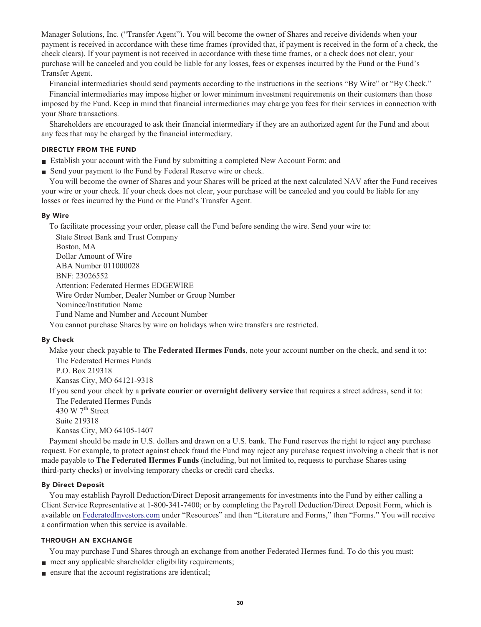**Manager Solutions, Inc. ("Transfer Agent"). You will become the owner of Shares and receive dividends when your payment is received in accordance with these time frames (provided that, if payment is received in the form of a check, the check clears). If your payment is not received in accordance with these time frames, or a check does not clear, your purchase will be canceled and you could be liable for any losses, fees or expenses incurred by the Fund or the Fund's Transfer Agent.**

**Financial intermediaries should send payments according to the instructions in the sections "By Wire" or "By Check."**

**Financial intermediaries may impose higher or lower minimum investment requirements on their customers than those imposed by the Fund. Keep in mind that financial intermediaries may charge you fees for their services in connection with your Share transactions.**

**Shareholders are encouraged to ask their financial intermediary if they are an authorized agent for the Fund and about any fees that may be charged by the financial intermediary.**

# **DIRECTLY FROM THE FUND**

- **■ Establish your account with the Fund by submitting a completed New Account Form; and**
- **Send your payment to the Fund by Federal Reserve wire or check.**

**You will become the owner of Shares and your Shares will be priced at the next calculated NAV after the Fund receives your wire or your check. If your check does not clear, your purchase will be canceled and you could be liable for any losses or fees incurred by the Fund or the Fund's Transfer Agent.**

# **By Wire**

**To facilitate processing your order, please call the Fund before sending the wire. Send your wire to:**

**State Street Bank and Trust Company Boston, MA Dollar Amount of Wire ABA Number 011000028 BNF: 23026552 Attention: Federated Hermes EDGEWIRE Wire Order Number, Dealer Number or Group Number Nominee/Institution Name Fund Name and Number and Account Number**

**You cannot purchase Shares by wire on holidays when wire transfers are restricted.**

# **By Check**

**Make your check payable to The Federated Hermes Funds, note your account number on the check, and send it to: The Federated Hermes Funds**

**P.O. Box 219318 Kansas City, MO 64121-9318**

**If you send your check by a private courier or overnight delivery service that requires a street address, send it to: The Federated Hermes Funds**

**th 430 W 7 Street Suite 219318 Kansas City, MO 64105-1407**

**Payment should be made in U.S. dollars and drawn on a U.S. bank. The Fund reserves the right to reject any purchase request. For example, to protect against check fraud the Fund may reject any purchase request involving a check that is not made payable to The Federated Hermes Funds (including, but not limited to, requests to purchase Shares using third-party checks) or involving temporary checks or credit card checks.**

# **By Direct Deposit**

**You may establish Payroll Deduction/Direct Deposit arrangements for investments into the Fund by either calling a Client Service Representative at 1-800-341-7400; or by completing the Payroll Deduction/Direct Deposit Form, which is available on [FederatedInvestors.com](https://www.federatedinvestors.com/home.do) under "Resources" and then "Literature and Forms," then "Forms." You will receive a confirmation when this service is available.**

# **THROUGH AN EXCHANGE**

**You may purchase Fund Shares through an exchange from another Federated Hermes fund. To do this you must:**

- **meet any applicable shareholder eligibility requirements;**
- **■ ensure that the account registrations are identical;**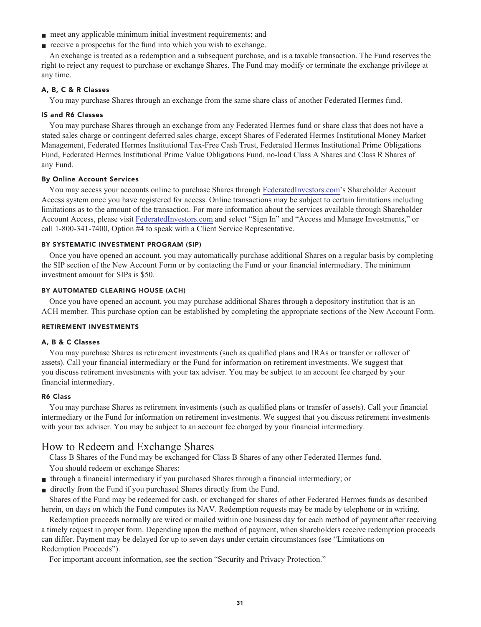- **meet any applicable minimum initial investment requirements; and**
- **receive a prospectus for the fund into which you wish to exchange.**

**An exchange is treated as a redemption and a subsequent purchase, and is a taxable transaction. The Fund reserves the right to reject any request to purchase or exchange Shares. The Fund may modify or terminate the exchange privilege at any time.**

# **A, B, C & R Classes**

**You may purchase Shares through an exchange from the same share class of another Federated Hermes fund.**

#### **IS and R6 Classes**

**You may purchase Shares through an exchange from any Federated Hermes fund or share class that does not have a stated sales charge or contingent deferred sales charge, except Shares of Federated Hermes Institutional Money Market Management, Federated Hermes Institutional Tax-Free Cash Trust, Federated Hermes Institutional Prime Obligations Fund, Federated Hermes Institutional Prime Value Obligations Fund, no-load Class A Shares and Class R Shares of any Fund.**

#### **By Online Account Services**

**You may access your accounts online to purchase Shares through [FederatedInvestors.com'](https://www.federatedinvestors.com/home.do)s Shareholder Account Access system once you have registered for access. Online transactions may be subject to certain limitations including limitations as to the amount of the transaction. For more information about the services available through Shareholder Account Access, please visit [FederatedInvestors.com](https://www.federatedinvestors.com/home.do) and select "Sign In" and "Access and Manage Investments," or call 1-800-341-7400, Option #4 to speak with a Client Service Representative.**

# **BY SYSTEMATIC INVESTMENT PROGRAM (SIP)**

**Once you have opened an account, you may automatically purchase additional Shares on a regular basis by completing the SIP section of the New Account Form or by contacting the Fund or your financial intermediary. The minimum investment amount for SIPs is \$50.**

#### **BY AUTOMATED CLEARING HOUSE (ACH)**

**Once you have opened an account, you may purchase additional Shares through a depository institution that is an ACH member. This purchase option can be established by completing the appropriate sections of the New Account Form.**

# **RETIREMENT INVESTMENTS**

# **A, B & C Classes**

**You may purchase Shares as retirement investments (such as qualified plans and IRAs or transfer or rollover of assets). Call your financial intermediary or the Fund for information on retirement investments. We suggest that you discuss retirement investments with your tax adviser. You may be subject to an account fee charged by your financial intermediary.**

#### **R6 Class**

**You may purchase Shares as retirement investments (such as qualified plans or transfer of assets). Call your financial intermediary or the Fund for information on retirement investments. We suggest that you discuss retirement investments with your tax adviser. You may be subject to an account fee charged by your financial intermediary.**

# **How to Redeem and Exchange Shares**

**Class B Shares of the Fund may be exchanged for Class B Shares of any other Federated Hermes fund.**

**You should redeem or exchange Shares:**

- **■ through a financial intermediary if you purchased Shares through a financial intermediary; or**
- directly from the Fund if you purchased Shares directly from the Fund.

**Shares of the Fund may be redeemed for cash, or exchanged for shares of other Federated Hermes funds as described herein, on days on which the Fund computes its NAV. Redemption requests may be made by telephone or in writing.**

**Redemption proceeds normally are wired or mailed within one business day for each method of payment after receiving a timely request in proper form. Depending upon the method of payment, when shareholders receive redemption proceeds can differ. Payment may be delayed for up to seven days under certain circumstances (see "Limitations on Redemption Proceeds").**

**For important account information, see the section "Security and Privacy Protection."**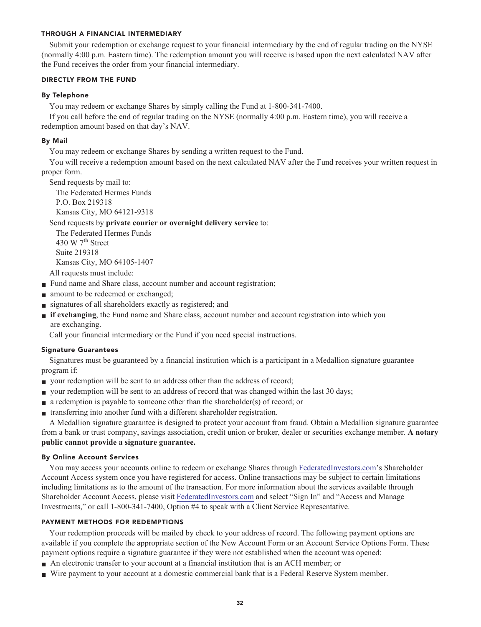#### **THROUGH A FINANCIAL INTERMEDIARY**

**Submit your redemption or exchange request to your financial intermediary by the end of regular trading on the NYSE (normally 4:00 p.m. Eastern time). The redemption amount you will receive is based upon the next calculated NAV after the Fund receives the order from your financial intermediary.**

#### **DIRECTLY FROM THE FUND**

# **By Telephone**

**You may redeem or exchange Shares by simply calling the Fund at 1-800-341-7400.**

**If you call before the end of regular trading on the NYSE (normally 4:00 p.m. Eastern time), you will receive a redemption amount based on that day's NAV.**

# **By Mail**

**You may redeem or exchange Shares by sending a written request to the Fund.**

**You will receive a redemption amount based on the next calculated NAV after the Fund receives your written request in proper form.**

**Send requests by mail to:**

**The Federated Hermes Funds**

**P.O. Box 219318 Kansas City, MO 64121-9318**

**Send requests by private courier or overnight delivery service to:**

**The Federated Hermes Funds th 430 W 7 Street Suite 219318 Kansas City, MO 64105-1407**

**All requests must include:**

- **Fund name and Share class, account number and account registration;**
- **amount** to be redeemed or exchanged;
- **■ signatures of all shareholders exactly as registered; and**
- **■ if exchanging**, the Fund name and Share class, account number and account registration into which you **are exchanging.**

**Call your financial intermediary or the Fund if you need special instructions.**

# **Signature Guarantees**

**Signatures must be guaranteed by a financial institution which is a participant in a Medallion signature guarantee program if:**

- **your redemption will be sent to an address other than the address of record;**
- **your redemption will be sent to an address of record that was changed within the last 30 days;**
- **a redemption is payable to someone other than the shareholder(s) of record; or**
- **transferring into another fund with a different shareholder registration.**

**A Medallion signature guarantee is designed to protect your account from fraud. Obtain a Medallion signature guarantee from a bank or trust company, savings association, credit union or broker, dealer or securities exchange member. A notary public cannot provide a signature guarantee.**

# **By Online Account Services**

**You may access your accounts online to redeem or exchange Shares through [FederatedInvestors.com'](https://www.federatedinvestors.com/home.do)s Shareholder Account Access system once you have registered for access. Online transactions may be subject to certain limitations including limitations as to the amount of the transaction. For more information about the services available through Shareholder Account Access, please visit [FederatedInvestors.com](https://www.federatedinvestors.com/home.do) and select "Sign In" and "Access and Manage Investments," or call 1-800-341-7400, Option #4 to speak with a Client Service Representative.**

# **PAYMENT METHODS FOR REDEMPTIONS**

**Your redemption proceeds will be mailed by check to your address of record. The following payment options are available if you complete the appropriate section of the New Account Form or an Account Service Options Form. These payment options require a signature guarantee if they were not established when the account was opened:**

- **■ An electronic transfer to your account at a financial institution that is an ACH member; or**
- **■ Wire payment to your account at a domestic commercial bank that is a Federal Reserve System member.**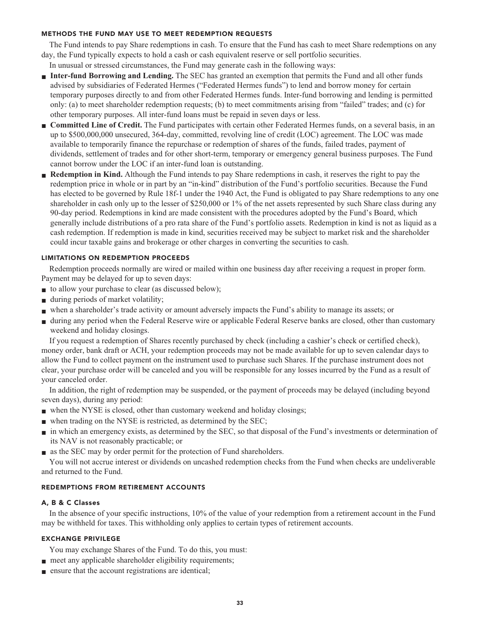# **METHODS THE FUND MAY USE TO MEET REDEMPTION REQUESTS**

**The Fund intends to pay Share redemptions in cash. To ensure that the Fund has cash to meet Share redemptions on any day, the Fund typically expects to hold a cash or cash equivalent reserve or sell portfolio securities.**

**In unusual or stressed circumstances, the Fund may generate cash in the following ways:**

- **■ Inter-fund Borrowing and Lending. The SEC has granted an exemption that permits the Fund and all other funds advised by subsidiaries of Federated Hermes ("Federated Hermes funds") to lend and borrow money for certain temporary purposes directly to and from other Federated Hermes funds. Inter-fund borrowing and lending is permitted only: (a) to meet shareholder redemption requests; (b) to meet commitments arising from "failed" trades; and (c) for other temporary purposes. All inter-fund loans must be repaid in seven days or less.**
- **Committed Line of Credit.** The Fund participates with certain other Federated Hermes funds, on a several basis, in an **up to \$500,000,000 unsecured, 364-day, committed, revolving line of credit (LOC) agreement. The LOC was made available to temporarily finance the repurchase or redemption of shares of the funds, failed trades, payment of dividends, settlement of trades and for other short-term, temporary or emergency general business purposes. The Fund cannot borrow under the LOC if an inter-fund loan is outstanding.**
- **Redemption in Kind.** Although the Fund intends to pay Share redemptions in cash, it reserves the right to pay the **redemption price in whole or in part by an "in-kind" distribution of the Fund's portfolio securities. Because the Fund has elected to be governed by Rule 18f-1 under the 1940 Act, the Fund is obligated to pay Share redemptions to any one shareholder in cash only up to the lesser of \$250,000 or 1% of the net assets represented by such Share class during any 90-day period. Redemptions in kind are made consistent with the procedures adopted by the Fund's Board, which generally include distributions of a pro rata share of the Fund's portfolio assets. Redemption in kind is not as liquid as a cash redemption. If redemption is made in kind, securities received may be subject to market risk and the shareholder could incur taxable gains and brokerage or other charges in converting the securities to cash.**

# **LIMITATIONS ON REDEMPTION PROCEEDS**

**Redemption proceeds normally are wired or mailed within one business day after receiving a request in proper form. Payment may be delayed for up to seven days:**

- **to allow your purchase to clear (as discussed below);**
- **■ during periods of market volatility;**
- **■ when a shareholder's trade activity or amount adversely impacts the Fund's ability to manage its assets; or**
- **■ during any period when the Federal Reserve wire or applicable Federal Reserve banks are closed, other than customary weekend and holiday closings.**

**If you request a redemption of Shares recently purchased by check (including a cashier's check or certified check), money order, bank draft or ACH, your redemption proceeds may not be made available for up to seven calendar days to allow the Fund to collect payment on the instrument used to purchase such Shares. If the purchase instrument does not clear, your purchase order will be canceled and you will be responsible for any losses incurred by the Fund as a result of your canceled order.**

**In addition, the right of redemption may be suspended, or the payment of proceeds may be delayed (including beyond seven days), during any period:**

- **■ when the NYSE is closed, other than customary weekend and holiday closings;**
- when trading on the NYSE is restricted, as determined by the SEC;
- **■ in which an emergency exists, as determined by the SEC, so that disposal of the Fund's investments or determination of its NAV is not reasonably practicable; or**
- **■ as the SEC may by order permit for the protection of Fund shareholders.**

**You will not accrue interest or dividends on uncashed redemption checks from the Fund when checks are undeliverable and returned to the Fund.**

#### **REDEMPTIONS FROM RETIREMENT ACCOUNTS**

# **A, B & C Classes**

**In the absence of your specific instructions, 10% of the value of your redemption from a retirement account in the Fund may be withheld for taxes. This withholding only applies to certain types of retirement accounts.**

# **EXCHANGE PRIVILEGE**

**You may exchange Shares of the Fund. To do this, you must:**

- **meet any applicable shareholder eligibility requirements;**
- **■ ensure that the account registrations are identical;**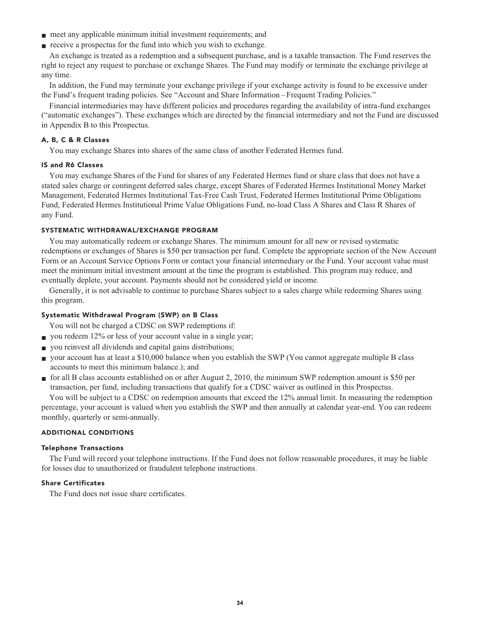- **meet any applicable minimum initial investment requirements; and**
- **receive a prospectus for the fund into which you wish to exchange.**

**An exchange is treated as a redemption and a subsequent purchase, and is a taxable transaction. The Fund reserves the right to reject any request to purchase or exchange Shares. The Fund may modify or terminate the exchange privilege at any time.**

**In addition, the Fund may terminate your exchange privilege if your exchange activity is found to be excessive under the Fund's frequent trading policies. See "Account and Share Information – Frequent Trading Policies."**

**Financial intermediaries may have different policies and procedures regarding the availability of intra-fund exchanges ("automatic exchanges"). These exchanges which are directed by the financial intermediary and not the Fund are discussed in Appendix B to this Prospectus.**

#### **A, B, C & R Classes**

**You may exchange Shares into shares of the same class of another Federated Hermes fund.**

#### **IS and R6 Classes**

**You may exchange Shares of the Fund for shares of any Federated Hermes fund or share class that does not have a stated sales charge or contingent deferred sales charge, except Shares of Federated Hermes Institutional Money Market Management, Federated Hermes Institutional Tax-Free Cash Trust, Federated Hermes Institutional Prime Obligations Fund, Federated Hermes Institutional Prime Value Obligations Fund, no-load Class A Shares and Class R Shares of any Fund.**

#### **SYSTEMATIC WITHDRAWAL/EXCHANGE PROGRAM**

**You may automatically redeem or exchange Shares. The minimum amount for all new or revised systematic redemptions or exchanges of Shares is \$50 per transaction per fund. Complete the appropriate section of the New Account Form or an Account Service Options Form or contact your financial intermediary or the Fund. Your account value must meet the minimum initial investment amount at the time the program is established. This program may reduce, and eventually deplete, your account. Payments should not be considered yield or income.**

**Generally, it is not advisable to continue to purchase Shares subject to a sales charge while redeeming Shares using this program.**

#### **Systematic Withdrawal Program (SWP) on B Class**

**You will not be charged a CDSC on SWP redemptions if:**

- **you redeem 12% or less of your account value in a single year;**
- **you reinvest all dividends and capital gains distributions;**
- **your account has at least a \$10,000 balance when you establish the SWP (You cannot aggregate multiple B class accounts to meet this minimum balance.); and**
- **■ for all B class accounts established on or after August 2, 2010, the minimum SWP redemption amount is \$50 per transaction, per fund, including transactions that qualify for a CDSC waiver as outlined in this Prospectus.**

**You will be subject to a CDSC on redemption amounts that exceed the 12% annual limit. In measuring the redemption percentage, your account is valued when you establish the SWP and then annually at calendar year-end. You can redeem monthly, quarterly or semi-annually.**

# **ADDITIONAL CONDITIONS**

#### **Telephone Transactions**

**The Fund will record your telephone instructions. If the Fund does not follow reasonable procedures, it may be liable for losses due to unauthorized or fraudulent telephone instructions.**

# **Share Certificates**

**The Fund does not issue share certificates.**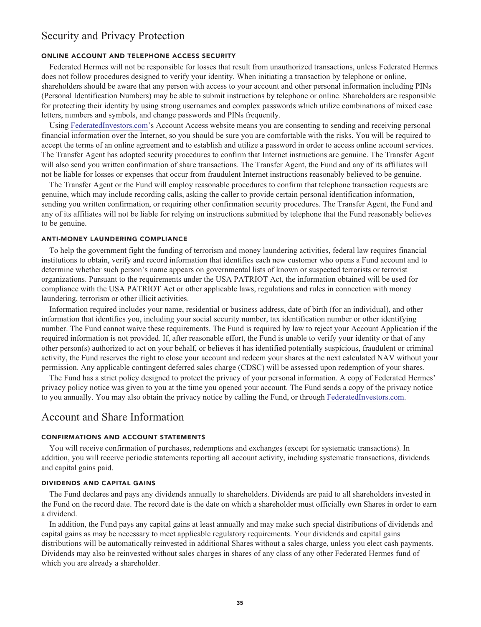# **Security and Privacy Protection**

# **ONLINE ACCOUNT AND TELEPHONE ACCESS SECURITY**

**Federated Hermes will not be responsible for losses that result from unauthorized transactions, unless Federated Hermes does not follow procedures designed to verify your identity. When initiating a transaction by telephone or online, shareholders should be aware that any person with access to your account and other personal information including PINs (Personal Identification Numbers) may be able to submit instructions by telephone or online. Shareholders are responsible for protecting their identity by using strong usernames and complex passwords which utilize combinations of mixed case letters, numbers and symbols, and change passwords and PINs frequently.**

**Using [FederatedInvestors.com'](https://www.federatedinvestors.com/home.do)s Account Access website means you are consenting to sending and receiving personal financial information over the Internet, so you should be sure you are comfortable with the risks. You will be required to accept the terms of an online agreement and to establish and utilize a password in order to access online account services. The Transfer Agent has adopted security procedures to confirm that Internet instructions are genuine. The Transfer Agent will also send you written confirmation of share transactions. The Transfer Agent, the Fund and any of its affiliates will not be liable for losses or expenses that occur from fraudulent Internet instructions reasonably believed to be genuine.**

**The Transfer Agent or the Fund will employ reasonable procedures to confirm that telephone transaction requests are genuine, which may include recording calls, asking the caller to provide certain personal identification information, sending you written confirmation, or requiring other confirmation security procedures. The Transfer Agent, the Fund and any of its affiliates will not be liable for relying on instructions submitted by telephone that the Fund reasonably believes to be genuine.**

#### **ANTI-MONEY LAUNDERING COMPLIANCE**

**To help the government fight the funding of terrorism and money laundering activities, federal law requires financial institutions to obtain, verify and record information that identifies each new customer who opens a Fund account and to determine whether such person's name appears on governmental lists of known or suspected terrorists or terrorist organizations. Pursuant to the requirements under the USA PATRIOT Act, the information obtained will be used for compliance with the USA PATRIOT Act or other applicable laws, regulations and rules in connection with money laundering, terrorism or other illicit activities.**

**Information required includes your name, residential or business address, date of birth (for an individual), and other information that identifies you, including your social security number, tax identification number or other identifying number. The Fund cannot waive these requirements. The Fund is required by law to reject your Account Application if the required information is not provided. If, after reasonable effort, the Fund is unable to verify your identity or that of any other person(s) authorized to act on your behalf, or believes it has identified potentially suspicious, fraudulent or criminal activity, the Fund reserves the right to close your account and redeem your shares at the next calculated NAV without your permission. Any applicable contingent deferred sales charge (CDSC) will be assessed upon redemption of your shares.**

**The Fund has a strict policy designed to protect the privacy of your personal information. A copy of Federated Hermes' privacy policy notice was given to you at the time you opened your account. The Fund sends a copy of the privacy notice to you annually. You may also obtain the privacy notice by calling the Fund, or through [FederatedInvestors.com.](https://www.federatedinvestors.com/home.do)**

# **Account and Share Information**

# **CONFIRMATIONS AND ACCOUNT STATEMENTS**

**You will receive confirmation of purchases, redemptions and exchanges (except for systematic transactions). In addition, you will receive periodic statements reporting all account activity, including systematic transactions, dividends and capital gains paid.**

#### **DIVIDENDS AND CAPITAL GAINS**

**The Fund declares and pays any dividends annually to shareholders. Dividends are paid to all shareholders invested in the Fund on the record date. The record date is the date on which a shareholder must officially own Shares in order to earn a dividend.**

**In addition, the Fund pays any capital gains at least annually and may make such special distributions of dividends and capital gains as may be necessary to meet applicable regulatory requirements. Your dividends and capital gains distributions will be automatically reinvested in additional Shares without a sales charge, unless you elect cash payments. Dividends may also be reinvested without sales charges in shares of any class of any other Federated Hermes fund of which you are already a shareholder.**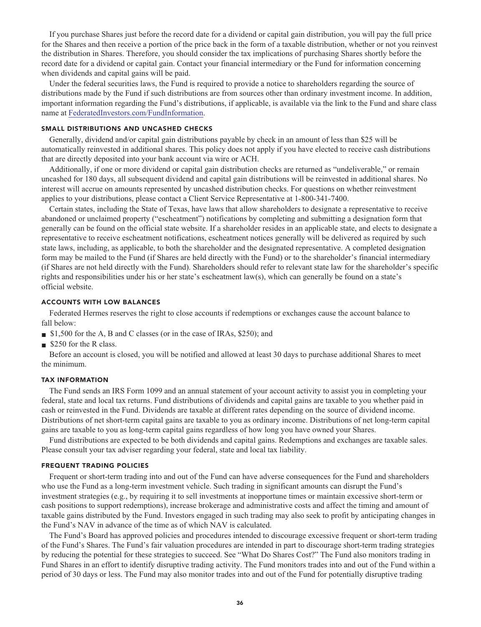**If you purchase Shares just before the record date for a dividend or capital gain distribution, you will pay the full price for the Shares and then receive a portion of the price back in the form of a taxable distribution, whether or not you reinvest the distribution in Shares. Therefore, you should consider the tax implications of purchasing Shares shortly before the record date for a dividend or capital gain. Contact your financial intermediary or the Fund for information concerning when dividends and capital gains will be paid.**

**Under the federal securities laws, the Fund is required to provide a notice to shareholders regarding the source of distributions made by the Fund if such distributions are from sources other than ordinary investment income. In addition, important information regarding the Fund's distributions, if applicable, is available via the link to the Fund and share class name at [FederatedInvestors.com/FundInformation.](https://www.federatedinvestors.com/product-info/prospectuses-and-regulatory-reports.do)**

### **SMALL DISTRIBUTIONS AND UNCASHED CHECKS**

**Generally, dividend and/or capital gain distributions payable by check in an amount of less than \$25 will be automatically reinvested in additional shares. This policy does not apply if you have elected to receive cash distributions that are directly deposited into your bank account via wire or ACH.**

**Additionally, if one or more dividend or capital gain distribution checks are returned as "undeliverable," or remain uncashed for 180 days, all subsequent dividend and capital gain distributions will be reinvested in additional shares. No interest will accrue on amounts represented by uncashed distribution checks. For questions on whether reinvestment applies to your distributions, please contact a Client Service Representative at 1-800-341-7400.**

**Certain states, including the State of Texas, have laws that allow shareholders to designate a representative to receive abandoned or unclaimed property ("escheatment") notifications by completing and submitting a designation form that generally can be found on the official state website. If a shareholder resides in an applicable state, and elects to designate a representative to receive escheatment notifications, escheatment notices generally will be delivered as required by such state laws, including, as applicable, to both the shareholder and the designated representative. A completed designation form may be mailed to the Fund (if Shares are held directly with the Fund) or to the shareholder's financial intermediary (if Shares are not held directly with the Fund). Shareholders should refer to relevant state law for the shareholder's specific rights and responsibilities under his or her state's escheatment law(s), which can generally be found on a state's official website.**

# **ACCOUNTS WITH LOW BALANCES**

**Federated Hermes reserves the right to close accounts if redemptions or exchanges cause the account balance to fall below:**

- \$1,500 for the A, B and C classes (or in the case of IRAs, \$250); and
- **■ \$250 for the R class.**

**Before an account is closed, you will be notified and allowed at least 30 days to purchase additional Shares to meet the minimum.**

#### **TAX INFORMATION**

**The Fund sends an IRS Form 1099 and an annual statement of your account activity to assist you in completing your federal, state and local tax returns. Fund distributions of dividends and capital gains are taxable to you whether paid in cash or reinvested in the Fund. Dividends are taxable at different rates depending on the source of dividend income. Distributions of net short-term capital gains are taxable to you as ordinary income. Distributions of net long-term capital gains are taxable to you as long-term capital gains regardless of how long you have owned your Shares.**

**Fund distributions are expected to be both dividends and capital gains. Redemptions and exchanges are taxable sales. Please consult your tax adviser regarding your federal, state and local tax liability.**

#### **FREQUENT TRADING POLICIES**

**Frequent or short-term trading into and out of the Fund can have adverse consequences for the Fund and shareholders who use the Fund as a long-term investment vehicle. Such trading in significant amounts can disrupt the Fund's investment strategies (e.g., by requiring it to sell investments at inopportune times or maintain excessive short-term or cash positions to support redemptions), increase brokerage and administrative costs and affect the timing and amount of taxable gains distributed by the Fund. Investors engaged in such trading may also seek to profit by anticipating changes in the Fund's NAV in advance of the time as of which NAV is calculated.**

**The Fund's Board has approved policies and procedures intended to discourage excessive frequent or short-term trading of the Fund's Shares. The Fund's fair valuation procedures are intended in part to discourage short-term trading strategies by reducing the potential for these strategies to succeed. See "What Do Shares Cost?" The Fund also monitors trading in Fund Shares in an effort to identify disruptive trading activity. The Fund monitors trades into and out of the Fund within a period of 30 days or less. The Fund may also monitor trades into and out of the Fund for potentially disruptive trading**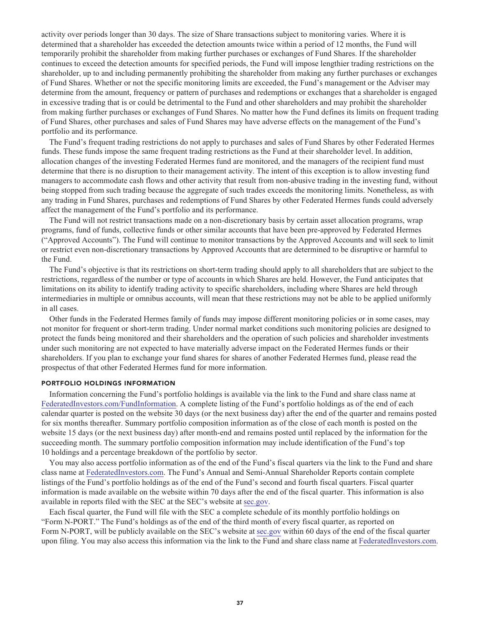**activity over periods longer than 30 days. The size of Share transactions subject to monitoring varies. Where it is determined that a shareholder has exceeded the detection amounts twice within a period of 12 months, the Fund will temporarily prohibit the shareholder from making further purchases or exchanges of Fund Shares. If the shareholder continues to exceed the detection amounts for specified periods, the Fund will impose lengthier trading restrictions on the shareholder, up to and including permanently prohibiting the shareholder from making any further purchases or exchanges of Fund Shares. Whether or not the specific monitoring limits are exceeded, the Fund's management or the Adviser may determine from the amount, frequency or pattern of purchases and redemptions or exchanges that a shareholder is engaged in excessive trading that is or could be detrimental to the Fund and other shareholders and may prohibit the shareholder from making further purchases or exchanges of Fund Shares. No matter how the Fund defines its limits on frequent trading of Fund Shares, other purchases and sales of Fund Shares may have adverse effects on the management of the Fund's portfolio and its performance.**

**The Fund's frequent trading restrictions do not apply to purchases and sales of Fund Shares by other Federated Hermes funds. These funds impose the same frequent trading restrictions as the Fund at their shareholder level. In addition, allocation changes of the investing Federated Hermes fund are monitored, and the managers of the recipient fund must determine that there is no disruption to their management activity. The intent of this exception is to allow investing fund managers to accommodate cash flows and other activity that result from non-abusive trading in the investing fund, without being stopped from such trading because the aggregate of such trades exceeds the monitoring limits. Nonetheless, as with any trading in Fund Shares, purchases and redemptions of Fund Shares by other Federated Hermes funds could adversely affect the management of the Fund's portfolio and its performance.**

**The Fund will not restrict transactions made on a non-discretionary basis by certain asset allocation programs, wrap programs, fund of funds, collective funds or other similar accounts that have been pre-approved by Federated Hermes ("Approved Accounts"). The Fund will continue to monitor transactions by the Approved Accounts and will seek to limit or restrict even non-discretionary transactions by Approved Accounts that are determined to be disruptive or harmful to the Fund.**

**The Fund's objective is that its restrictions on short-term trading should apply to all shareholders that are subject to the restrictions, regardless of the number or type of accounts in which Shares are held. However, the Fund anticipates that limitations on its ability to identify trading activity to specific shareholders, including where Shares are held through intermediaries in multiple or omnibus accounts, will mean that these restrictions may not be able to be applied uniformly in all cases.**

**Other funds in the Federated Hermes family of funds may impose different monitoring policies or in some cases, may not monitor for frequent or short-term trading. Under normal market conditions such monitoring policies are designed to protect the funds being monitored and their shareholders and the operation of such policies and shareholder investments under such monitoring are not expected to have materially adverse impact on the Federated Hermes funds or their shareholders. If you plan to exchange your fund shares for shares of another Federated Hermes fund, please read the prospectus of that other Federated Hermes fund for more information.**

#### **PORTFOLIO HOLDINGS INFORMATION**

**Information concerning the Fund's portfolio holdings is available via the link to the Fund and share class name at [FederatedInvestors.com/FundInformation.](https://www.federatedinvestors.com/product-info/prospectuses-and-regulatory-reports.do) A complete listing of the Fund's portfolio holdings as of the end of each calendar quarter is posted on the website 30 days (or the next business day) after the end of the quarter and remains posted for six months thereafter. Summary portfolio composition information as of the close of each month is posted on the website 15 days (or the next business day) after month-end and remains posted until replaced by the information for the succeeding month. The summary portfolio composition information may include identification of the Fund's top 10 holdings and a percentage breakdown of the portfolio by sector.**

**You may also access portfolio information as of the end of the Fund's fiscal quarters via the link to the Fund and share class name at [FederatedInvestors.com.](https://www.federatedinvestors.com/home.do) The Fund's Annual and Semi-Annual Shareholder Reports contain complete listings of the Fund's portfolio holdings as of the end of the Fund's second and fourth fiscal quarters. Fiscal quarter information is made available on the website within 70 days after the end of the fiscal quarter. This information is also available in reports filed with the SEC at the SEC's website at [sec.gov.](https://www.sec.gov/)**

**Each fiscal quarter, the Fund will file with the SEC a complete schedule of its monthly portfolio holdings on "Form N-PORT." The Fund's holdings as of the end of the third month of every fiscal quarter, as reported on Form N-PORT, will be publicly available on the SEC's website at [sec.gov](https://www.sec.gov/) within 60 days of the end of the fiscal quarter upon filing. You may also access this information via the link to the Fund and share class name at [FederatedInvestors.com.](https://www.federatedinvestors.com/home.do)**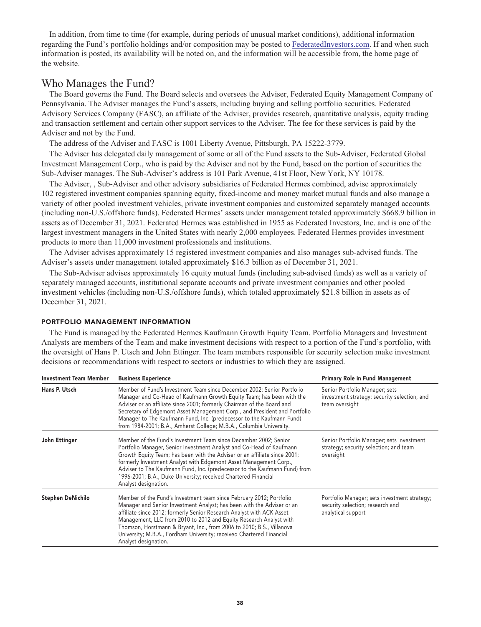**In addition, from time to time (for example, during periods of unusual market conditions), additional information regarding the Fund's portfolio holdings and/or composition may be posted to [FederatedInvestors.com.](https://www.federatedinvestors.com/home.do) If and when such information is posted, its availability will be noted on, and the information will be accessible from, the home page of the website.**

# **Who Manages the Fund?**

**The Board governs the Fund. The Board selects and oversees the Adviser, Federated Equity Management Company of Pennsylvania. The Adviser manages the Fund's assets, including buying and selling portfolio securities. Federated Advisory Services Company (FASC), an affiliate of the Adviser, provides research, quantitative analysis, equity trading and transaction settlement and certain other support services to the Adviser. The fee for these services is paid by the Adviser and not by the Fund.**

**The address of the Adviser and FASC is 1001 Liberty Avenue, Pittsburgh, PA 15222-3779.**

**The Adviser has delegated daily management of some or all of the Fund assets to the Sub-Adviser, Federated Global Investment Management Corp., who is paid by the Adviser and not by the Fund, based on the portion of securities the Sub-Adviser manages. The Sub-Adviser's address is 101 Park Avenue, 41st Floor, New York, NY 10178.**

**The Adviser, , Sub-Adviser and other advisory subsidiaries of Federated Hermes combined, advise approximately 102 registered investment companies spanning equity, fixed-income and money market mutual funds and also manage a variety of other pooled investment vehicles, private investment companies and customized separately managed accounts (including non-U.S./offshore funds). Federated Hermes' assets under management totaled approximately \$668.9 billion in assets as of December 31, 2021. Federated Hermes was established in 1955 as Federated Investors, Inc. and is one of the largest investment managers in the United States with nearly 2,000 employees. Federated Hermes provides investment products to more than 11,000 investment professionals and institutions.**

**The Adviser advises approximately 15 registered investment companies and also manages sub-advised funds. The Adviser's assets under management totaled approximately \$16.3 billion as of December 31, 2021.**

**The Sub-Adviser advises approximately 16 equity mutual funds (including sub-advised funds) as well as a variety of separately managed accounts, institutional separate accounts and private investment companies and other pooled investment vehicles (including non-U.S./offshore funds), which totaled approximately \$21.8 billion in assets as of December 31, 2021.**

# **PORTFOLIO MANAGEMENT INFORMATION**

**The Fund is managed by the Federated Hermes Kaufmann Growth Equity Team. Portfolio Managers and Investment Analysts are members of the Team and make investment decisions with respect to a portion of the Fund's portfolio, with the oversight of Hans P. Utsch and John Ettinger. The team members responsible for security selection make investment decisions or recommendations with respect to sectors or industries to which they are assigned.**

| <b>Investment Team Member</b> | <b>Business Experience</b>                                                                                                                                                                                                                                                                                                                                                                                                                                            | <b>Primary Role in Fund Management</b>                                                                 |
|-------------------------------|-----------------------------------------------------------------------------------------------------------------------------------------------------------------------------------------------------------------------------------------------------------------------------------------------------------------------------------------------------------------------------------------------------------------------------------------------------------------------|--------------------------------------------------------------------------------------------------------|
| Hans P. Utsch                 | Member of Fund's Investment Team since December 2002; Senior Portfolio<br>Manager and Co-Head of Kaufmann Growth Equity Team; has been with the<br>Adviser or an affiliate since 2001; formerly Chairman of the Board and<br>Secretary of Edgemont Asset Management Corp., and President and Portfolio<br>Manager to The Kaufmann Fund, Inc. (predecessor to the Kaufmann Fund)<br>from 1984-2001; B.A., Amherst College; M.B.A., Columbia University.                | Senior Portfolio Manager; sets<br>investment strategy; security selection; and<br>team oversight       |
| John Ettinger                 | Member of the Fund's Investment Team since December 2002; Senior<br>Portfolio Manager, Senior Investment Analyst and Co-Head of Kaufmann<br>Growth Equity Team; has been with the Adviser or an affiliate since 2001;<br>formerly Investment Analyst with Edgemont Asset Management Corp.,<br>Adviser to The Kaufmann Fund, Inc. (predecessor to the Kaufmann Fund) from<br>1996-2001; B.A., Duke University; received Chartered Financial<br>Analyst designation.    | Senior Portfolio Manager; sets investment<br>strategy; security selection; and team<br>oversight       |
| Stephen DeNichilo             | Member of the Fund's Investment team since February 2012; Portfolio<br>Manager and Senior Investment Analyst; has been with the Adviser or an<br>affiliate since 2012; formerly Senior Research Analyst with ACK Asset<br>Management, LLC from 2010 to 2012 and Equity Research Analyst with<br>Thomson, Horstmann & Bryant, Inc., from 2006 to 2010; B.S., Villanova<br>University; M.B.A., Fordham University; received Chartered Financial<br>Analyst designation. | Portfolio Manager; sets investment strategy;<br>security selection; research and<br>analytical support |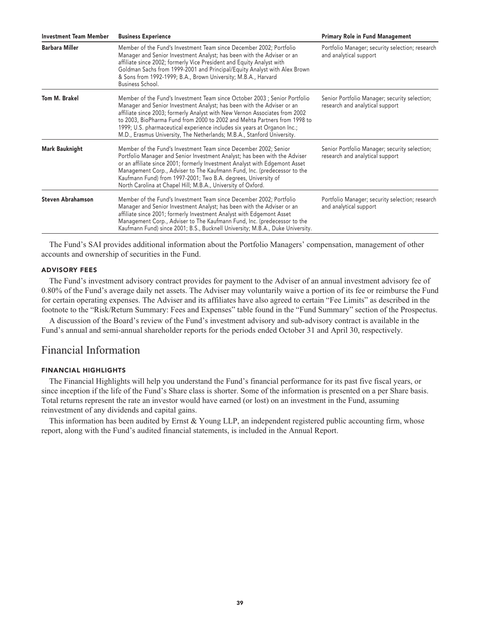| <b>Investment Team Member</b> | <b>Business Experience</b>                                                                                                                                                                                                                                                                                                                                                                                                                                             | <b>Primary Role in Fund Management</b>                                           |
|-------------------------------|------------------------------------------------------------------------------------------------------------------------------------------------------------------------------------------------------------------------------------------------------------------------------------------------------------------------------------------------------------------------------------------------------------------------------------------------------------------------|----------------------------------------------------------------------------------|
| <b>Barbara Miller</b>         | Member of the Fund's Investment Team since December 2002; Portfolio<br>Manager and Senior Investment Analyst; has been with the Adviser or an<br>affiliate since 2002; formerly Vice President and Equity Analyst with<br>Goldman Sachs from 1999-2001 and Principal/Equity Analyst with Alex Brown<br>& Sons from 1992-1999; B.A., Brown University; M.B.A., Harvard<br>Business School.                                                                              | Portfolio Manager; security selection; research<br>and analytical support        |
| Tom M. Brakel                 | Member of the Fund's Investment Team since October 2003; Senior Portfolio<br>Manager and Senior Investment Analyst; has been with the Adviser or an<br>affiliate since 2003; formerly Analyst with New Vernon Associates from 2002<br>to 2003, BioPharma Fund from 2000 to 2002 and Mehta Partners from 1998 to<br>1999; U.S. pharmaceutical experience includes six years at Organon Inc.;<br>M.D., Erasmus University, The Netherlands; M.B.A., Stanford University. | Senior Portfolio Manager; security selection;<br>research and analytical support |
| Mark Bauknight                | Member of the Fund's Investment Team since December 2002; Senior<br>Portfolio Manager and Senior Investment Analyst; has been with the Adviser<br>or an affiliate since 2001; formerly Investment Analyst with Edgemont Asset<br>Management Corp., Adviser to The Kaufmann Fund, Inc. (predecessor to the<br>Kaufmann Fund) from 1997-2001; Two B.A. degrees, University of<br>North Carolina at Chapel Hill; M.B.A., University of Oxford.                            | Senior Portfolio Manager; security selection;<br>research and analytical support |
| <b>Steven Abrahamson</b>      | Member of the Fund's Investment Team since December 2002; Portfolio<br>Manager and Senior Investment Analyst; has been with the Adviser or an<br>affiliate since 2001; formerly Investment Analyst with Edgemont Asset<br>Management Corp., Adviser to The Kaufmann Fund, Inc. (predecessor to the<br>Kaufmann Fund) since 2001; B.S., Bucknell University; M.B.A., Duke University.                                                                                   | Portfolio Manager; security selection; research<br>and analytical support        |

**The Fund's SAI provides additional information about the Portfolio Managers' compensation, management of other accounts and ownership of securities in the Fund.**

# **ADVISORY FEES**

**The Fund's investment advisory contract provides for payment to the Adviser of an annual investment advisory fee of 0.80% of the Fund's average daily net assets. The Adviser may voluntarily waive a portion of its fee or reimburse the Fund for certain operating expenses. The Adviser and its affiliates have also agreed to certain "Fee Limits" as described in the footnote to the "Risk/Return Summary: Fees and Expenses" table found in the "Fund Summary" section of the Prospectus.**

**A discussion of the Board's review of the Fund's investment advisory and sub-advisory contract is available in the Fund's annual and semi-annual shareholder reports for the periods ended October 31 and April 30, respectively.**

# **Financial Information**

#### **FINANCIAL HIGHLIGHTS**

**The Financial Highlights will help you understand the Fund's financial performance for its past five fiscal years, or since inception if the life of the Fund's Share class is shorter. Some of the information is presented on a per Share basis. Total returns represent the rate an investor would have earned (or lost) on an investment in the Fund, assuming reinvestment of any dividends and capital gains.**

**This information has been audited by Ernst & Young LLP, an independent registered public accounting firm, whose report, along with the Fund's audited financial statements, is included in the Annual Report.**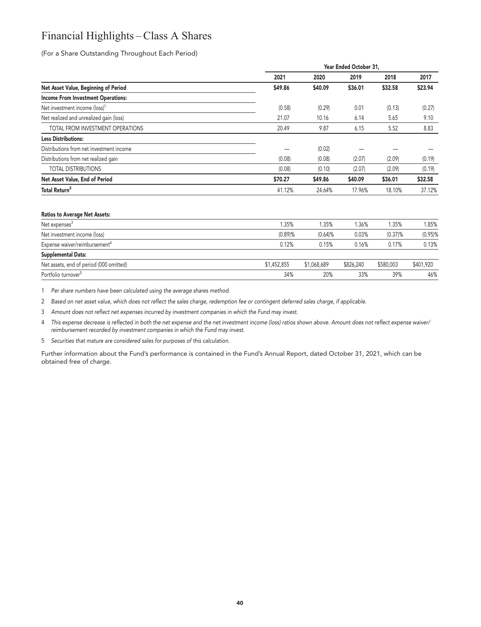# **Financial Highlights – Class A Shares**

**(For a Share Outstanding Throughout Each Period)**

|                                           |         | Year Ended October 31, |         |         |         |  |  |  |
|-------------------------------------------|---------|------------------------|---------|---------|---------|--|--|--|
|                                           | 2021    | 2020                   | 2019    | 2018    | 2017    |  |  |  |
| Net Asset Value, Beginning of Period      | \$49.86 | \$40.09                | \$36.01 | \$32.58 | \$23.94 |  |  |  |
| <b>Income From Investment Operations:</b> |         |                        |         |         |         |  |  |  |
| Net investment income (loss) <sup>1</sup> | (0.58)  | (0.29)                 | 0.01    | (0.13)  | (0.27)  |  |  |  |
| Net realized and unrealized gain (loss)   | 21.07   | 10.16                  | 6.14    | 5.65    | 9.10    |  |  |  |
| TOTAL FROM INVESTMENT OPERATIONS          | 20.49   | 9.87                   | 6.15    | 5.52    | 8.83    |  |  |  |
| <b>Less Distributions:</b>                |         |                        |         |         |         |  |  |  |
| Distributions from net investment income  |         | (0.02)                 |         |         |         |  |  |  |
| Distributions from net realized gain      | (0.08)  | (0.08)                 | (2.07)  | (2.09)  | (0.19)  |  |  |  |
| <b>TOTAL DISTRIBUTIONS</b>                | (0.08)  | (0.10)                 | (2.07)  | (2.09)  | (0.19)  |  |  |  |
| Net Asset Value, End of Period            | \$70.27 | \$49.86                | \$40.09 | \$36.01 | \$32.58 |  |  |  |
| Total Return <sup>2</sup>                 | 41.12%  | 24.64%                 | 17.96%  | 18.10%  | 37.12%  |  |  |  |
|                                           |         |                        |         |         |         |  |  |  |

#### **Ratios to Average Net Assets:**

| Net expenses <sup>3</sup>                 | $1.35\%$    | .35%        | 1.36%     | .35%      | 1.85%      |
|-------------------------------------------|-------------|-------------|-----------|-----------|------------|
| Net investment income (loss)              | (0.89%      | (0.64)%     | 0.03%     | (0.37)%   | $(0.95)\%$ |
| Expense waiver/reimbursement <sup>4</sup> | 0.12%       | 0.15%       | 0.16%     | 0.17%     | 0.13%      |
| Supplemental Data:                        |             |             |           |           |            |
| Net assets, end of period (000 omitted)   | \$1,452,855 | \$1,068,689 | \$826,240 | \$580,003 | \$401.920  |
| Portfolio turnover <sup>5</sup>           | 34%         | 20%         | 33%       | 39%       | 46%        |

**1 Per share numbers have been calculated using the average shares method.**

**2 Based on net asset value, which does not reflect the sales charge, redemption fee or contingent deferred sales charge, if applicable.**

**3 Amount does not reflect net expenses incurred by investment companies in which the Fund may invest.**

**4 This expense decrease is reflected in both the net expense and the net investment income (loss) ratios shown above. Amount does not reflect expense waiver/ reimbursement recorded by investment companies in which the Fund may invest.**

**5 Securities that mature are considered sales for purposes of this calculation.**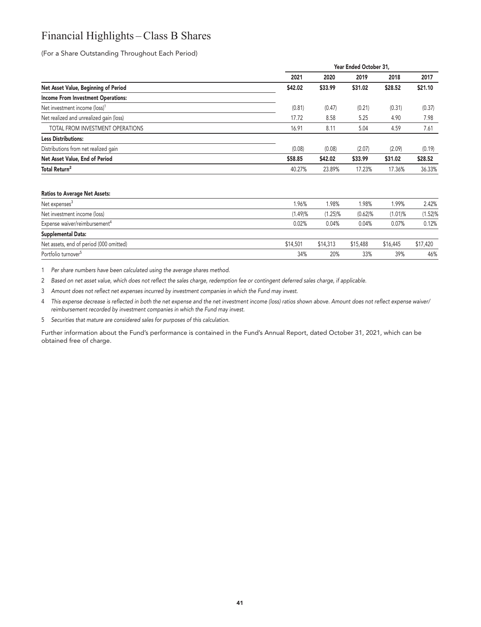# **Financial Highlights – Class B Shares**

**(For a Share Outstanding Throughout Each Period)**

| 2021<br>2020<br>Net Asset Value, Beginning of Period<br>\$42.02<br>\$33.99<br><b>Income From Investment Operations:</b><br>Net investment income (loss) <sup>1</sup><br>(0.81)<br>(0.47)<br>Net realized and unrealized gain (loss)<br>17.72<br>8.58<br>TOTAL FROM INVESTMENT OPERATIONS<br>16.91<br>8.11<br><b>Less Distributions:</b> | 2019<br>2018<br>2017<br>\$21.10<br>\$28.52<br>\$31.02<br>(0.37)<br>(0.31)<br>(0.21) |
|-----------------------------------------------------------------------------------------------------------------------------------------------------------------------------------------------------------------------------------------------------------------------------------------------------------------------------------------|-------------------------------------------------------------------------------------|
|                                                                                                                                                                                                                                                                                                                                         |                                                                                     |
|                                                                                                                                                                                                                                                                                                                                         |                                                                                     |
|                                                                                                                                                                                                                                                                                                                                         |                                                                                     |
|                                                                                                                                                                                                                                                                                                                                         |                                                                                     |
|                                                                                                                                                                                                                                                                                                                                         | 5.25<br>7.98<br>4.90                                                                |
|                                                                                                                                                                                                                                                                                                                                         | 5.04<br>7.61<br>4.59                                                                |
|                                                                                                                                                                                                                                                                                                                                         |                                                                                     |
| Distributions from net realized gain<br>(0.08)<br>(0.08)                                                                                                                                                                                                                                                                                | (2.07)<br>(2.09)<br>(0.19)                                                          |
| Net Asset Value, End of Period<br>\$58.85<br>\$42.02                                                                                                                                                                                                                                                                                    | \$33.99<br>\$31.02<br>\$28.52                                                       |
| Total Return <sup>2</sup><br>40.27%<br>23.89%                                                                                                                                                                                                                                                                                           | 36.33%<br>17.23%<br>17.36%                                                          |

# **Ratios to Average Net Assets:**

| Net expenses <sup>3</sup>                 | 1.96%    | 1.98%      | 1.98%    | .99%       | 2.42%    |
|-------------------------------------------|----------|------------|----------|------------|----------|
| Net investment income (loss)              | (1.49%   | $(1.25)\%$ | (0.62)%  | $(1.01)$ % | (1.52)%  |
| Expense waiver/reimbursement <sup>4</sup> | 0.02%    | 0.04%      | 0.04%    | 0.07%      | 0.12%    |
| Supplemental Data:                        |          |            |          |            |          |
| Net assets, end of period (000 omitted)   | \$14,501 | \$14,313   | \$15,488 | \$16,445   | \$17,420 |
| Portfolio turnover <sup>5</sup>           | 34%      | 20%        | 33%      | 39%        | 46%      |

**1 Per share numbers have been calculated using the average shares method.**

**2 Based on net asset value, which does not reflect the sales charge, redemption fee or contingent deferred sales charge, if applicable.**

**3 Amount does not reflect net expenses incurred by investment companies in which the Fund may invest.**

**4 This expense decrease is reflected in both the net expense and the net investment income (loss) ratios shown above. Amount does not reflect expense waiver/ reimbursement recorded by investment companies in which the Fund may invest.**

**5 Securities that mature are considered sales for purposes of this calculation.**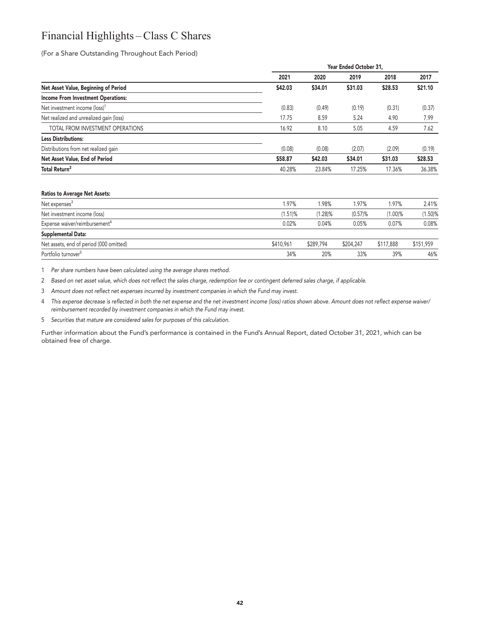# **Financial Highlights – Class C Shares**

**(For a Share Outstanding Throughout Each Period)**

|                                           | Year Ended October 31, |         |         |         |         |  |
|-------------------------------------------|------------------------|---------|---------|---------|---------|--|
|                                           | 2021                   | 2020    | 2019    | 2018    | 2017    |  |
| Net Asset Value, Beginning of Period      | \$42.03                | \$34.01 | \$31.03 | \$28.53 | \$21.10 |  |
| <b>Income From Investment Operations:</b> |                        |         |         |         |         |  |
| Net investment income (loss) <sup>1</sup> | (0.83)                 | (0.49)  | (0.19)  | (0.31)  | (0.37)  |  |
| Net realized and unrealized gain (loss)   | 17.75                  | 8.59    | 5.24    | 4.90    | 7.99    |  |
| TOTAL FROM INVESTMENT OPERATIONS          | 16.92                  | 8.10    | 5.05    | 4.59    | 7.62    |  |
| <b>Less Distributions:</b>                |                        |         |         |         |         |  |
| Distributions from net realized gain      | (0.08)                 | (0.08)  | (2.07)  | (2.09)  | (0.19)  |  |
| Net Asset Value, End of Period            | \$58.87                | \$42.03 | \$34.01 | \$31.03 | \$28.53 |  |
| Total Return <sup>2</sup>                 | 40.28%                 | 23.84%  | 17.25%  | 17.36%  | 36.38%  |  |

# **Ratios to Average Net Assets: Net expenses<sup>3</sup> 1.97% 1.98% 1.97% 1.97% 2.41% Net investment income (loss) (1.51)% (1.28)% (0.57)% (1.00)% (1.50)% Expense waiver/reimbursement<sup>4</sup> 0.02% 0.04% 0.05% 0.07% 0.08% Supplemental Data: Net assets, end of period (000 omitted) \$410,961 \$289,794 \$204,247 \$117,888 \$151,959**

**1 Per share numbers have been calculated using the average shares method.**

**2 Based on net asset value, which does not reflect the sales charge, redemption fee or contingent deferred sales charge, if applicable.**

**3 Amount does not reflect net expenses incurred by investment companies in which the Fund may invest.**

**4 This expense decrease is reflected in both the net expense and the net investment income (loss) ratios shown above. Amount does not reflect expense waiver/ reimbursement recorded by investment companies in which the Fund may invest.**

**Portfolio turnover<sup>5</sup> 34% 20% 33% 39% 46%**

**5 Securities that mature are considered sales for purposes of this calculation.**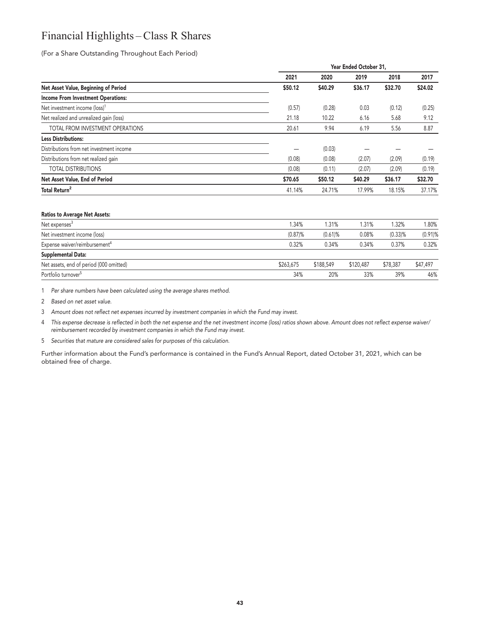# **Financial Highlights – Class R Shares**

**(For a Share Outstanding Throughout Each Period)**

|                                           |         |         | Year Ended October 31, |         |         |
|-------------------------------------------|---------|---------|------------------------|---------|---------|
|                                           | 2021    | 2020    | 2019                   | 2018    | 2017    |
| Net Asset Value, Beginning of Period      | \$50.12 | \$40.29 | \$36.17                | \$32.70 | \$24.02 |
| <b>Income From Investment Operations:</b> |         |         |                        |         |         |
| Net investment income (loss) <sup>1</sup> | (0.57)  | (0.28)  | 0.03                   | (0.12)  | (0.25)  |
| Net realized and unrealized gain (loss)   | 21.18   | 10.22   | 6.16                   | 5.68    | 9.12    |
| TOTAL FROM INVESTMENT OPERATIONS          | 20.61   | 9.94    | 6.19                   | 5.56    | 8.87    |
| <b>Less Distributions:</b>                |         |         |                        |         |         |
| Distributions from net investment income  |         | (0.03)  |                        |         |         |
| Distributions from net realized gain      | (0.08)  | (0.08)  | (2.07)                 | (2.09)  | (0.19)  |
| <b>TOTAL DISTRIBUTIONS</b>                | (0.08)  | (0.11)  | (2.07)                 | (2.09)  | (0.19)  |
| Net Asset Value, End of Period            | \$70.65 | \$50.12 | \$40.29                | \$36.17 | \$32.70 |
| Total Return <sup>2</sup>                 | 41.14%  | 24.71%  | 17.99%                 | 18.15%  | 37.17%  |
|                                           |         |         |                        |         |         |

#### **Ratios to Average Net Assets:**

| Net expenses <sup>3</sup>                 | 1.34%     | .31%       | 1.31%     | 1.32%      | .80%       |
|-------------------------------------------|-----------|------------|-----------|------------|------------|
| Net investment income (loss)              | (0.87)%   | $(0.61)$ % | 0.08%     | $(0.33)$ % | $(0.91)\%$ |
| Expense waiver/reimbursement <sup>4</sup> | 0.32%     | 0.34%      | 0.34%     | 0.37%      | 0.32%      |
| Supplemental Data:                        |           |            |           |            |            |
| Net assets, end of period (000 omitted)   | \$263.675 | \$188,549  | \$120,487 | \$78,387   | \$47,497   |
| Portfolio turnover <sup>5</sup>           | 34%       | 20%        | 33%       | 39%        | 46%        |

**1 Per share numbers have been calculated using the average shares method.**

**2 Based on net asset value.**

**3 Amount does not reflect net expenses incurred by investment companies in which the Fund may invest.**

**4 This expense decrease is reflected in both the net expense and the net investment income (loss) ratios shown above. Amount does not reflect expense waiver/ reimbursement recorded by investment companies in which the Fund may invest.**

**5 Securities that mature are considered sales for purposes of this calculation.**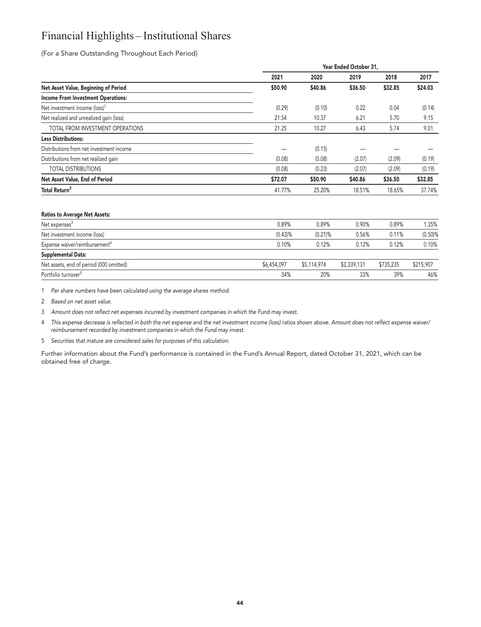# **Financial Highlights – Institutional Shares**

**(For a Share Outstanding Throughout Each Period)**

| Year Ended October 31, |         |         |         |         |  |  |
|------------------------|---------|---------|---------|---------|--|--|
| 2021                   | 2020    | 2019    | 2018    | 2017    |  |  |
| \$50.90                | \$40.86 | \$36.50 | \$32.85 | \$24.03 |  |  |
|                        |         |         |         |         |  |  |
| (0.29)                 | (0.10)  | 0.22    | 0.04    | (0.14)  |  |  |
| 21.54                  | 10.37   | 6.21    | 5.70    | 9.15    |  |  |
| 21.25                  | 10.27   | 6.43    | 5.74    | 9.01    |  |  |
|                        |         |         |         |         |  |  |
|                        | (0.15)  |         |         |         |  |  |
| (0.08)                 | (0.08)  | (2.07)  | (2.09)  | (0.19)  |  |  |
| (0.08)                 | (0.23)  | (2.07)  | (2.09)  | (0.19)  |  |  |
| \$72.07                | \$50.90 | \$40.86 | \$36.50 | \$32.85 |  |  |
| 41.77%                 | 25.20%  | 18.51%  | 18.65%  | 37.74%  |  |  |
|                        |         |         |         |         |  |  |

#### **Ratios to Average Net Assets:**

| Net expenses <sup>3</sup>                 | 0.89%       | 0.89%       | 0.90%       | 0.89%     | .35%       |
|-------------------------------------------|-------------|-------------|-------------|-----------|------------|
| Net investment income (loss)              | $(0.43)$ %  | $(0.21)\%$  | 0.56%       | 0.11%     | $(0.50)$ % |
| Expense waiver/reimbursement <sup>4</sup> | 0.10%       | 0.12%       | 0.12%       | 0.12%     | 0.10%      |
| Supplemental Data:                        |             |             |             |           |            |
| Net assets, end of period (000 omitted)   | \$6,454,097 | \$5,114,974 | \$2,339,131 | \$735.235 | \$215,907  |
| Portfolio turnover <sup>5</sup>           | 34%         | 20%         | 33%         | 39%       | 46%        |

**1 Per share numbers have been calculated using the average shares method.**

**2 Based on net asset value.**

**3 Amount does not reflect net expenses incurred by investment companies in which the Fund may invest.**

**4 This expense decrease is reflected in both the net expense and the net investment income (loss) ratios shown above. Amount does not reflect expense waiver/ reimbursement recorded by investment companies in which the Fund may invest.**

**5 Securities that mature are considered sales for purposes of this calculation.**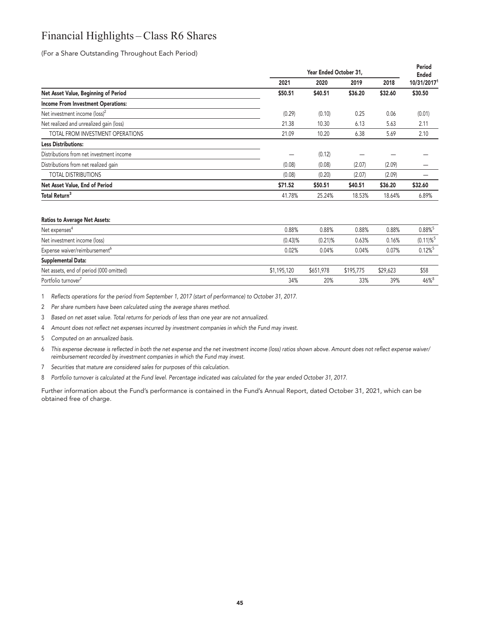# **Financial Highlights – Class R6 Shares**

**(For a Share Outstanding Throughout Each Period)**

| Year Ended October 31, |         |         |         |             |
|------------------------|---------|---------|---------|-------------|
| 2021                   | 2020    | 2019    | 2018    | 10/31/20171 |
| \$50.51                | \$40.51 | \$36.20 | \$32.60 | \$30.50     |
|                        |         |         |         |             |
| (0.29)                 | (0.10)  | 0.25    | 0.06    | (0.01)      |
| 21.38                  | 10.30   | 6.13    | 5.63    | 2.11        |
| 21.09                  | 10.20   | 6.38    | 5.69    | 2.10        |
|                        |         |         |         |             |
|                        | (0.12)  |         |         |             |
| (0.08)                 | (0.08)  | (2.07)  | (2.09)  |             |
| (0.08)                 | (0.20)  | (2.07)  | (2.09)  |             |
| \$71.52                | \$50.51 | \$40.51 | \$36.20 | \$32.60     |
| 41.78%                 | 25.24%  | 18.53%  | 18.64%  | 6.89%       |
|                        |         |         |         |             |

#### **Ratios to Average Net Assets:**

| Net expenses <sup>4</sup>                 | 0.88%       | 0.88%      | 0.88%     | 0.88%    | 0.88%                   |
|-------------------------------------------|-------------|------------|-----------|----------|-------------------------|
| Net investment income (loss)              | (0.43)%     | $(0.21)\%$ | 0.63%     | 0.16%    | $(0.11)\%$ <sup>5</sup> |
| Expense waiver/reimbursement <sup>6</sup> | 0.02%       | 0.04%      | 0.04%     | 0.07%    | $0.12\%$ <sup>5</sup>   |
| Supplemental Data:                        |             |            |           |          |                         |
| Net assets, end of period (000 omitted)   | \$1,195,120 | \$651,978  | \$195,775 | \$29,623 | \$58                    |
| Portfolio turnover <sup>7</sup>           | 34%         | 20%        | 33%       | 39%      | $46\%$ <sup>8</sup>     |

**1 Reflects operations for the period from September 1, 2017 (start of performance) to October 31, 2017.**

**2 Per share numbers have been calculated using the average shares method.**

**3 Based on net asset value. Total returns for periods of less than one year are not annualized.**

**4 Amount does not reflect net expenses incurred by investment companies in which the Fund may invest.**

**5 Computed on an annualized basis.**

**6 This expense decrease is reflected in both the net expense and the net investment income (loss) ratios shown above. Amount does not reflect expense waiver/ reimbursement recorded by investment companies in which the Fund may invest.**

**7 Securities that mature are considered sales for purposes of this calculation.**

**8 Portfolio turnover is calculated at the Fund level. Percentage indicated was calculated for the year ended October 31, 2017.**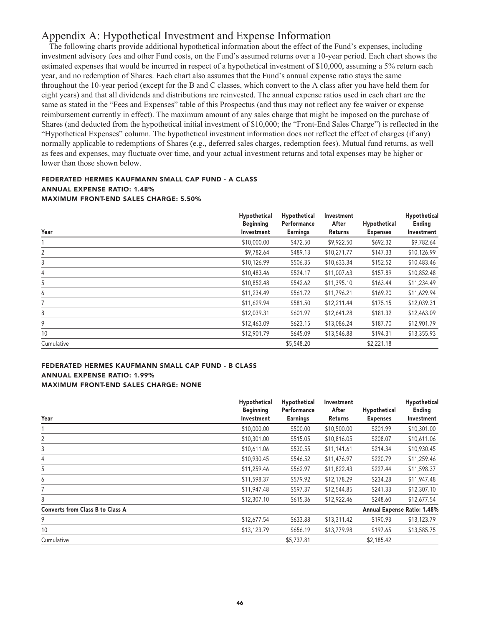# **Appendix A: Hypothetical Investment and Expense Information**

**The following charts provide additional hypothetical information about the effect of the Fund's expenses, including investment advisory fees and other Fund costs, on the Fund's assumed returns over a 10-year period. Each chart shows the estimated expenses that would be incurred in respect of a hypothetical investment of \$10,000, assuming a 5% return each year, and no redemption of Shares. Each chart also assumes that the Fund's annual expense ratio stays the same throughout the 10-year period (except for the B and C classes, which convert to the A class after you have held them for eight years) and that all dividends and distributions are reinvested. The annual expense ratios used in each chart are the same as stated in the "Fees and Expenses" table of this Prospectus (and thus may not reflect any fee waiver or expense reimbursement currently in effect). The maximum amount of any sales charge that might be imposed on the purchase of Shares (and deducted from the hypothetical initial investment of \$10,000; the "Front-End Sales Charge") is reflected in the "Hypothetical Expenses" column. The hypothetical investment information does not reflect the effect of charges (if any) normally applicable to redemptions of Shares (e.g., deferred sales charges, redemption fees). Mutual fund returns, as well as fees and expenses, may fluctuate over time, and your actual investment returns and total expenses may be higher or lower than those shown below.**

# **FEDERATED HERMES KAUFMANN SMALL CAP FUND - A CLASS ANNUAL EXPENSE RATIO: 1.48% MAXIMUM FRONT-END SALES CHARGE: 5.50%**

| Year       | Hypothetical<br><b>Beginning</b><br>Investment | Hypothetical<br>Performance<br><b>Earnings</b> | Investment<br>After<br>Returns | Hypothetical<br><b>Expenses</b> | Hypothetical<br>Ending<br>Investment |
|------------|------------------------------------------------|------------------------------------------------|--------------------------------|---------------------------------|--------------------------------------|
|            | \$10,000.00                                    | \$472.50                                       | \$9,922.50                     | \$692.32                        | \$9,782.64                           |
| 2          | \$9,782.64                                     | \$489.13                                       | \$10,271.77                    | \$147.33                        | \$10,126.99                          |
| 3          | \$10,126.99                                    | \$506.35                                       | \$10,633.34                    | \$152.52                        | \$10,483.46                          |
| 4          | \$10,483.46                                    | \$524.17                                       | \$11,007.63                    | \$157.89                        | \$10,852.48                          |
| 5          | \$10,852.48                                    | \$542.62                                       | \$11,395.10                    | \$163.44                        | \$11,234.49                          |
| 6          | \$11,234.49                                    | \$561.72                                       | \$11,796.21                    | \$169.20                        | \$11,629.94                          |
| 7          | \$11,629.94                                    | \$581.50                                       | \$12,211.44                    | \$175.15                        | \$12,039.31                          |
| 8          | \$12,039.31                                    | \$601.97                                       | \$12,641.28                    | \$181.32                        | \$12,463.09                          |
| 9          | \$12,463.09                                    | \$623.15                                       | \$13,086.24                    | \$187.70                        | \$12,901.79                          |
| 10         | \$12,901.79                                    | \$645.09                                       | \$13,546.88                    | \$194.31                        | \$13,355.93                          |
| Cumulative |                                                | \$5,548.20                                     |                                | \$2,221.18                      |                                      |

# **FEDERATED HERMES KAUFMANN SMALL CAP FUND - B CLASS ANNUAL EXPENSE RATIO: 1.99% MAXIMUM FRONT-END SALES CHARGE: NONE**

|                                         | Hypothetical<br><b>Beginning</b> | Hypothetical<br>Performance | Investment<br>After | Hypothetical    | Hypothetical<br>Ending      |
|-----------------------------------------|----------------------------------|-----------------------------|---------------------|-----------------|-----------------------------|
| Year                                    | Investment                       | <b>Earnings</b>             | Returns             | <b>Expenses</b> | Investment                  |
|                                         | \$10,000.00                      | \$500.00                    | \$10,500.00         | \$201.99        | \$10,301.00                 |
| 2                                       | \$10,301.00                      | \$515.05                    | \$10,816.05         | \$208.07        | \$10,611.06                 |
| 3                                       | \$10,611.06                      | \$530.55                    | \$11,141.61         | \$214.34        | \$10,930.45                 |
| 4                                       | \$10,930.45                      | \$546.52                    | \$11,476.97         | \$220.79        | \$11,259.46                 |
| 5                                       | \$11,259.46                      | \$562.97                    | \$11,822.43         | \$227.44        | \$11,598.37                 |
| 6                                       | \$11,598.37                      | \$579.92                    | \$12,178.29         | \$234.28        | \$11,947.48                 |
|                                         | \$11,947.48                      | \$597.37                    | \$12,544.85         | \$241.33        | \$12,307.10                 |
| 8                                       | \$12,307.10                      | \$615.36                    | \$12,922.46         | \$248.60        | \$12,677.54                 |
| <b>Converts from Class B to Class A</b> |                                  |                             |                     |                 | Annual Expense Ratio: 1.48% |
| 9                                       | \$12,677.54                      | \$633.88                    | \$13,311.42         | \$190.93        | \$13,123.79                 |
| 10                                      | \$13,123.79                      | \$656.19                    | \$13,779.98         | \$197.65        | \$13,585.75                 |
| Cumulative                              |                                  | \$5,737.81                  |                     | \$2,185.42      |                             |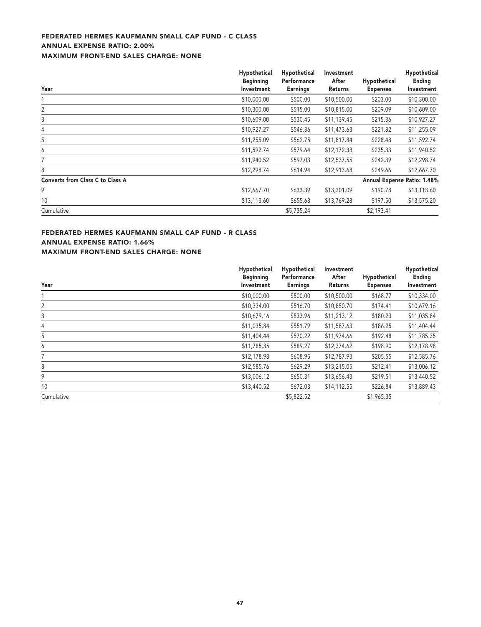# **FEDERATED HERMES KAUFMANN SMALL CAP FUND - C CLASS ANNUAL EXPENSE RATIO: 2.00% MAXIMUM FRONT-END SALES CHARGE: NONE**

|                                         | Hypothetical     | Hypothetical    | Investment<br>After | Hypothetical    | Hypothetical<br>Ending      |
|-----------------------------------------|------------------|-----------------|---------------------|-----------------|-----------------------------|
|                                         | <b>Beginning</b> | Performance     |                     |                 |                             |
| Year                                    | Investment       | <b>Earnings</b> | Returns             | <b>Expenses</b> | Investment                  |
|                                         | \$10,000.00      | \$500.00        | \$10,500.00         | \$203.00        | \$10,300.00                 |
| 2                                       | \$10,300.00      | \$515.00        | \$10,815.00         | \$209.09        | \$10,609.00                 |
| 3                                       | \$10,609.00      | \$530.45        | \$11,139.45         | \$215.36        | \$10,927.27                 |
| 4                                       | \$10,927.27      | \$546.36        | \$11,473.63         | \$221.82        | \$11,255.09                 |
| 5                                       | \$11,255.09      | \$562.75        | \$11,817.84         | \$228.48        | \$11,592.74                 |
| 6                                       | \$11,592.74      | \$579.64        | \$12,172.38         | \$235.33        | \$11,940.52                 |
|                                         | \$11,940.52      | \$597.03        | \$12,537.55         | \$242.39        | \$12,298.74                 |
| 8                                       | \$12,298.74      | \$614.94        | \$12,913.68         | \$249.66        | \$12,667.70                 |
| <b>Converts from Class C to Class A</b> |                  |                 |                     |                 | Annual Expense Ratio: 1.48% |
| 9                                       | \$12,667.70      | \$633.39        | \$13,301.09         | \$190.78        | \$13,113.60                 |
| 10                                      | \$13,113.60      | \$655.68        | \$13,769.28         | \$197.50        | \$13,575.20                 |
| Cumulative                              |                  | \$5,735.24      |                     | \$2,193.41      |                             |

# **FEDERATED HERMES KAUFMANN SMALL CAP FUND - R CLASS ANNUAL EXPENSE RATIO: 1.66% MAXIMUM FRONT-END SALES CHARGE: NONE**

| Year       | Hypothetical                   | Hypothetical                   | Investment<br>After<br>Returns | Hypothetical<br><b>Expenses</b> | Hypothetical         |  |
|------------|--------------------------------|--------------------------------|--------------------------------|---------------------------------|----------------------|--|
|            | <b>Beginning</b><br>Investment | Performance<br><b>Earnings</b> |                                |                                 | Ending<br>Investment |  |
|            | \$10,000.00                    | \$500.00                       | \$10,500.00                    | \$168.77                        | \$10,334.00          |  |
| 2          | \$10,334.00                    | \$516.70                       | \$10,850.70                    | \$174.41                        | \$10,679.16          |  |
| 3          | \$10,679.16                    | \$533.96                       | \$11,213.12                    | \$180.23                        | \$11,035.84          |  |
| 4          | \$11,035.84                    | \$551.79                       | \$11,587.63                    | \$186.25                        | \$11,404.44          |  |
| 5          | \$11,404.44                    | \$570.22                       | \$11,974.66                    | \$192.48                        | \$11,785.35          |  |
| 6          | \$11,785.35                    | \$589.27                       | \$12,374.62                    | \$198.90                        | \$12,178.98          |  |
|            | \$12,178.98                    | \$608.95                       | \$12,787.93                    | \$205.55                        | \$12,585.76          |  |
| 8          | \$12,585.76                    | \$629.29                       | \$13,215.05                    | \$212.41                        | \$13,006.12          |  |
| 9          | \$13,006.12                    | \$650.31                       | \$13,656.43                    | \$219.51                        | \$13,440.52          |  |
| 10         | \$13,440.52                    | \$672.03                       | \$14,112.55                    | \$226.84                        | \$13,889.43          |  |
| Cumulative |                                | \$5,822.52                     |                                | \$1,965.35                      |                      |  |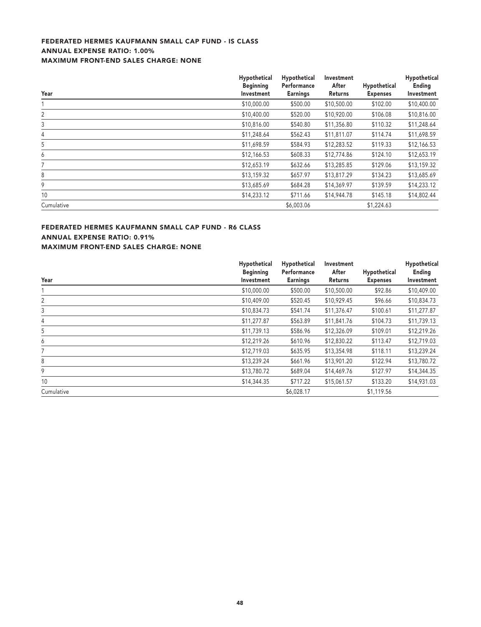# **FEDERATED HERMES KAUFMANN SMALL CAP FUND - IS CLASS ANNUAL EXPENSE RATIO: 1.00% MAXIMUM FRONT-END SALES CHARGE: NONE**

| Year       | Hypothetical<br><b>Beginning</b><br>Investment | Hypothetical<br>Performance<br><b>Earnings</b> | Investment<br>After<br>Returns | Hypothetical    | Hypothetical<br>Ending<br>Investment |
|------------|------------------------------------------------|------------------------------------------------|--------------------------------|-----------------|--------------------------------------|
|            |                                                |                                                |                                | <b>Expenses</b> |                                      |
|            | \$10,000.00                                    | \$500.00                                       | \$10,500.00                    | \$102.00        | \$10,400.00                          |
| 2          | \$10,400.00                                    | \$520.00                                       | \$10,920.00                    | \$106.08        | \$10,816.00                          |
| 3          | \$10,816.00                                    | \$540.80                                       | \$11,356.80                    | \$110.32        | \$11,248.64                          |
| 4          | \$11,248.64                                    | \$562.43                                       | \$11,811.07                    | \$114.74        | \$11,698.59                          |
| 5          | \$11,698.59                                    | \$584.93                                       | \$12,283.52                    | \$119.33        | \$12,166.53                          |
| 6          | \$12,166.53                                    | \$608.33                                       | \$12,774.86                    | \$124.10        | \$12,653.19                          |
|            | \$12,653.19                                    | \$632.66                                       | \$13,285.85                    | \$129.06        | \$13,159.32                          |
| 8          | \$13,159.32                                    | \$657.97                                       | \$13,817.29                    | \$134.23        | \$13,685.69                          |
| 9          | \$13,685.69                                    | \$684.28                                       | \$14,369.97                    | \$139.59        | \$14,233.12                          |
| 10         | \$14,233.12                                    | \$711.66                                       | \$14,944.78                    | \$145.18        | \$14,802.44                          |
| Cumulative |                                                | \$6,003.06                                     |                                | \$1,224.63      |                                      |

# **FEDERATED HERMES KAUFMANN SMALL CAP FUND - R6 CLASS ANNUAL EXPENSE RATIO: 0.91% MAXIMUM FRONT-END SALES CHARGE: NONE**

| Year       | Hypothetical<br><b>Beginning</b><br>Investment | Hypothetical<br>Performance<br><b>Earnings</b> | Investment<br>After<br>Returns | Hypothetical<br><b>Expenses</b> | Hypothetical<br>Ending<br>Investment |
|------------|------------------------------------------------|------------------------------------------------|--------------------------------|---------------------------------|--------------------------------------|
|            | \$10,000.00                                    | \$500.00                                       | \$10,500.00                    | \$92.86                         | \$10,409.00                          |
| 2          | \$10,409.00                                    | \$520.45                                       | \$10,929.45                    | \$96.66                         | \$10,834.73                          |
| 3          | \$10,834.73                                    | \$541.74                                       | \$11,376.47                    | \$100.61                        | \$11,277.87                          |
| 4          | \$11,277.87                                    | \$563.89                                       | \$11,841.76                    | \$104.73                        | \$11,739.13                          |
| 5          | \$11,739.13                                    | \$586.96                                       | \$12,326.09                    | \$109.01                        | \$12,219.26                          |
| 6          | \$12,219.26                                    | \$610.96                                       | \$12,830.22                    | \$113.47                        | \$12,719.03                          |
| 7          | \$12,719.03                                    | \$635.95                                       | \$13,354.98                    | \$118.11                        | \$13,239.24                          |
| 8          | \$13,239.24                                    | \$661.96                                       | \$13,901.20                    | \$122.94                        | \$13,780.72                          |
| 9          | \$13,780.72                                    | \$689.04                                       | \$14,469.76                    | \$127.97                        | \$14,344.35                          |
| 10         | \$14,344.35                                    | \$717.22                                       | \$15,061.57                    | \$133.20                        | \$14,931.03                          |
| Cumulative |                                                | \$6,028.17                                     |                                | \$1,119.56                      |                                      |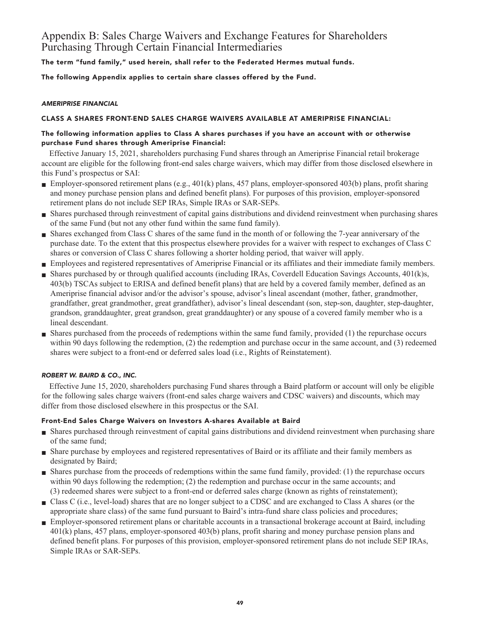# **Appendix B: Sales Charge Waivers and Exchange Features for Shareholders Purchasing Through Certain Financial Intermediaries**

**The term "fund family," used herein, shall refer to the Federated Hermes mutual funds.**

**The following Appendix applies to certain share classes offered by the Fund.**

# **AMERIPRISE FINANCIAL**

# **CLASS A SHARES FRONT-END SALES CHARGE WAIVERS AVAILABLE AT AMERIPRISE FINANCIAL:**

# **The following information applies to Class A shares purchases if you have an account with or otherwise purchase Fund shares through Ameriprise Financial:**

**Effective January 15, 2021, shareholders purchasing Fund shares through an Ameriprise Financial retail brokerage account are eligible for the following front-end sales charge waivers, which may differ from those disclosed elsewhere in this Fund's prospectus or SAI:**

- **Employer-sponsored retirement plans (e.g., 401(k) plans, 457 plans, employer-sponsored 403(b) plans, profit sharing and money purchase pension plans and defined benefit plans). For purposes of this provision, employer-sponsored retirement plans do not include SEP IRAs, Simple IRAs or SAR-SEPs.**
- **■ Shares purchased through reinvestment of capital gains distributions and dividend reinvestment when purchasing shares of the same Fund (but not any other fund within the same fund family).**
- **■ Shares exchanged from Class C shares of the same fund in the month of or following the 7-year anniversary of the purchase date. To the extent that this prospectus elsewhere provides for a waiver with respect to exchanges of Class C shares or conversion of Class C shares following a shorter holding period, that waiver will apply.**
- **■ Employees and registered representatives of Ameriprise Financial or its affiliates and their immediate family members.**
- **■ Shares purchased by or through qualified accounts (including IRAs, Coverdell Education Savings Accounts, 401(k)s, 403(b) TSCAs subject to ERISA and defined benefit plans) that are held by a covered family member, defined as an Ameriprise financial advisor and/or the advisor's spouse, advisor's lineal ascendant (mother, father, grandmother, grandfather, great grandmother, great grandfather), advisor's lineal descendant (son, step-son, daughter, step-daughter, grandson, granddaughter, great grandson, great granddaughter) or any spouse of a covered family member who is a lineal descendant.**
- **■ Shares purchased from the proceeds of redemptions within the same fund family, provided (1) the repurchase occurs within 90 days following the redemption, (2) the redemption and purchase occur in the same account, and (3) redeemed shares were subject to a front-end or deferred sales load (i.e., Rights of Reinstatement).**

# **ROBERT W. BAIRD & CO., INC.**

**Effective June 15, 2020, shareholders purchasing Fund shares through a Baird platform or account will only be eligible for the following sales charge waivers (front-end sales charge waivers and CDSC waivers) and discounts, which may differ from those disclosed elsewhere in this prospectus or the SAI.**

# **Front-End Sales Charge Waivers on Investors A-shares Available at Baird**

- **■ Shares purchased through reinvestment of capital gains distributions and dividend reinvestment when purchasing share of the same fund;**
- **■ Share purchase by employees and registered representatives of Baird or its affiliate and their family members as designated by Baird;**
- **■ Shares purchase from the proceeds of redemptions within the same fund family, provided: (1) the repurchase occurs within 90 days following the redemption; (2) the redemption and purchase occur in the same accounts; and (3) redeemed shares were subject to a front-end or deferred sales charge (known as rights of reinstatement);**
- **■ Class C (i.e., level-load) shares that are no longer subject to a CDSC and are exchanged to Class A shares (or the appropriate share class) of the same fund pursuant to Baird's intra-fund share class policies and procedures;**
- **Employer-sponsored retirement plans or charitable accounts in a transactional brokerage account at Baird, including 401(k) plans, 457 plans, employer-sponsored 403(b) plans, profit sharing and money purchase pension plans and defined benefit plans. For purposes of this provision, employer-sponsored retirement plans do not include SEP IRAs, Simple IRAs or SAR-SEPs.**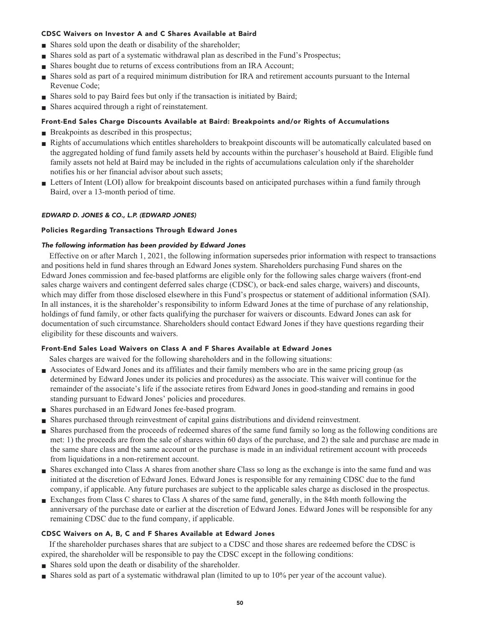# **CDSC Waivers on Investor A and C Shares Available at Baird**

- **■ Shares sold upon the death or disability of the shareholder;**
- **■ Shares sold as part of a systematic withdrawal plan as described in the Fund's Prospectus;**
- **Shares bought due to returns of excess contributions from an IRA Account;**
- **■ Shares sold as part of a required minimum distribution for IRA and retirement accounts pursuant to the Internal Revenue Code;**
- **Shares sold to pay Baird fees but only if the transaction is initiated by Baird;**
- **■ Shares acquired through a right of reinstatement.**

# **Front-End Sales Charge Discounts Available at Baird: Breakpoints and/or Rights of Accumulations**

- **Breakpoints as described in this prospectus;**
- **Rights of accumulations which entitles shareholders to breakpoint discounts will be automatically calculated based on the aggregated holding of fund family assets held by accounts within the purchaser's household at Baird. Eligible fund family assets not held at Baird may be included in the rights of accumulations calculation only if the shareholder notifies his or her financial advisor about such assets;**
- Letters of Intent (LOI) allow for breakpoint discounts based on anticipated purchases within a fund family through **Baird, over a 13-month period of time.**

# **EDWARD D. JONES & CO., L.P. (EDWARD JONES)**

# **Policies Regarding Transactions Through Edward Jones**

# **The following information has been provided by Edward Jones**

**Effective on or after March 1, 2021, the following information supersedes prior information with respect to transactions and positions held in fund shares through an Edward Jones system. Shareholders purchasing Fund shares on the Edward Jones commission and fee-based platforms are eligible only for the following sales charge waivers (front-end sales charge waivers and contingent deferred sales charge (CDSC), or back-end sales charge, waivers) and discounts, which may differ from those disclosed elsewhere in this Fund's prospectus or statement of additional information (SAI). In all instances, it is the shareholder's responsibility to inform Edward Jones at the time of purchase of any relationship, holdings of fund family, or other facts qualifying the purchaser for waivers or discounts. Edward Jones can ask for documentation of such circumstance. Shareholders should contact Edward Jones if they have questions regarding their eligibility for these discounts and waivers.**

# **Front-End Sales Load Waivers on Class A and F Shares Available at Edward Jones**

**Sales charges are waived for the following shareholders and in the following situations:**

- **■ Associates of Edward Jones and its affiliates and their family members who are in the same pricing group (as determined by Edward Jones under its policies and procedures) as the associate. This waiver will continue for the remainder of the associate's life if the associate retires from Edward Jones in good-standing and remains in good standing pursuant to Edward Jones' policies and procedures.**
- **■ Shares purchased in an Edward Jones fee-based program.**
- **■ Shares purchased through reinvestment of capital gains distributions and dividend reinvestment.**
- **■ Shares purchased from the proceeds of redeemed shares of the same fund family so long as the following conditions are met: 1) the proceeds are from the sale of shares within 60 days of the purchase, and 2) the sale and purchase are made in the same share class and the same account or the purchase is made in an individual retirement account with proceeds from liquidations in a non-retirement account.**
- **■ Shares exchanged into Class A shares from another share Class so long as the exchange is into the same fund and was initiated at the discretion of Edward Jones. Edward Jones is responsible for any remaining CDSC due to the fund company, if applicable. Any future purchases are subject to the applicable sales charge as disclosed in the prospectus.**
- **Exchanges from Class C shares to Class A shares of the same fund, generally, in the 84th month following the anniversary of the purchase date or earlier at the discretion of Edward Jones. Edward Jones will be responsible for any remaining CDSC due to the fund company, if applicable.**

# **CDSC Waivers on A, B, C and F Shares Available at Edward Jones**

**If the shareholder purchases shares that are subject to a CDSC and those shares are redeemed before the CDSC is expired, the shareholder will be responsible to pay the CDSC except in the following conditions:**

- **■ Shares sold upon the death or disability of the shareholder.**
- **■ Shares sold as part of a systematic withdrawal plan (limited to up to 10% per year of the account value).**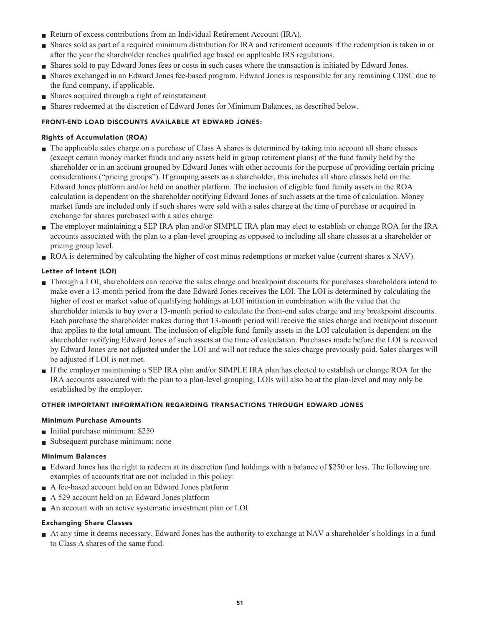- **Return of excess contributions from an Individual Retirement Account (IRA).**
- **■ Shares sold as part of a required minimum distribution for IRA and retirement accounts if the redemption is taken in or after the year the shareholder reaches qualified age based on applicable IRS regulations.**
- **■ Shares sold to pay Edward Jones fees or costs in such cases where the transaction is initiated by Edward Jones.**
- **■ Shares exchanged in an Edward Jones fee-based program. Edward Jones is responsible for any remaining CDSC due to the fund company, if applicable.**
- **Shares acquired through a right of reinstatement.**
- **■ Shares redeemed at the discretion of Edward Jones for Minimum Balances, as described below.**

# **FRONT-END LOAD DISCOUNTS AVAILABLE AT EDWARD JONES:**

# **Rights of Accumulation (ROA)**

- **■ The applicable sales charge on a purchase of Class A shares is determined by taking into account all share classes (except certain money market funds and any assets held in group retirement plans) of the fund family held by the shareholder or in an account grouped by Edward Jones with other accounts for the purpose of providing certain pricing considerations ("pricing groups"). If grouping assets as a shareholder, this includes all share classes held on the Edward Jones platform and/or held on another platform. The inclusion of eligible fund family assets in the ROA calculation is dependent on the shareholder notifying Edward Jones of such assets at the time of calculation. Money market funds are included only if such shares were sold with a sales charge at the time of purchase or acquired in exchange for shares purchased with a sales charge.**
- **■ The employer maintaining a SEP IRA plan and/or SIMPLE IRA plan may elect to establish or change ROA for the IRA accounts associated with the plan to a plan-level grouping as opposed to including all share classes at a shareholder or pricing group level.**
- **ROA** is determined by calculating the higher of cost minus redemptions or market value (current shares x NAV).

# **Letter of Intent (LOI)**

- **■ Through a LOI, shareholders can receive the sales charge and breakpoint discounts for purchases shareholders intend to make over a 13-month period from the date Edward Jones receives the LOI. The LOI is determined by calculating the higher of cost or market value of qualifying holdings at LOI initiation in combination with the value that the shareholder intends to buy over a 13-month period to calculate the front-end sales charge and any breakpoint discounts. Each purchase the shareholder makes during that 13-month period will receive the sales charge and breakpoint discount that applies to the total amount. The inclusion of eligible fund family assets in the LOI calculation is dependent on the shareholder notifying Edward Jones of such assets at the time of calculation. Purchases made before the LOI is received by Edward Jones are not adjusted under the LOI and will not reduce the sales charge previously paid. Sales charges will be adjusted if LOI is not met.**
- **■ If the employer maintaining a SEP IRA plan and/or SIMPLE IRA plan has elected to establish or change ROA for the IRA accounts associated with the plan to a plan-level grouping, LOIs will also be at the plan-level and may only be established by the employer.**

# **OTHER IMPORTANT INFORMATION REGARDING TRANSACTIONS THROUGH EDWARD JONES**

# **Minimum Purchase Amounts**

- **■ Initial purchase minimum: \$250**
- **■ Subsequent purchase minimum: none**

# **Minimum Balances**

- **■ Edward Jones has the right to redeem at its discretion fund holdings with a balance of \$250 or less. The following are examples of accounts that are not included in this policy:**
- **■ A fee-based account held on an Edward Jones platform**
- **■ A 529 account held on an Edward Jones platform**
- **■ An account with an active systematic investment plan or LOI**

# **Exchanging Share Classes**

**■ At any time it deems necessary, Edward Jones has the authority to exchange at NAV a shareholder's holdings in a fund to Class A shares of the same fund.**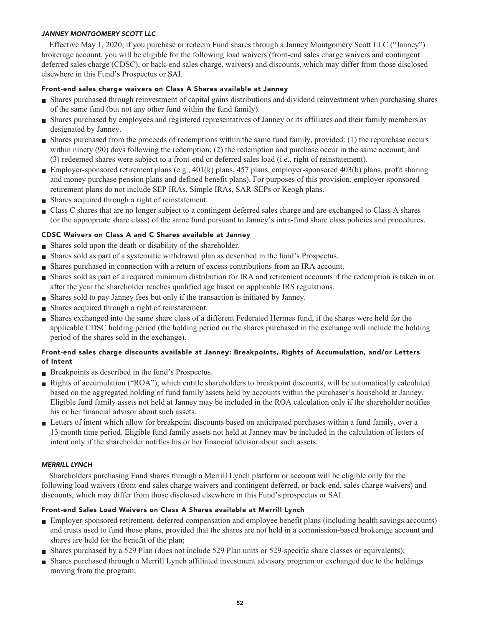# **JANNEY MONTGOMERY SCOTT LLC**

**Effective May 1, 2020, if you purchase or redeem Fund shares through a Janney Montgomery Scott LLC ("Janney") brokerage account, you will be eligible for the following load waivers (front-end sales charge waivers and contingent deferred sales charge (CDSC), or back-end sales charge, waivers) and discounts, which may differ from those disclosed elsewhere in this Fund's Prospectus or SAI.**

# **Front-end sales charge waivers on Class A Shares available at Janney**

- **■ Shares purchased through reinvestment of capital gains distributions and dividend reinvestment when purchasing shares of the same fund (but not any other fund within the fund family).**
- **■ Shares purchased by employees and registered representatives of Janney or its affiliates and their family members as designated by Janney.**
- **■ Shares purchased from the proceeds of redemptions within the same fund family, provided: (1) the repurchase occurs within ninety (90) days following the redemption; (2) the redemption and purchase occur in the same account; and (3) redeemed shares were subject to a front-end or deferred sales load (i.e., right of reinstatement).**
- **Employer-sponsored retirement plans (e.g., 401(k) plans, 457 plans, employer-sponsored 403(b) plans, profit sharing and money purchase pension plans and defined benefit plans). For purposes of this provision, employer-sponsored retirement plans do not include SEP IRAs, Simple IRAs, SAR-SEPs or Keogh plans.**
- **■ Shares acquired through a right of reinstatement.**
- **■ Class C shares that are no longer subject to a contingent deferred sales charge and are exchanged to Class A shares (or the appropriate share class) of the same fund pursuant to Janney's intra-fund share class policies and procedures.**

# **CDSC Waivers on Class A and C Shares available at Janney**

- **■ Shares sold upon the death or disability of the shareholder.**
- **■ Shares sold as part of a systematic withdrawal plan as described in the fund's Prospectus.**
- **■ Shares purchased in connection with a return of excess contributions from an IRA account.**
- **■ Shares sold as part of a required minimum distribution for IRA and retirement accounts if the redemption is taken in or after the year the shareholder reaches qualified age based on applicable IRS regulations.**
- **■ Shares sold to pay Janney fees but only if the transaction is initiated by Janney.**
- **■ Shares acquired through a right of reinstatement.**
- **■ Shares exchanged into the same share class of a different Federated Hermes fund, if the shares were held for the applicable CDSC holding period (the holding period on the shares purchased in the exchange will include the holding period of the shares sold in the exchange).**

# **Front-end sales charge discounts available at Janney: Breakpoints, Rights of Accumulation, and/or Letters of Intent**

- **■ Breakpoints as described in the fund's Prospectus.**
- **■ Rights of accumulation ("ROA"), which entitle shareholders to breakpoint discounts, will be automatically calculated based on the aggregated holding of fund family assets held by accounts within the purchaser's household at Janney. Eligible fund family assets not held at Janney may be included in the ROA calculation only if the shareholder notifies his or her financial advisor about such assets.**
- **■ Letters of intent which allow for breakpoint discounts based on anticipated purchases within a fund family, over a 13-month time period. Eligible fund family assets not held at Janney may be included in the calculation of letters of intent only if the shareholder notifies his or her financial advisor about such assets.**

# **MERRILL LYNCH**

**Shareholders purchasing Fund shares through a Merrill Lynch platform or account will be eligible only for the following load waivers (front-end sales charge waivers and contingent deferred, or back-end, sales charge waivers) and discounts, which may differ from those disclosed elsewhere in this Fund's prospectus or SAI.**

# **Front-end Sales Load Waivers on Class A Shares available at Merrill Lynch**

- **■ Employer-sponsored retirement, deferred compensation and employee benefit plans (including health savings accounts) and trusts used to fund those plans, provided that the shares are not held in a commission-based brokerage account and shares are held for the benefit of the plan;**
- **Shares purchased by a 529 Plan (does not include 529 Plan units or 529-specific share classes or equivalents);**
- **■ Shares purchased through a Merrill Lynch affiliated investment advisory program or exchanged due to the holdings moving from the program;**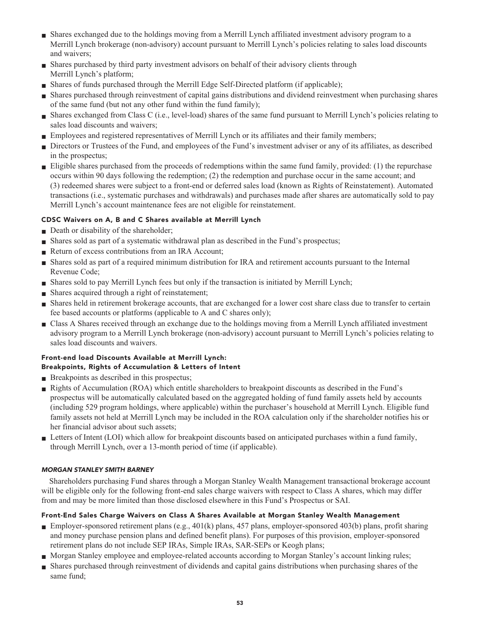- **■ Shares exchanged due to the holdings moving from a Merrill Lynch affiliated investment advisory program to a Merrill Lynch brokerage (non-advisory) account pursuant to Merrill Lynch's policies relating to sales load discounts and waivers;**
- **■ Shares purchased by third party investment advisors on behalf of their advisory clients through Merrill Lynch's platform;**
- **Shares of funds purchased through the Merrill Edge Self-Directed platform (if applicable);**
- **■ Shares purchased through reinvestment of capital gains distributions and dividend reinvestment when purchasing shares of the same fund (but not any other fund within the fund family);**
- **■ Shares exchanged from Class C (i.e., level-load) shares of the same fund pursuant to Merrill Lynch's policies relating to sales load discounts and waivers;**
- **■ Employees and registered representatives of Merrill Lynch or its affiliates and their family members;**
- **■ Directors or Trustees of the Fund, and employees of the Fund's investment adviser or any of its affiliates, as described in the prospectus;**
- **■ Eligible shares purchased from the proceeds of redemptions within the same fund family, provided: (1) the repurchase occurs within 90 days following the redemption; (2) the redemption and purchase occur in the same account; and (3) redeemed shares were subject to a front-end or deferred sales load (known as Rights of Reinstatement). Automated transactions (i.e., systematic purchases and withdrawals) and purchases made after shares are automatically sold to pay Merrill Lynch's account maintenance fees are not eligible for reinstatement.**

# **CDSC Waivers on A, B and C Shares available at Merrill Lynch**

- **Death or disability of the shareholder;**
- **■ Shares sold as part of a systematic withdrawal plan as described in the Fund's prospectus;**
- **Return of excess contributions from an IRA Account;**
- **■ Shares sold as part of a required minimum distribution for IRA and retirement accounts pursuant to the Internal Revenue Code;**
- **■ Shares sold to pay Merrill Lynch fees but only if the transaction is initiated by Merrill Lynch;**
- **■ Shares acquired through a right of reinstatement;**
- **Shares held in retirement brokerage accounts, that are exchanged for a lower cost share class due to transfer to certain fee based accounts or platforms (applicable to A and C shares only);**
- **■ Class A Shares received through an exchange due to the holdings moving from a Merrill Lynch affiliated investment advisory program to a Merrill Lynch brokerage (non-advisory) account pursuant to Merrill Lynch's policies relating to sales load discounts and waivers.**

# **Front-end load Discounts Available at Merrill Lynch: Breakpoints, Rights of Accumulation & Letters of Intent**

- **■ Breakpoints as described in this prospectus;**
- **■ Rights of Accumulation (ROA) which entitle shareholders to breakpoint discounts as described in the Fund's prospectus will be automatically calculated based on the aggregated holding of fund family assets held by accounts (including 529 program holdings, where applicable) within the purchaser's household at Merrill Lynch. Eligible fund family assets not held at Merrill Lynch may be included in the ROA calculation only if the shareholder notifies his or her financial advisor about such assets;**
- Letters of Intent (LOI) which allow for breakpoint discounts based on anticipated purchases within a fund family, **through Merrill Lynch, over a 13-month period of time (if applicable).**

# **MORGAN STANLEY SMITH BARNEY**

**Shareholders purchasing Fund shares through a Morgan Stanley Wealth Management transactional brokerage account will be eligible only for the following front-end sales charge waivers with respect to Class A shares, which may differ from and may be more limited than those disclosed elsewhere in this Fund's Prospectus or SAI.**

# **Front-End Sales Charge Waivers on Class A Shares Available at Morgan Stanley Wealth Management**

- **Employer-sponsored retirement plans (e.g., 401(k) plans, 457 plans, employer-sponsored 403(b) plans, profit sharing and money purchase pension plans and defined benefit plans). For purposes of this provision, employer-sponsored retirement plans do not include SEP IRAs, Simple IRAs, SAR-SEPs or Keogh plans;**
- **■ Morgan Stanley employee and employee-related accounts according to Morgan Stanley's account linking rules;**
- **■ Shares purchased through reinvestment of dividends and capital gains distributions when purchasing shares of the same fund;**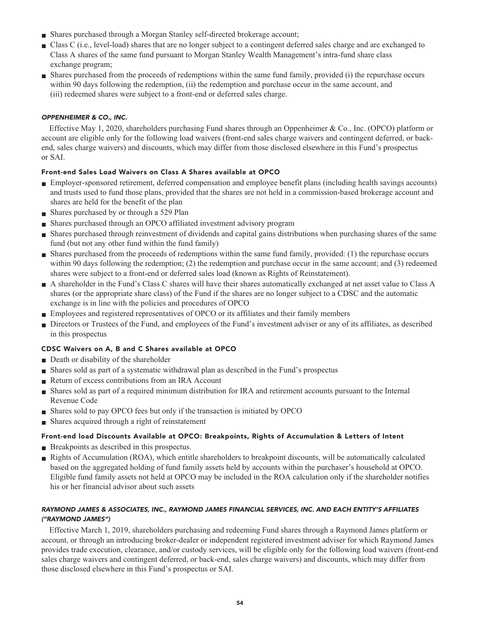- **■ Shares purchased through a Morgan Stanley self-directed brokerage account;**
- **■ Class C (i.e., level-load) shares that are no longer subject to a contingent deferred sales charge and are exchanged to Class A shares of the same fund pursuant to Morgan Stanley Wealth Management's intra-fund share class exchange program;**
- **■ Shares purchased from the proceeds of redemptions within the same fund family, provided (i) the repurchase occurs within 90 days following the redemption, (ii) the redemption and purchase occur in the same account, and (iii) redeemed shares were subject to a front-end or deferred sales charge.**

# **OPPENHEIMER & CO., INC.**

**Effective May 1, 2020, shareholders purchasing Fund shares through an Oppenheimer & Co., Inc. (OPCO) platform or account are eligible only for the following load waivers (front-end sales charge waivers and contingent deferred, or backend, sales charge waivers) and discounts, which may differ from those disclosed elsewhere in this Fund's prospectus or SAI.**

# **Front-end Sales Load Waivers on Class A Shares available at OPCO**

- **■ Employer-sponsored retirement, deferred compensation and employee benefit plans (including health savings accounts) and trusts used to fund those plans, provided that the shares are not held in a commission-based brokerage account and shares are held for the benefit of the plan**
- **■ Shares purchased by or through a 529 Plan**
- **■ Shares purchased through an OPCO affiliated investment advisory program**
- **■ Shares purchased through reinvestment of dividends and capital gains distributions when purchasing shares of the same fund (but not any other fund within the fund family)**
- **■ Shares purchased from the proceeds of redemptions within the same fund family, provided: (1) the repurchase occurs within 90 days following the redemption; (2) the redemption and purchase occur in the same account; and (3) redeemed shares were subject to a front-end or deferred sales load (known as Rights of Reinstatement).**
- **■ A shareholder in the Fund's Class C shares will have their shares automatically exchanged at net asset value to Class A shares (or the appropriate share class) of the Fund if the shares are no longer subject to a CDSC and the automatic exchange is in line with the policies and procedures of OPCO**
- **■ Employees and registered representatives of OPCO or its affiliates and their family members**
- **■ Directors or Trustees of the Fund, and employees of the Fund's investment adviser or any of its affiliates, as described in this prospectus**

# **CDSC Waivers on A, B and C Shares available at OPCO**

- **Death or disability of the shareholder**
- **■ Shares sold as part of a systematic withdrawal plan as described in the Fund's prospectus**
- **Return of excess contributions from an IRA Account**
- **■ Shares sold as part of a required minimum distribution for IRA and retirement accounts pursuant to the Internal Revenue Code**
- **■ Shares sold to pay OPCO fees but only if the transaction is initiated by OPCO**
- **Shares acquired through a right of reinstatement**

# **Front-end load Discounts Available at OPCO: Breakpoints, Rights of Accumulation & Letters of Intent**

- **Breakpoints as described in this prospectus.**
- **Rights of Accumulation (ROA), which entitle shareholders to breakpoint discounts, will be automatically calculated based on the aggregated holding of fund family assets held by accounts within the purchaser's household at OPCO. Eligible fund family assets not held at OPCO may be included in the ROA calculation only if the shareholder notifies his or her financial advisor about such assets**

# **RAYMOND JAMES & ASSOCIATES, INC., RAYMOND JAMES FINANCIAL SERVICES, INC. AND EACH ENTITY'S AFFILIATES ("RAYMOND JAMES")**

**Effective March 1, 2019, shareholders purchasing and redeeming Fund shares through a Raymond James platform or account, or through an introducing broker-dealer or independent registered investment adviser for which Raymond James provides trade execution, clearance, and/or custody services, will be eligible only for the following load waivers (front-end sales charge waivers and contingent deferred, or back-end, sales charge waivers) and discounts, which may differ from those disclosed elsewhere in this Fund's prospectus or SAI.**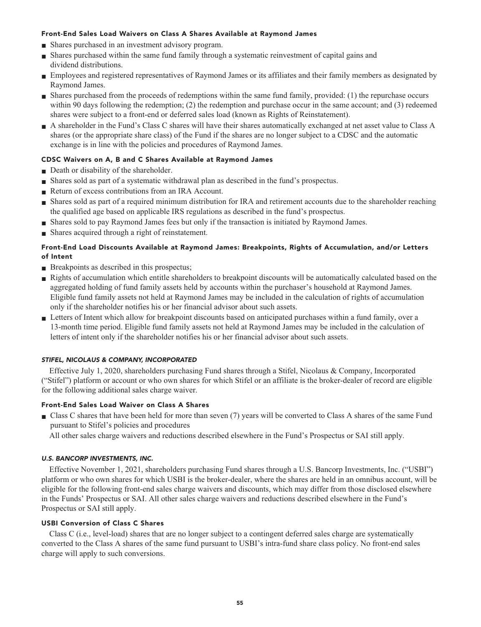# **Front-End Sales Load Waivers on Class A Shares Available at Raymond James**

- **■ Shares purchased in an investment advisory program.**
- **■ Shares purchased within the same fund family through a systematic reinvestment of capital gains and dividend distributions.**
- **■ Employees and registered representatives of Raymond James or its affiliates and their family members as designated by Raymond James.**
- **■ Shares purchased from the proceeds of redemptions within the same fund family, provided: (1) the repurchase occurs within 90 days following the redemption; (2) the redemption and purchase occur in the same account; and (3) redeemed shares were subject to a front-end or deferred sales load (known as Rights of Reinstatement).**
- **■ A shareholder in the Fund's Class C shares will have their shares automatically exchanged at net asset value to Class A shares (or the appropriate share class) of the Fund if the shares are no longer subject to a CDSC and the automatic exchange is in line with the policies and procedures of Raymond James.**

# **CDSC Waivers on A, B and C Shares Available at Raymond James**

- **Death or disability of the shareholder.**
- **■ Shares sold as part of a systematic withdrawal plan as described in the fund's prospectus.**
- **■ Return of excess contributions from an IRA Account.**
- **■ Shares sold as part of a required minimum distribution for IRA and retirement accounts due to the shareholder reaching the qualified age based on applicable IRS regulations as described in the fund's prospectus.**
- **■ Shares sold to pay Raymond James fees but only if the transaction is initiated by Raymond James.**
- **■ Shares acquired through a right of reinstatement.**

# **Front-End Load Discounts Available at Raymond James: Breakpoints, Rights of Accumulation, and/or Letters of Intent**

- **Breakpoints as described in this prospectus;**
- **■ Rights of accumulation which entitle shareholders to breakpoint discounts will be automatically calculated based on the aggregated holding of fund family assets held by accounts within the purchaser's household at Raymond James. Eligible fund family assets not held at Raymond James may be included in the calculation of rights of accumulation only if the shareholder notifies his or her financial advisor about such assets.**
- **■ Letters of Intent which allow for breakpoint discounts based on anticipated purchases within a fund family, over a 13-month time period. Eligible fund family assets not held at Raymond James may be included in the calculation of letters of intent only if the shareholder notifies his or her financial advisor about such assets.**

# **STIFEL, NICOLAUS & COMPANY, INCORPORATED**

**Effective July 1, 2020, shareholders purchasing Fund shares through a Stifel, Nicolaus & Company, Incorporated ("Stifel") platform or account or who own shares for which Stifel or an affiliate is the broker-dealer of record are eligible for the following additional sales charge waiver.**

# **Front-End Sales Load Waiver on Class A Shares**

- **■ Class C shares that have been held for more than seven (7) years will be converted to Class A shares of the same Fund pursuant to Stifel's policies and procedures**
	- **All other sales charge waivers and reductions described elsewhere in the Fund's Prospectus or SAI still apply.**

# **U.S. BANCORP INVESTMENTS, INC.**

**Effective November 1, 2021, shareholders purchasing Fund shares through a U.S. Bancorp Investments, Inc. ("USBI") platform or who own shares for which USBI is the broker-dealer, where the shares are held in an omnibus account, will be eligible for the following front-end sales charge waivers and discounts, which may differ from those disclosed elsewhere in the Funds' Prospectus or SAI. All other sales charge waivers and reductions described elsewhere in the Fund's Prospectus or SAI still apply.**

# **USBI Conversion of Class C Shares**

**Class C (i.e., level-load) shares that are no longer subject to a contingent deferred sales charge are systematically converted to the Class A shares of the same fund pursuant to USBI's intra-fund share class policy. No front-end sales charge will apply to such conversions.**